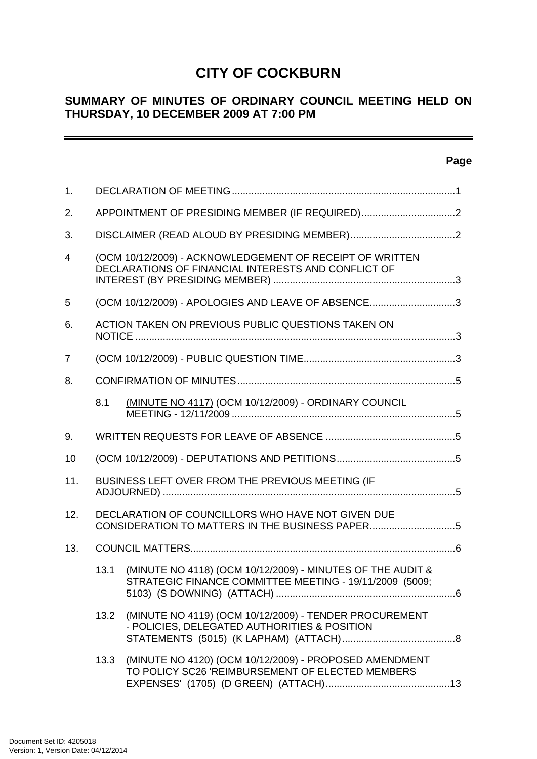# **CITY OF COCKBURN**

# **SUMMARY OF MINUTES OF ORDINARY COUNCIL MEETING HELD ON THURSDAY, 10 DECEMBER 2009 AT 7:00 PM**

## **Page**

| 1.             |                                                    |                                                                                                                       |  |  |  |  |
|----------------|----------------------------------------------------|-----------------------------------------------------------------------------------------------------------------------|--|--|--|--|
| 2.             |                                                    | APPOINTMENT OF PRESIDING MEMBER (IF REQUIRED)2                                                                        |  |  |  |  |
| 3.             |                                                    |                                                                                                                       |  |  |  |  |
| $\overline{4}$ |                                                    | (OCM 10/12/2009) - ACKNOWLEDGEMENT OF RECEIPT OF WRITTEN<br>DECLARATIONS OF FINANCIAL INTERESTS AND CONFLICT OF       |  |  |  |  |
| 5              | (OCM 10/12/2009) - APOLOGIES AND LEAVE OF ABSENCE3 |                                                                                                                       |  |  |  |  |
| 6.             |                                                    | ACTION TAKEN ON PREVIOUS PUBLIC QUESTIONS TAKEN ON                                                                    |  |  |  |  |
| 7              |                                                    |                                                                                                                       |  |  |  |  |
| 8.             |                                                    |                                                                                                                       |  |  |  |  |
|                | 8.1                                                | (MINUTE NO 4117) (OCM 10/12/2009) - ORDINARY COUNCIL                                                                  |  |  |  |  |
| 9.             |                                                    |                                                                                                                       |  |  |  |  |
| 10             |                                                    |                                                                                                                       |  |  |  |  |
| 11.            |                                                    | BUSINESS LEFT OVER FROM THE PREVIOUS MEETING (IF                                                                      |  |  |  |  |
| 12.            |                                                    | DECLARATION OF COUNCILLORS WHO HAVE NOT GIVEN DUE<br>CONSIDERATION TO MATTERS IN THE BUSINESS PAPER5                  |  |  |  |  |
| 13.            |                                                    |                                                                                                                       |  |  |  |  |
|                | 13.1                                               | (MINUTE NO 4118) (OCM 10/12/2009) - MINUTES OF THE AUDIT &<br>STRATEGIC FINANCE COMMITTEE MEETING - 19/11/2009 (5009; |  |  |  |  |
|                | 13.2                                               | (MINUTE NO 4119) (OCM 10/12/2009) - TENDER PROCUREMENT<br>- POLICIES, DELEGATED AUTHORITIES & POSITION                |  |  |  |  |
|                | 13.3                                               | (MINUTE NO 4120) (OCM 10/12/2009) - PROPOSED AMENDMENT<br>TO POLICY SC26 'REIMBURSEMENT OF ELECTED MEMBERS            |  |  |  |  |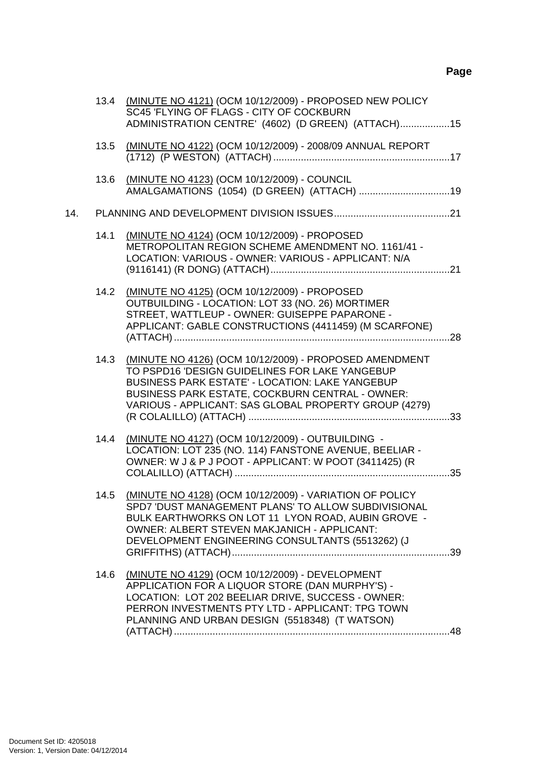|     |      | 13.4 (MINUTE NO 4121) (OCM 10/12/2009) - PROPOSED NEW POLICY<br>SC45 'FLYING OF FLAGS - CITY OF COCKBURN<br>ADMINISTRATION CENTRE' (4602) (D GREEN) (ATTACH)15                                                                                                                 |  |
|-----|------|--------------------------------------------------------------------------------------------------------------------------------------------------------------------------------------------------------------------------------------------------------------------------------|--|
|     | 13.5 | (MINUTE NO 4122) (OCM 10/12/2009) - 2008/09 ANNUAL REPORT                                                                                                                                                                                                                      |  |
|     | 13.6 | (MINUTE NO 4123) (OCM 10/12/2009) - COUNCIL<br>AMALGAMATIONS (1054) (D GREEN) (ATTACH) 19                                                                                                                                                                                      |  |
| 14. |      |                                                                                                                                                                                                                                                                                |  |
|     | 14.1 | (MINUTE NO 4124) (OCM 10/12/2009) - PROPOSED<br>METROPOLITAN REGION SCHEME AMENDMENT NO. 1161/41 -<br>LOCATION: VARIOUS - OWNER: VARIOUS - APPLICANT: N/A                                                                                                                      |  |
|     |      | 14.2 (MINUTE NO 4125) (OCM 10/12/2009) - PROPOSED<br>OUTBUILDING - LOCATION: LOT 33 (NO. 26) MORTIMER<br>STREET, WATTLEUP - OWNER: GUISEPPE PAPARONE -<br>APPLICANT: GABLE CONSTRUCTIONS (4411459) (M SCARFONE)                                                                |  |
|     | 14.3 | (MINUTE NO 4126) (OCM 10/12/2009) - PROPOSED AMENDMENT<br>TO PSPD16 'DESIGN GUIDELINES FOR LAKE YANGEBUP<br><b>BUSINESS PARK ESTATE' - LOCATION: LAKE YANGEBUP</b><br>BUSINESS PARK ESTATE, COCKBURN CENTRAL - OWNER:<br>VARIOUS - APPLICANT: SAS GLOBAL PROPERTY GROUP (4279) |  |
|     | 14.4 | (MINUTE NO 4127) (OCM 10/12/2009) - OUTBUILDING -<br>LOCATION: LOT 235 (NO. 114) FANSTONE AVENUE, BEELIAR -<br>OWNER: W J & P J POOT - APPLICANT: W POOT (3411425) (R                                                                                                          |  |
|     | 14.5 | (MINUTE NO 4128) (OCM 10/12/2009) - VARIATION OF POLICY<br>SPD7 'DUST MANAGEMENT PLANS' TO ALLOW SUBDIVISIONAL<br>BULK EARTHWORKS ON LOT 11 LYON ROAD, AUBIN GROVE -<br><b>OWNER: ALBERT STEVEN MAKJANICH - APPLICANT:</b><br>DEVELOPMENT ENGINEERING CONSULTANTS (5513262) (J |  |
|     | 14.6 | (MINUTE NO 4129) (OCM 10/12/2009) - DEVELOPMENT<br>APPLICATION FOR A LIQUOR STORE (DAN MURPHY'S) -<br>LOCATION: LOT 202 BEELIAR DRIVE, SUCCESS - OWNER:<br>PERRON INVESTMENTS PTY LTD - APPLICANT: TPG TOWN<br>PLANNING AND URBAN DESIGN (5518348) (T WATSON)                  |  |
|     |      |                                                                                                                                                                                                                                                                                |  |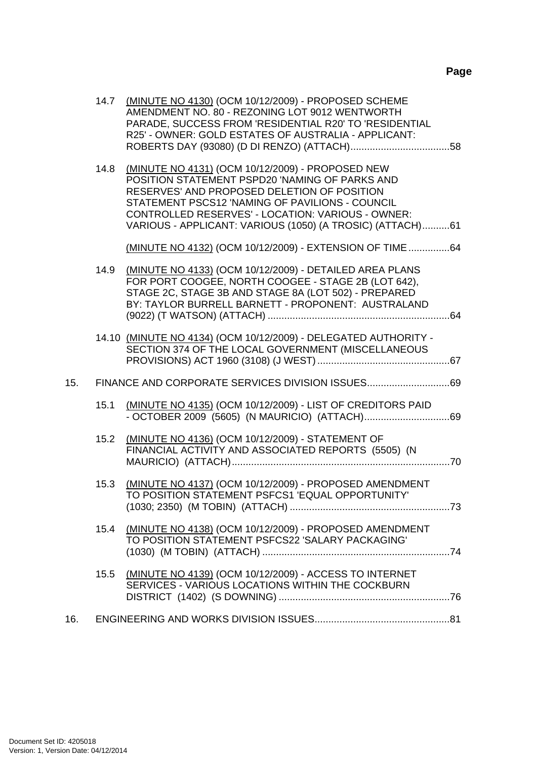|     |      | 14.7 (MINUTE NO 4130) (OCM 10/12/2009) - PROPOSED SCHEME<br>AMENDMENT NO. 80 - REZONING LOT 9012 WENTWORTH<br>PARADE, SUCCESS FROM 'RESIDENTIAL R20' TO 'RESIDENTIAL<br>R25' - OWNER: GOLD ESTATES OF AUSTRALIA - APPLICANT:                                                                                           |  |
|-----|------|------------------------------------------------------------------------------------------------------------------------------------------------------------------------------------------------------------------------------------------------------------------------------------------------------------------------|--|
|     | 14.8 | (MINUTE NO 4131) (OCM 10/12/2009) - PROPOSED NEW<br>POSITION STATEMENT PSPD20 'NAMING OF PARKS AND<br>RESERVES' AND PROPOSED DELETION OF POSITION<br>STATEMENT PSCS12 'NAMING OF PAVILIONS - COUNCIL<br>CONTROLLED RESERVES' - LOCATION: VARIOUS - OWNER:<br>VARIOUS - APPLICANT: VARIOUS (1050) (A TROSIC) (ATTACH)61 |  |
|     | 14.9 | (MINUTE NO 4132) (OCM 10/12/2009) - EXTENSION OF TIME  64<br>(MINUTE NO 4133) (OCM 10/12/2009) - DETAILED AREA PLANS                                                                                                                                                                                                   |  |
|     |      | FOR PORT COOGEE, NORTH COOGEE - STAGE 2B (LOT 642),<br>STAGE 2C, STAGE 3B AND STAGE 8A (LOT 502) - PREPARED<br>BY: TAYLOR BURRELL BARNETT - PROPONENT: AUSTRALAND                                                                                                                                                      |  |
|     |      | 14.10 (MINUTE NO 4134) (OCM 10/12/2009) - DELEGATED AUTHORITY -<br>SECTION 374 OF THE LOCAL GOVERNMENT (MISCELLANEOUS                                                                                                                                                                                                  |  |
| 15. |      |                                                                                                                                                                                                                                                                                                                        |  |
|     | 15.1 | (MINUTE NO 4135) (OCM 10/12/2009) - LIST OF CREDITORS PAID                                                                                                                                                                                                                                                             |  |
|     | 15.2 | (MINUTE NO 4136) (OCM 10/12/2009) - STATEMENT OF<br>FINANCIAL ACTIVITY AND ASSOCIATED REPORTS (5505) (N                                                                                                                                                                                                                |  |
|     | 15.3 | (MINUTE NO 4137) (OCM 10/12/2009) - PROPOSED AMENDMENT<br>TO POSITION STATEMENT PSFCS1 'EQUAL OPPORTUNITY'                                                                                                                                                                                                             |  |
|     | 15.4 | (MINUTE NO 4138) (OCM 10/12/2009) - PROPOSED AMENDMENT<br>TO POSITION STATEMENT PSFCS22 'SALARY PACKAGING'                                                                                                                                                                                                             |  |
|     | 15.5 | (MINUTE NO 4139) (OCM 10/12/2009) - ACCESS TO INTERNET<br>SERVICES - VARIOUS LOCATIONS WITHIN THE COCKBURN                                                                                                                                                                                                             |  |
| 16. |      |                                                                                                                                                                                                                                                                                                                        |  |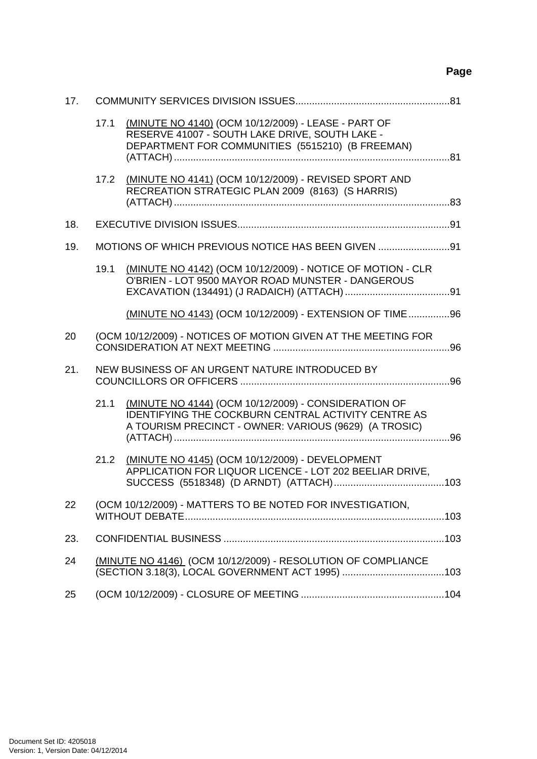# **Page**

| 17. |      |                                                                                                                                                                             |  |
|-----|------|-----------------------------------------------------------------------------------------------------------------------------------------------------------------------------|--|
|     | 17.1 | (MINUTE NO 4140) (OCM 10/12/2009) - LEASE - PART OF<br>RESERVE 41007 - SOUTH LAKE DRIVE, SOUTH LAKE -<br>DEPARTMENT FOR COMMUNITIES (5515210) (B FREEMAN)                   |  |
|     | 17.2 | (MINUTE NO 4141) (OCM 10/12/2009) - REVISED SPORT AND<br>RECREATION STRATEGIC PLAN 2009 (8163) (S HARRIS)                                                                   |  |
| 18. |      |                                                                                                                                                                             |  |
| 19. |      | MOTIONS OF WHICH PREVIOUS NOTICE HAS BEEN GIVEN 91                                                                                                                          |  |
|     | 19.1 | (MINUTE NO 4142) (OCM 10/12/2009) - NOTICE OF MOTION - CLR<br>O'BRIEN - LOT 9500 MAYOR ROAD MUNSTER - DANGEROUS                                                             |  |
|     |      | (MINUTE NO 4143) (OCM 10/12/2009) - EXTENSION OF TIME96                                                                                                                     |  |
| 20  |      | (OCM 10/12/2009) - NOTICES OF MOTION GIVEN AT THE MEETING FOR                                                                                                               |  |
| 21. |      | NEW BUSINESS OF AN URGENT NATURE INTRODUCED BY                                                                                                                              |  |
|     | 21.1 | (MINUTE NO 4144) (OCM 10/12/2009) - CONSIDERATION OF<br><b>IDENTIFYING THE COCKBURN CENTRAL ACTIVITY CENTRE AS</b><br>A TOURISM PRECINCT - OWNER: VARIOUS (9629) (A TROSIC) |  |
|     | 21.2 | (MINUTE NO 4145) (OCM 10/12/2009) - DEVELOPMENT<br>APPLICATION FOR LIQUOR LICENCE - LOT 202 BEELIAR DRIVE,                                                                  |  |
| 22  |      | (OCM 10/12/2009) - MATTERS TO BE NOTED FOR INVESTIGATION,                                                                                                                   |  |
| 23. |      |                                                                                                                                                                             |  |
| 24  |      | (MINUTE NO 4146) (OCM 10/12/2009) - RESOLUTION OF COMPLIANCE                                                                                                                |  |
| 25  |      |                                                                                                                                                                             |  |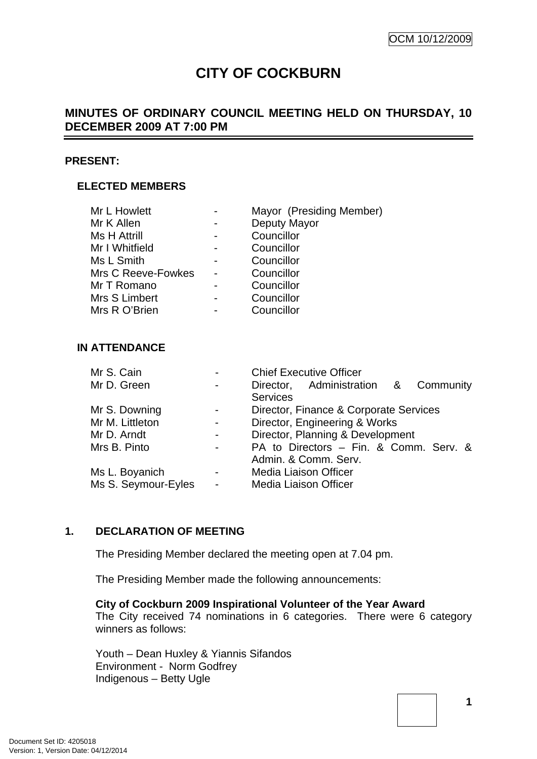# **CITY OF COCKBURN**

# <span id="page-4-0"></span>**MINUTES OF ORDINARY COUNCIL MEETING HELD ON THURSDAY, 10 DECEMBER 2009 AT 7:00 PM**

#### **PRESENT:**

### **ELECTED MEMBERS**

| Mr L Howlett        |                | Mayor (Presiding Member) |
|---------------------|----------------|--------------------------|
| Mr K Allen          | $\blacksquare$ | Deputy Mayor             |
| <b>Ms H Attrill</b> | -              | Councillor               |
| Mr I Whitfield      | -              | Councillor               |
| Ms L Smith          | -              | Councillor               |
| Mrs C Reeve-Fowkes  |                | Councillor               |
| Mr T Romano         |                | Councillor               |
| Mrs S Limbert       |                | Councillor               |
| Mrs R O'Brien       |                | Councillor               |

#### **IN ATTENDANCE**

| Mr S. Cain          | $\blacksquare$ | <b>Chief Executive Officer</b>          |
|---------------------|----------------|-----------------------------------------|
| Mr D. Green         | $\blacksquare$ | Director, Administration &<br>Community |
|                     |                | <b>Services</b>                         |
| Mr S. Downing       | $\blacksquare$ | Director, Finance & Corporate Services  |
| Mr M. Littleton     | $\blacksquare$ | Director, Engineering & Works           |
| Mr D. Arndt         |                | Director, Planning & Development        |
| Mrs B. Pinto        |                | PA to Directors - Fin. & Comm. Serv. &  |
|                     |                | Admin. & Comm. Serv.                    |
| Ms L. Boyanich      | $\blacksquare$ | Media Liaison Officer                   |
| Ms S. Seymour-Eyles | $\blacksquare$ | <b>Media Liaison Officer</b>            |
|                     |                |                                         |

### **1. DECLARATION OF MEETING**

The Presiding Member declared the meeting open at 7.04 pm.

The Presiding Member made the following announcements:

### **City of Cockburn 2009 Inspirational Volunteer of the Year Award**

The City received 74 nominations in 6 categories. There were 6 category winners as follows:

Youth – Dean Huxley & Yiannis Sifandos Environment - Norm Godfrey Indigenous – Betty Ugle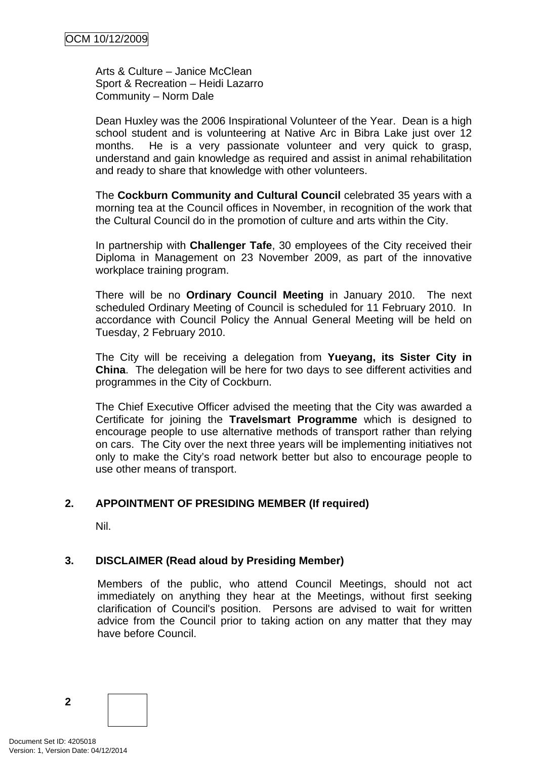<span id="page-5-0"></span>Arts & Culture – Janice McClean Sport & Recreation – Heidi Lazarro Community – Norm Dale

Dean Huxley was the 2006 Inspirational Volunteer of the Year. Dean is a high school student and is volunteering at Native Arc in Bibra Lake just over 12 months. He is a very passionate volunteer and very quick to grasp, understand and gain knowledge as required and assist in animal rehabilitation and ready to share that knowledge with other volunteers.

The **Cockburn Community and Cultural Council** celebrated 35 years with a morning tea at the Council offices in November, in recognition of the work that the Cultural Council do in the promotion of culture and arts within the City.

In partnership with **Challenger Tafe**, 30 employees of the City received their Diploma in Management on 23 November 2009, as part of the innovative workplace training program.

There will be no **Ordinary Council Meeting** in January 2010. The next scheduled Ordinary Meeting of Council is scheduled for 11 February 2010. In accordance with Council Policy the Annual General Meeting will be held on Tuesday, 2 February 2010.

The City will be receiving a delegation from **Yueyang, its Sister City in China**. The delegation will be here for two days to see different activities and programmes in the City of Cockburn.

The Chief Executive Officer advised the meeting that the City was awarded a Certificate for joining the **Travelsmart Programme** which is designed to encourage people to use alternative methods of transport rather than relying on cars. The City over the next three years will be implementing initiatives not only to make the City's road network better but also to encourage people to use other means of transport.

## **2. APPOINTMENT OF PRESIDING MEMBER (If required)**

Nil.

## **3. DISCLAIMER (Read aloud by Presiding Member)**

Members of the public, who attend Council Meetings, should not act immediately on anything they hear at the Meetings, without first seeking clarification of Council's position. Persons are advised to wait for written advice from the Council prior to taking action on any matter that they may have before Council.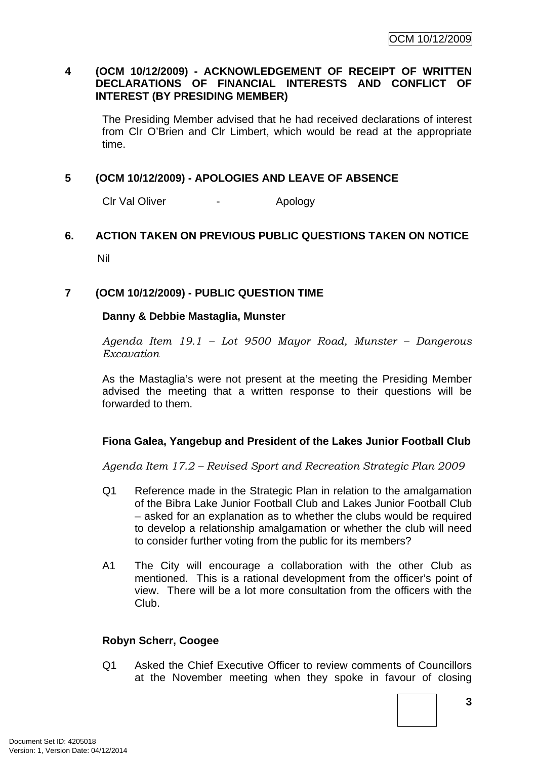### <span id="page-6-0"></span>**4 (OCM 10/12/2009) - ACKNOWLEDGEMENT OF RECEIPT OF WRITTEN DECLARATIONS OF FINANCIAL INTERESTS AND CONFLICT OF INTEREST (BY PRESIDING MEMBER)**

The Presiding Member advised that he had received declarations of interest from Clr O'Brien and Clr Limbert, which would be read at the appropriate time.

### **5 (OCM 10/12/2009) - APOLOGIES AND LEAVE OF ABSENCE**

Clr Val Oliver **-** Apology

# **6. ACTION TAKEN ON PREVIOUS PUBLIC QUESTIONS TAKEN ON NOTICE**

Nil

### **7 (OCM 10/12/2009) - PUBLIC QUESTION TIME**

### **Danny & Debbie Mastaglia, Munster**

*Agenda Item 19.1 – Lot 9500 Mayor Road, Munster – Dangerous Excavation* 

As the Mastaglia's were not present at the meeting the Presiding Member advised the meeting that a written response to their questions will be forwarded to them.

### **Fiona Galea, Yangebup and President of the Lakes Junior Football Club**

*Agenda Item 17.2 – Revised Sport and Recreation Strategic Plan 2009* 

- Q1 Reference made in the Strategic Plan in relation to the amalgamation of the Bibra Lake Junior Football Club and Lakes Junior Football Club – asked for an explanation as to whether the clubs would be required to develop a relationship amalgamation or whether the club will need to consider further voting from the public for its members?
- A1 The City will encourage a collaboration with the other Club as mentioned. This is a rational development from the officer's point of view. There will be a lot more consultation from the officers with the Club.

### **Robyn Scherr, Coogee**

Q1 Asked the Chief Executive Officer to review comments of Councillors at the November meeting when they spoke in favour of closing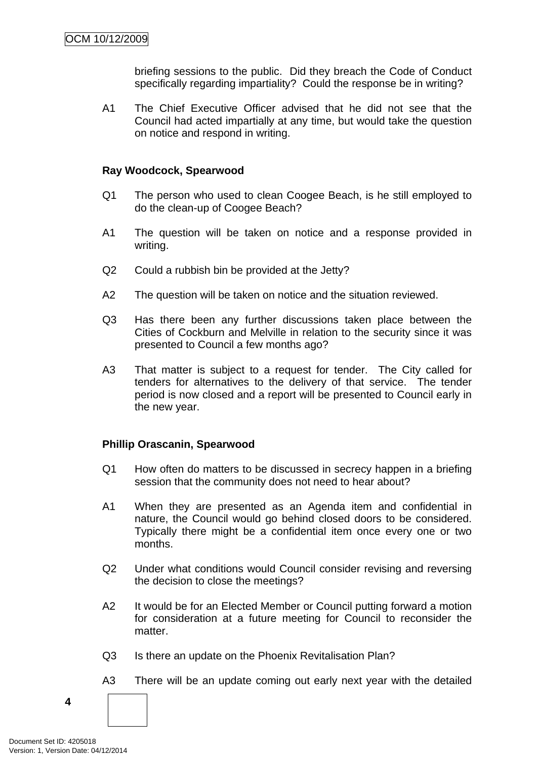briefing sessions to the public. Did they breach the Code of Conduct specifically regarding impartiality? Could the response be in writing?

<span id="page-7-0"></span>A1 The Chief Executive Officer advised that he did not see that the Council had acted impartially at any time, but would take the question on notice and respond in writing.

#### **Ray Woodcock, Spearwood**

- Q1 The person who used to clean Coogee Beach, is he still employed to do the clean-up of Coogee Beach?
- A1 The question will be taken on notice and a response provided in writing.
- Q2 Could a rubbish bin be provided at the Jetty?
- A2 The question will be taken on notice and the situation reviewed.
- Q3 Has there been any further discussions taken place between the Cities of Cockburn and Melville in relation to the security since it was presented to Council a few months ago?
- A3 That matter is subject to a request for tender. The City called for tenders for alternatives to the delivery of that service. The tender period is now closed and a report will be presented to Council early in the new year.

#### **Phillip Orascanin, Spearwood**

- Q1 How often do matters to be discussed in secrecy happen in a briefing session that the community does not need to hear about?
- A1 When they are presented as an Agenda item and confidential in nature, the Council would go behind closed doors to be considered. Typically there might be a confidential item once every one or two months.
- Q2 Under what conditions would Council consider revising and reversing the decision to close the meetings?
- A2 It would be for an Elected Member or Council putting forward a motion for consideration at a future meeting for Council to reconsider the matter.
- Q3 Is there an update on the Phoenix Revitalisation Plan?
- A3 There will be an update coming out early next year with the detailed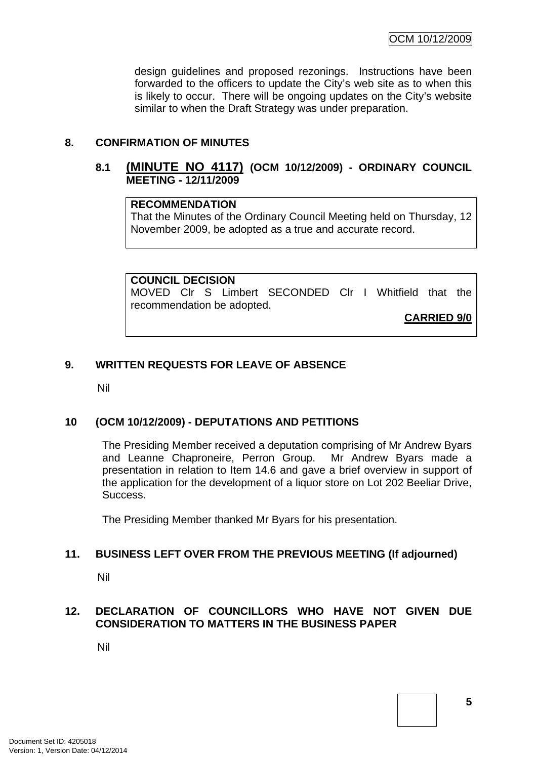design guidelines and proposed rezonings. Instructions have been forwarded to the officers to update the City's web site as to when this is likely to occur. There will be ongoing updates on the City's website similar to when the Draft Strategy was under preparation.

### **8. CONFIRMATION OF MINUTES**

### **8.1 (MINUTE NO 4117) (OCM 10/12/2009) - ORDINARY COUNCIL MEETING - 12/11/2009**

#### **RECOMMENDATION**

That the Minutes of the Ordinary Council Meeting held on Thursday, 12 November 2009, be adopted as a true and accurate record.

#### **COUNCIL DECISION**

MOVED Clr S Limbert SECONDED Clr I Whitfield that the recommendation be adopted.

**CARRIED 9/0**

### **9. WRITTEN REQUESTS FOR LEAVE OF ABSENCE**

Nil

### **10 (OCM 10/12/2009) - DEPUTATIONS AND PETITIONS**

The Presiding Member received a deputation comprising of Mr Andrew Byars and Leanne Chaproneire, Perron Group. Mr Andrew Byars made a presentation in relation to Item 14.6 and gave a brief overview in support of the application for the development of a liquor store on Lot 202 Beeliar Drive, Success.

The Presiding Member thanked Mr Byars for his presentation.

### **11. BUSINESS LEFT OVER FROM THE PREVIOUS MEETING (If adjourned)**

Nil

## **12. DECLARATION OF COUNCILLORS WHO HAVE NOT GIVEN DUE CONSIDERATION TO MATTERS IN THE BUSINESS PAPER**

Nil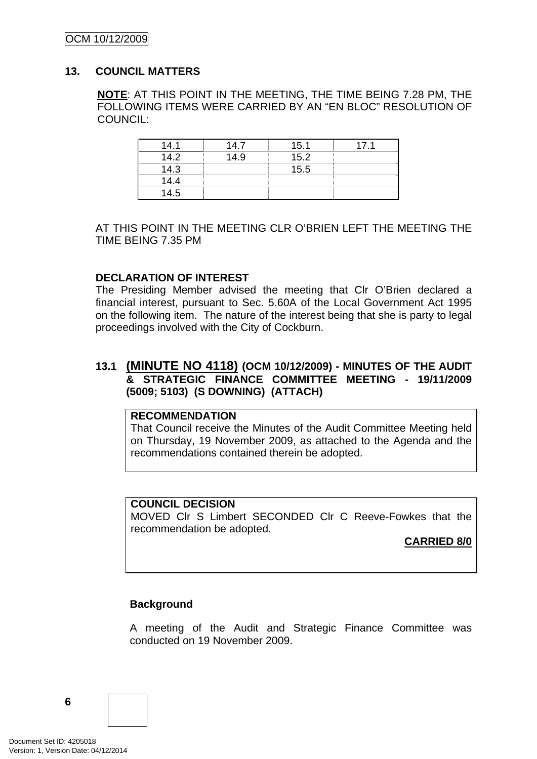### <span id="page-9-0"></span>OCM 10/12/2009

#### **13. COUNCIL MATTERS**

**NOTE**: AT THIS POINT IN THE MEETING, THE TIME BEING 7.28 PM, THE FOLLOWING ITEMS WERE CARRIED BY AN "EN BLOC" RESOLUTION OF COUNCIL:

| 14.1 | 14.7 | 15.1 | 17.1 |
|------|------|------|------|
| 14.2 | 14.9 | 15.2 |      |
| 14.3 |      | 15.5 |      |
| 14.4 |      |      |      |
| 14.5 |      |      |      |

AT THIS POINT IN THE MEETING CLR O'BRIEN LEFT THE MEETING THE TIME BEING 7.35 PM

#### **DECLARATION OF INTEREST**

The Presiding Member advised the meeting that Clr O'Brien declared a financial interest, pursuant to Sec. 5.60A of the Local Government Act 1995 on the following item. The nature of the interest being that she is party to legal proceedings involved with the City of Cockburn.

### **13.1 (MINUTE NO 4118) (OCM 10/12/2009) - MINUTES OF THE AUDIT & STRATEGIC FINANCE COMMITTEE MEETING - 19/11/2009 (5009; 5103) (S DOWNING) (ATTACH)**

### **RECOMMENDATION**

That Council receive the Minutes of the Audit Committee Meeting held on Thursday, 19 November 2009, as attached to the Agenda and the recommendations contained therein be adopted.

#### **COUNCIL DECISION**

MOVED Clr S Limbert SECONDED Clr C Reeve-Fowkes that the recommendation be adopted.

### **CARRIED 8/0**

### **Background**

A meeting of the Audit and Strategic Finance Committee was conducted on 19 November 2009.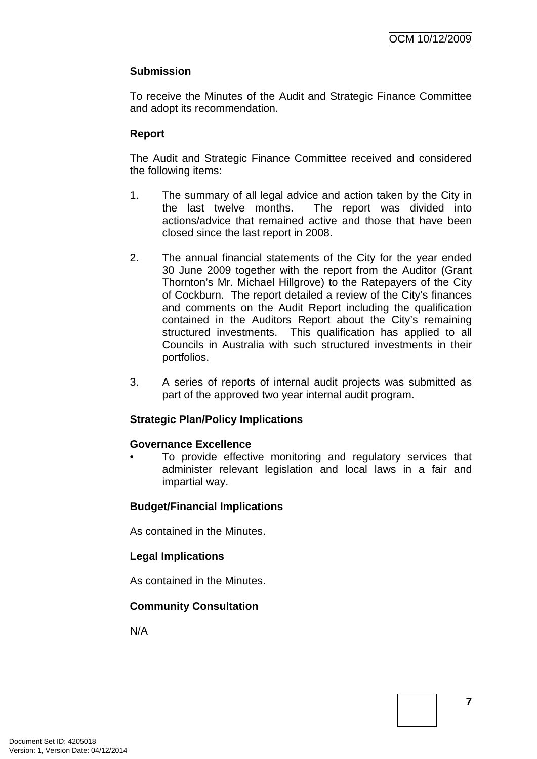# **Submission**

To receive the Minutes of the Audit and Strategic Finance Committee and adopt its recommendation.

# **Report**

The Audit and Strategic Finance Committee received and considered the following items:

- 1. The summary of all legal advice and action taken by the City in the last twelve months. The report was divided into actions/advice that remained active and those that have been closed since the last report in 2008.
- 2. The annual financial statements of the City for the year ended 30 June 2009 together with the report from the Auditor (Grant Thornton's Mr. Michael Hillgrove) to the Ratepayers of the City of Cockburn. The report detailed a review of the City's finances and comments on the Audit Report including the qualification contained in the Auditors Report about the City's remaining structured investments. This qualification has applied to all Councils in Australia with such structured investments in their portfolios.
- 3. A series of reports of internal audit projects was submitted as part of the approved two year internal audit program.

## **Strategic Plan/Policy Implications**

### **Governance Excellence**

To provide effective monitoring and regulatory services that administer relevant legislation and local laws in a fair and impartial way.

## **Budget/Financial Implications**

As contained in the Minutes.

## **Legal Implications**

As contained in the Minutes.

## **Community Consultation**

N/A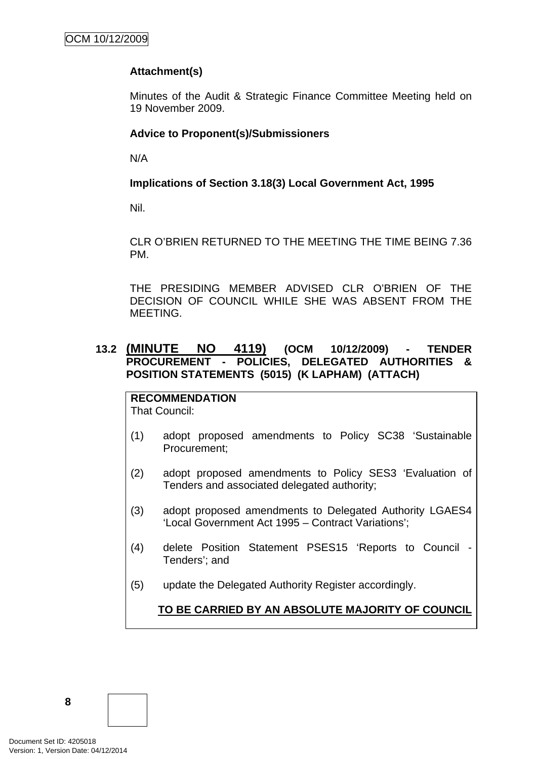# <span id="page-11-0"></span>**Attachment(s)**

Minutes of the Audit & Strategic Finance Committee Meeting held on 19 November 2009.

## **Advice to Proponent(s)/Submissioners**

N/A

# **Implications of Section 3.18(3) Local Government Act, 1995**

Nil.

CLR O'BRIEN RETURNED TO THE MEETING THE TIME BEING 7.36 PM.

THE PRESIDING MEMBER ADVISED CLR O'BRIEN OF THE DECISION OF COUNCIL WHILE SHE WAS ABSENT FROM THE MEETING.

# **13.2 (MINUTE NO 4119) (OCM 10/12/2009) - TENDER PROCUREMENT - POLICIES, DELEGATED AUTHORITIES & POSITION STATEMENTS (5015) (K LAPHAM) (ATTACH)**

**RECOMMENDATION** That Council:

- (1) adopt proposed amendments to Policy SC38 'Sustainable Procurement;
- (2) adopt proposed amendments to Policy SES3 'Evaluation of Tenders and associated delegated authority;
- (3) adopt proposed amendments to Delegated Authority LGAES4 'Local Government Act 1995 – Contract Variations';
- (4) delete Position Statement PSES15 'Reports to Council Tenders'; and
- (5) update the Delegated Authority Register accordingly.

**TO BE CARRIED BY AN ABSOLUTE MAJORITY OF COUNCIL**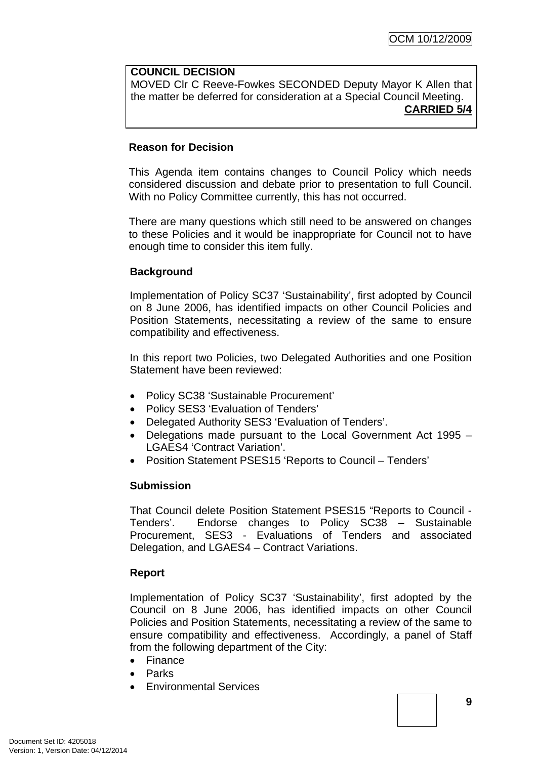#### **COUNCIL DECISION**

MOVED Clr C Reeve-Fowkes SECONDED Deputy Mayor K Allen that the matter be deferred for consideration at a Special Council Meeting. **CARRIED 5/4**

#### **Reason for Decision**

This Agenda item contains changes to Council Policy which needs considered discussion and debate prior to presentation to full Council. With no Policy Committee currently, this has not occurred.

There are many questions which still need to be answered on changes to these Policies and it would be inappropriate for Council not to have enough time to consider this item fully.

### **Background**

Implementation of Policy SC37 'Sustainability', first adopted by Council on 8 June 2006, has identified impacts on other Council Policies and Position Statements, necessitating a review of the same to ensure compatibility and effectiveness.

In this report two Policies, two Delegated Authorities and one Position Statement have been reviewed:

- Policy SC38 'Sustainable Procurement'
- Policy SES3 'Evaluation of Tenders'
- Delegated Authority SES3 'Evaluation of Tenders'.
- Delegations made pursuant to the Local Government Act 1995 LGAES4 'Contract Variation'.
- Position Statement PSES15 'Reports to Council Tenders'

### **Submission**

That Council delete Position Statement PSES15 "Reports to Council - Tenders'. Endorse changes to Policy SC38 – Sustainable Procurement, SES3 - Evaluations of Tenders and associated Delegation, and LGAES4 – Contract Variations.

### **Report**

Implementation of Policy SC37 'Sustainability', first adopted by the Council on 8 June 2006, has identified impacts on other Council Policies and Position Statements, necessitating a review of the same to ensure compatibility and effectiveness. Accordingly, a panel of Staff from the following department of the City:

- Finance
- Parks
- Environmental Services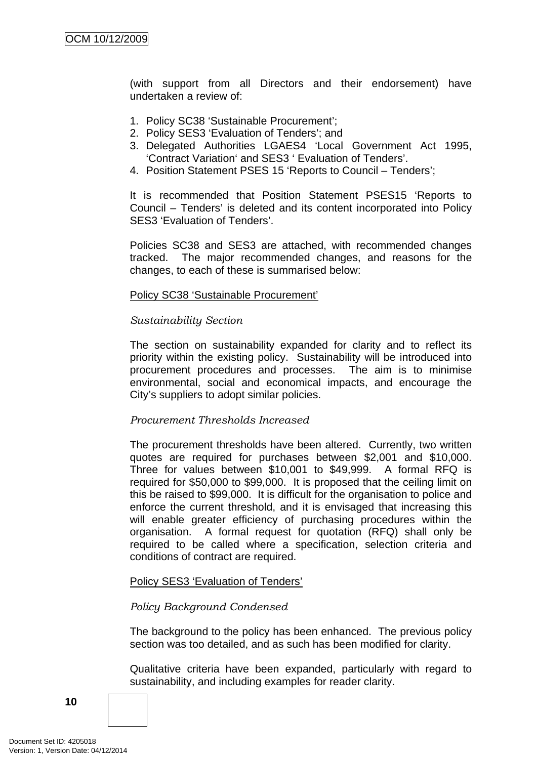(with support from all Directors and their endorsement) have undertaken a review of:

- 1. Policy SC38 'Sustainable Procurement';
- 2. Policy SES3 'Evaluation of Tenders'; and
- 3. Delegated Authorities LGAES4 'Local Government Act 1995, 'Contract Variation' and SES3 ' Evaluation of Tenders'.
- 4. Position Statement PSES 15 'Reports to Council Tenders';

It is recommended that Position Statement PSES15 'Reports to Council – Tenders' is deleted and its content incorporated into Policy SES3 'Evaluation of Tenders'.

Policies SC38 and SES3 are attached, with recommended changes tracked. The major recommended changes, and reasons for the changes, to each of these is summarised below:

#### Policy SC38 'Sustainable Procurement'

#### *Sustainability Section*

The section on sustainability expanded for clarity and to reflect its priority within the existing policy. Sustainability will be introduced into procurement procedures and processes. The aim is to minimise environmental, social and economical impacts, and encourage the City's suppliers to adopt similar policies.

#### *Procurement Thresholds Increased*

The procurement thresholds have been altered. Currently, two written quotes are required for purchases between \$2,001 and \$10,000. Three for values between \$10,001 to \$49,999. A formal RFQ is required for \$50,000 to \$99,000. It is proposed that the ceiling limit on this be raised to \$99,000. It is difficult for the organisation to police and enforce the current threshold, and it is envisaged that increasing this will enable greater efficiency of purchasing procedures within the organisation. A formal request for quotation (RFQ) shall only be required to be called where a specification, selection criteria and conditions of contract are required.

#### Policy SES3 'Evaluation of Tenders'

### *Policy Background Condensed*

The background to the policy has been enhanced. The previous policy section was too detailed, and as such has been modified for clarity.

Qualitative criteria have been expanded, particularly with regard to sustainability, and including examples for reader clarity.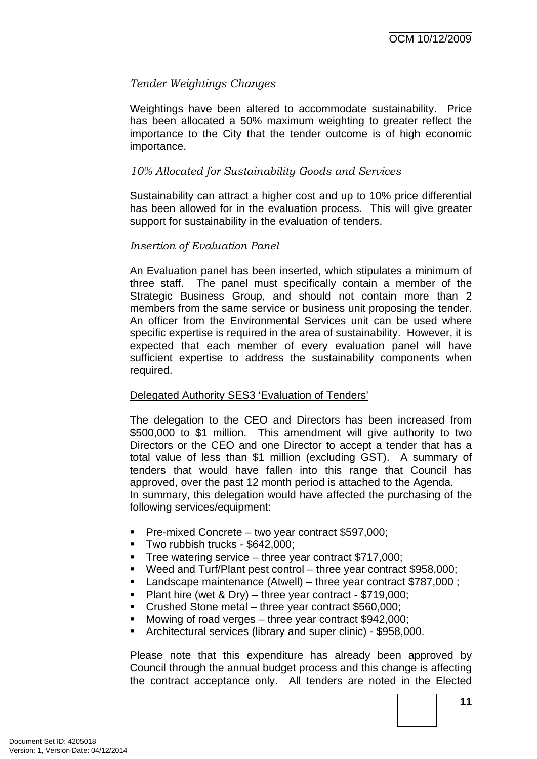### *Tender Weightings Changes*

Weightings have been altered to accommodate sustainability. Price has been allocated a 50% maximum weighting to greater reflect the importance to the City that the tender outcome is of high economic importance.

### *10% Allocated for Sustainability Goods and Services*

Sustainability can attract a higher cost and up to 10% price differential has been allowed for in the evaluation process. This will give greater support for sustainability in the evaluation of tenders.

#### *Insertion of Evaluation Panel*

An Evaluation panel has been inserted, which stipulates a minimum of three staff. The panel must specifically contain a member of the Strategic Business Group, and should not contain more than 2 members from the same service or business unit proposing the tender. An officer from the Environmental Services unit can be used where specific expertise is required in the area of sustainability. However, it is expected that each member of every evaluation panel will have sufficient expertise to address the sustainability components when required.

### Delegated Authority SES3 'Evaluation of Tenders'

The delegation to the CEO and Directors has been increased from \$500,000 to \$1 million. This amendment will give authority to two Directors or the CEO and one Director to accept a tender that has a total value of less than \$1 million (excluding GST). A summary of tenders that would have fallen into this range that Council has approved, over the past 12 month period is attached to the Agenda. In summary, this delegation would have affected the purchasing of the following services/equipment:

- Pre-mixed Concrete two year contract \$597,000;
- **Two rubbish trucks \$642,000:**
- Tree watering service three year contract \$717,000;
- Weed and Turf/Plant pest control three year contract \$958,000;
- Landscape maintenance (Atwell) three year contract \$787,000 ;
- **Plant hire (wet & Dry)** three year contract  $$719,000$ ;
- Crushed Stone metal three year contract \$560,000;
- Mowing of road verges three year contract \$942,000;
- Architectural services (library and super clinic) \$958,000.

Please note that this expenditure has already been approved by Council through the annual budget process and this change is affecting the contract acceptance only. All tenders are noted in the Elected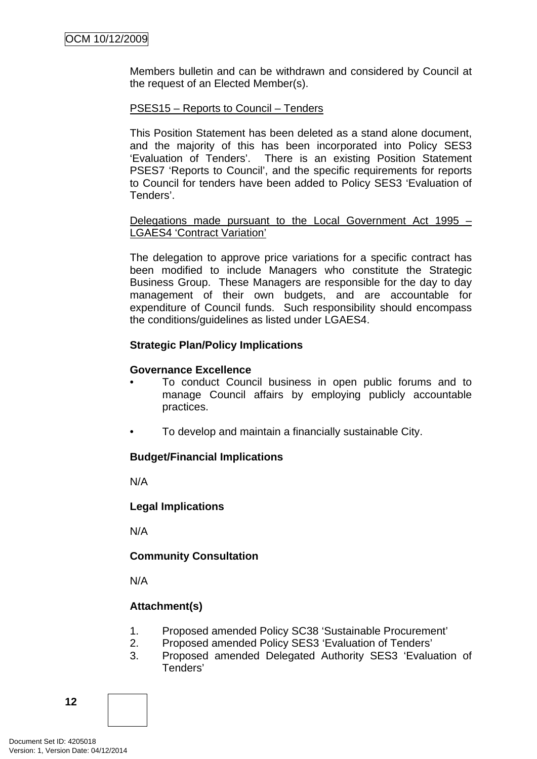Members bulletin and can be withdrawn and considered by Council at the request of an Elected Member(s).

### PSES15 – Reports to Council – Tenders

This Position Statement has been deleted as a stand alone document, and the majority of this has been incorporated into Policy SES3 'Evaluation of Tenders'. There is an existing Position Statement PSES7 'Reports to Council', and the specific requirements for reports to Council for tenders have been added to Policy SES3 'Evaluation of Tenders'.

#### Delegations made pursuant to the Local Government Act 1995 – LGAES4 'Contract Variation'

The delegation to approve price variations for a specific contract has been modified to include Managers who constitute the Strategic Business Group. These Managers are responsible for the day to day management of their own budgets, and are accountable for expenditure of Council funds. Such responsibility should encompass the conditions/guidelines as listed under LGAES4.

### **Strategic Plan/Policy Implications**

### **Governance Excellence**

- To conduct Council business in open public forums and to manage Council affairs by employing publicly accountable practices.
- To develop and maintain a financially sustainable City.

## **Budget/Financial Implications**

N/A

### **Legal Implications**

N/A

## **Community Consultation**

N/A

# **Attachment(s)**

- 1. Proposed amended Policy SC38 'Sustainable Procurement'
- 2. Proposed amended Policy SES3 'Evaluation of Tenders'
- 3. Proposed amended Delegated Authority SES3 'Evaluation of Tenders'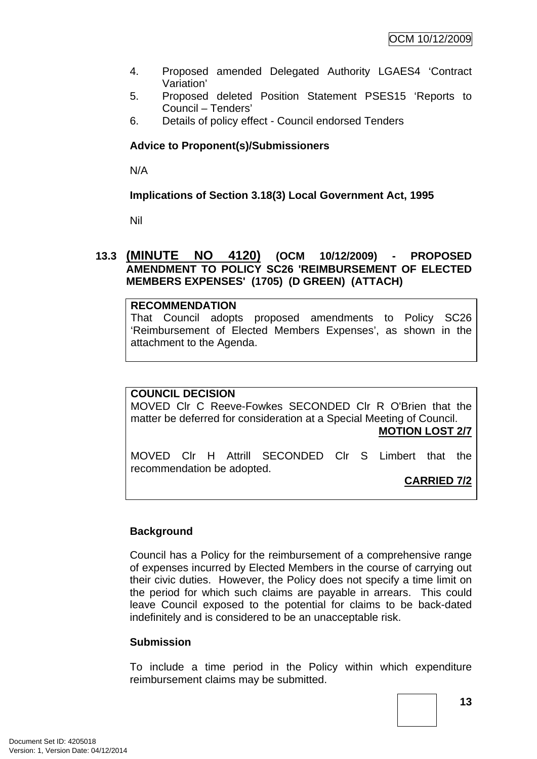- <span id="page-16-0"></span>4. Proposed amended Delegated Authority LGAES4 'Contract Variation'
- 5. Proposed deleted Position Statement PSES15 'Reports to Council – Tenders'
- 6. Details of policy effect Council endorsed Tenders

### **Advice to Proponent(s)/Submissioners**

N/A

### **Implications of Section 3.18(3) Local Government Act, 1995**

Nil

### **13.3 (MINUTE NO 4120) (OCM 10/12/2009) - PROPOSED AMENDMENT TO POLICY SC26 'REIMBURSEMENT OF ELECTED MEMBERS EXPENSES' (1705) (D GREEN) (ATTACH)**

#### **RECOMMENDATION**

That Council adopts proposed amendments to Policy SC26 'Reimbursement of Elected Members Expenses', as shown in the attachment to the Agenda.

### **COUNCIL DECISION**

MOVED Clr C Reeve-Fowkes SECONDED Clr R O'Brien that the matter be deferred for consideration at a Special Meeting of Council.

### **MOTION LOST 2/7**

MOVED Clr H Attrill SECONDED Clr S Limbert that the recommendation be adopted.

**CARRIED 7/2**

### **Background**

Council has a Policy for the reimbursement of a comprehensive range of expenses incurred by Elected Members in the course of carrying out their civic duties. However, the Policy does not specify a time limit on the period for which such claims are payable in arrears. This could leave Council exposed to the potential for claims to be back-dated indefinitely and is considered to be an unacceptable risk.

### **Submission**

To include a time period in the Policy within which expenditure reimbursement claims may be submitted.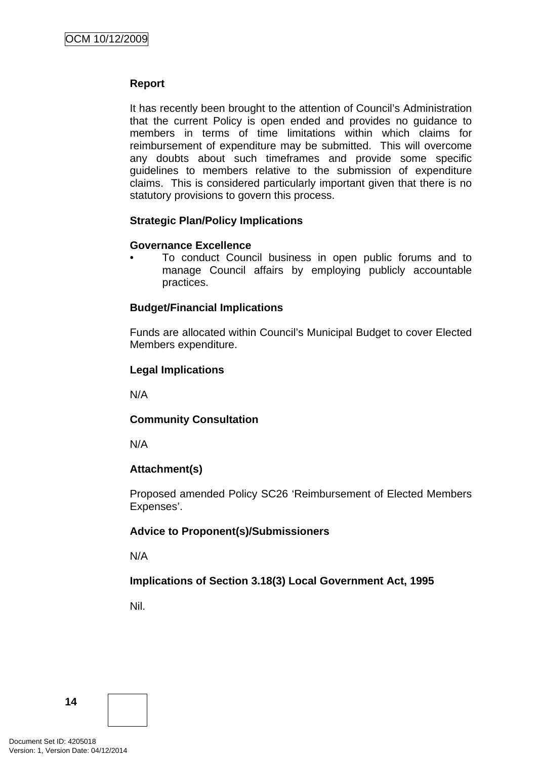### **Report**

It has recently been brought to the attention of Council's Administration that the current Policy is open ended and provides no guidance to members in terms of time limitations within which claims for reimbursement of expenditure may be submitted. This will overcome any doubts about such timeframes and provide some specific guidelines to members relative to the submission of expenditure claims. This is considered particularly important given that there is no statutory provisions to govern this process.

### **Strategic Plan/Policy Implications**

### **Governance Excellence**

• To conduct Council business in open public forums and to manage Council affairs by employing publicly accountable practices.

### **Budget/Financial Implications**

Funds are allocated within Council's Municipal Budget to cover Elected Members expenditure.

## **Legal Implications**

N/A

## **Community Consultation**

N/A

## **Attachment(s)**

Proposed amended Policy SC26 'Reimbursement of Elected Members Expenses'.

## **Advice to Proponent(s)/Submissioners**

N/A

## **Implications of Section 3.18(3) Local Government Act, 1995**

Nil.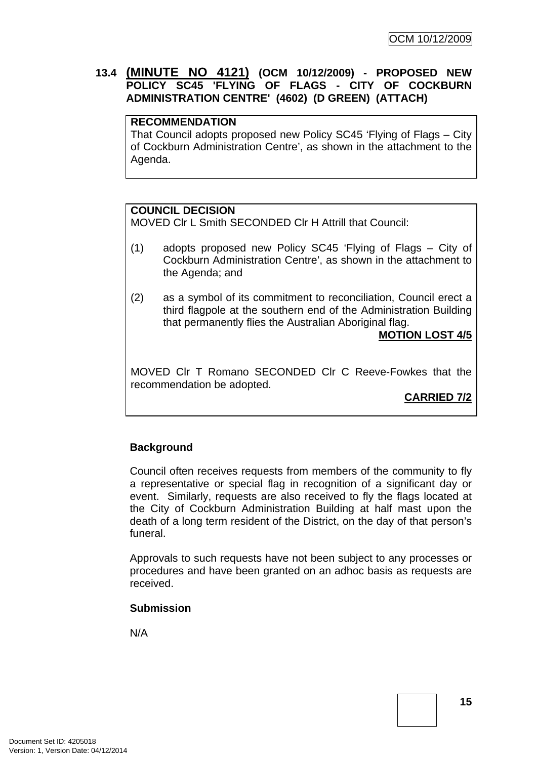# <span id="page-18-0"></span>**13.4 (MINUTE NO 4121) (OCM 10/12/2009) - PROPOSED NEW POLICY SC45 'FLYING OF FLAGS - CITY OF COCKBURN ADMINISTRATION CENTRE' (4602) (D GREEN) (ATTACH)**

#### **RECOMMENDATION**

That Council adopts proposed new Policy SC45 'Flying of Flags – City of Cockburn Administration Centre', as shown in the attachment to the Agenda.

### **COUNCIL DECISION**

MOVED Clr L Smith SECONDED Clr H Attrill that Council:

- (1) adopts proposed new Policy SC45 'Flying of Flags City of Cockburn Administration Centre', as shown in the attachment to the Agenda; and
- (2) as a symbol of its commitment to reconciliation, Council erect a third flagpole at the southern end of the Administration Building that permanently flies the Australian Aboriginal flag.

## **MOTION LOST 4/5**

MOVED Clr T Romano SECONDED Clr C Reeve-Fowkes that the recommendation be adopted.

## **CARRIED 7/2**

### **Background**

Council often receives requests from members of the community to fly a representative or special flag in recognition of a significant day or event. Similarly, requests are also received to fly the flags located at the City of Cockburn Administration Building at half mast upon the death of a long term resident of the District, on the day of that person's funeral.

Approvals to such requests have not been subject to any processes or procedures and have been granted on an adhoc basis as requests are received.

### **Submission**

N/A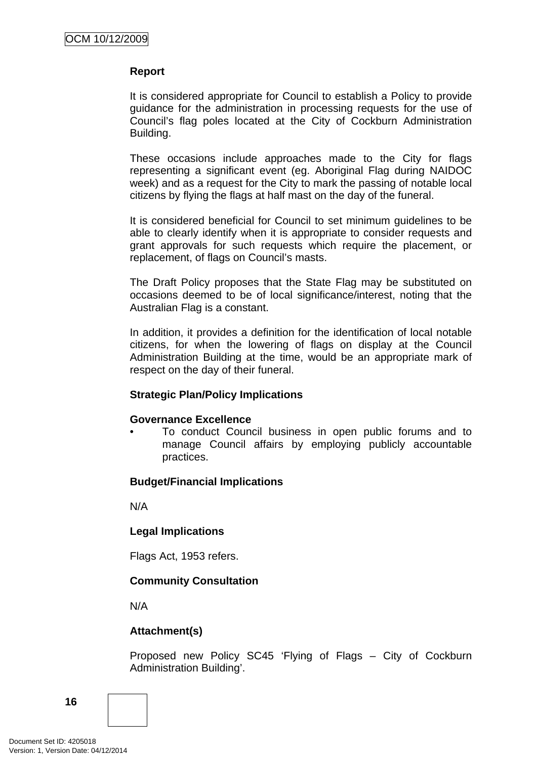### **Report**

It is considered appropriate for Council to establish a Policy to provide guidance for the administration in processing requests for the use of Council's flag poles located at the City of Cockburn Administration Building.

These occasions include approaches made to the City for flags representing a significant event (eg. Aboriginal Flag during NAIDOC week) and as a request for the City to mark the passing of notable local citizens by flying the flags at half mast on the day of the funeral.

It is considered beneficial for Council to set minimum guidelines to be able to clearly identify when it is appropriate to consider requests and grant approvals for such requests which require the placement, or replacement, of flags on Council's masts.

The Draft Policy proposes that the State Flag may be substituted on occasions deemed to be of local significance/interest, noting that the Australian Flag is a constant.

In addition, it provides a definition for the identification of local notable citizens, for when the lowering of flags on display at the Council Administration Building at the time, would be an appropriate mark of respect on the day of their funeral.

### **Strategic Plan/Policy Implications**

### **Governance Excellence**

• To conduct Council business in open public forums and to manage Council affairs by employing publicly accountable practices.

## **Budget/Financial Implications**

N/A

### **Legal Implications**

Flags Act, 1953 refers.

## **Community Consultation**

N/A

## **Attachment(s)**

Proposed new Policy SC45 'Flying of Flags – City of Cockburn Administration Building'.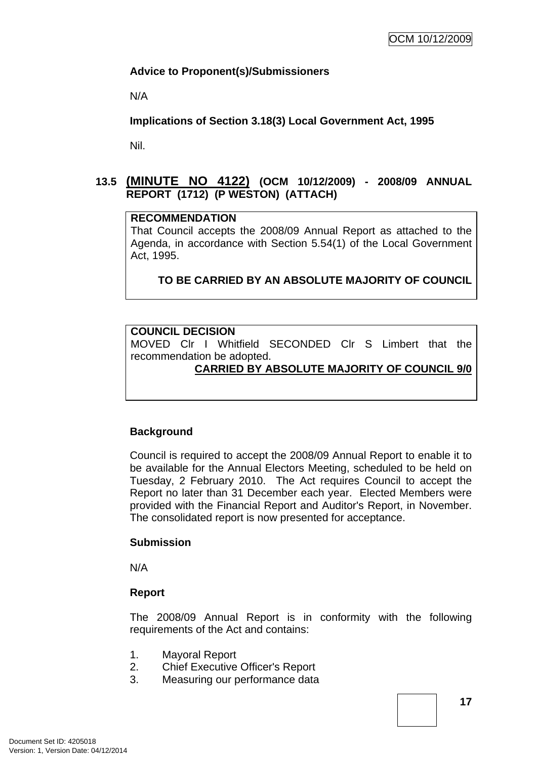### <span id="page-20-0"></span>**Advice to Proponent(s)/Submissioners**

N/A

**Implications of Section 3.18(3) Local Government Act, 1995**

Nil.

# **13.5 (MINUTE NO 4122) (OCM 10/12/2009) - 2008/09 ANNUAL REPORT (1712) (P WESTON) (ATTACH)**

#### **RECOMMENDATION**

That Council accepts the 2008/09 Annual Report as attached to the Agenda, in accordance with Section 5.54(1) of the Local Government Act, 1995.

## **TO BE CARRIED BY AN ABSOLUTE MAJORITY OF COUNCIL**

### **COUNCIL DECISION**

MOVED Clr I Whitfield SECONDED Clr S Limbert that the recommendation be adopted.

### **CARRIED BY ABSOLUTE MAJORITY OF COUNCIL 9/0**

### **Background**

Council is required to accept the 2008/09 Annual Report to enable it to be available for the Annual Electors Meeting, scheduled to be held on Tuesday, 2 February 2010. The Act requires Council to accept the Report no later than 31 December each year. Elected Members were provided with the Financial Report and Auditor's Report, in November. The consolidated report is now presented for acceptance.

#### **Submission**

N/A

### **Report**

The 2008/09 Annual Report is in conformity with the following requirements of the Act and contains:

- 1. Mayoral Report
- 2. Chief Executive Officer's Report
- 3. Measuring our performance data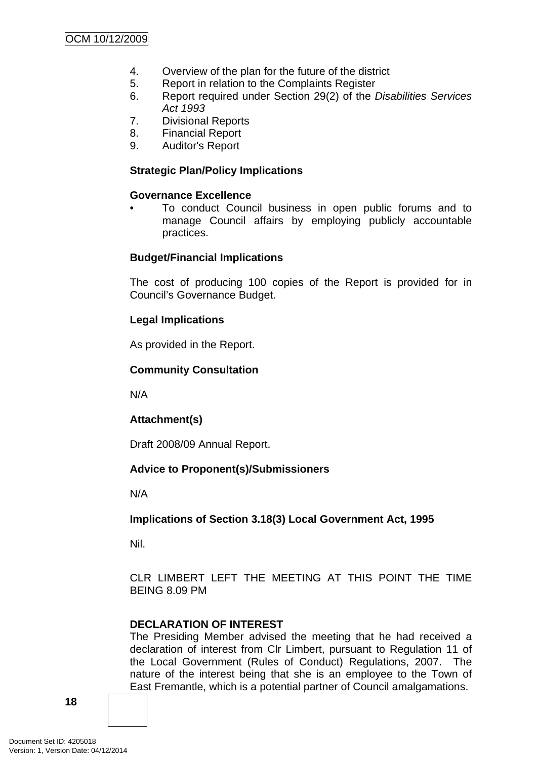- 4. Overview of the plan for the future of the district
- 5. Report in relation to the Complaints Register
- 6. Report required under Section 29(2) of the *Disabilities Services Act 1993*
- 7. Divisional Reports
- 8. Financial Report
- 9. Auditor's Report

### **Strategic Plan/Policy Implications**

### **Governance Excellence**

• To conduct Council business in open public forums and to manage Council affairs by employing publicly accountable practices.

### **Budget/Financial Implications**

The cost of producing 100 copies of the Report is provided for in Council's Governance Budget.

## **Legal Implications**

As provided in the Report.

### **Community Consultation**

N/A

## **Attachment(s)**

Draft 2008/09 Annual Report.

## **Advice to Proponent(s)/Submissioners**

N/A

**Implications of Section 3.18(3) Local Government Act, 1995**

Nil.

CLR LIMBERT LEFT THE MEETING AT THIS POINT THE TIME BEING 8.09 PM

## **DECLARATION OF INTEREST**

The Presiding Member advised the meeting that he had received a declaration of interest from Clr Limbert, pursuant to Regulation 11 of the Local Government (Rules of Conduct) Regulations, 2007. The nature of the interest being that she is an employee to the Town of East Fremantle, which is a potential partner of Council amalgamations.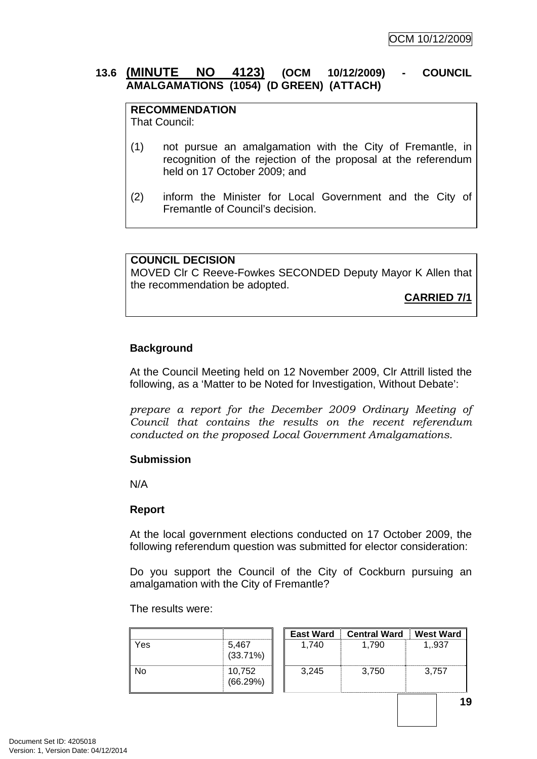### <span id="page-22-0"></span>**13.6 (MINUTE NO 4123) (OCM 10/12/2009) - COUNCIL AMALGAMATIONS (1054) (D GREEN) (ATTACH)**

# **RECOMMENDATION**

That Council:

- (1) not pursue an amalgamation with the City of Fremantle, in recognition of the rejection of the proposal at the referendum held on 17 October 2009; and
- (2) inform the Minister for Local Government and the City of Fremantle of Council's decision.

#### **COUNCIL DECISION**

MOVED Clr C Reeve-Fowkes SECONDED Deputy Mayor K Allen that the recommendation be adopted.

**CARRIED 7/1**

### **Background**

At the Council Meeting held on 12 November 2009, Clr Attrill listed the following, as a 'Matter to be Noted for Investigation, Without Debate':

*prepare a report for the December 2009 Ordinary Meeting of Council that contains the results on the recent referendum conducted on the proposed Local Government Amalgamations.* 

### **Submission**

N/A

#### **Report**

At the local government elections conducted on 17 October 2009, the following referendum question was submitted for elector consideration:

Do you support the Council of the City of Cockburn pursuing an amalgamation with the City of Fremantle?

The results were:

|     |                      | <b>East Ward</b> | <b>Central Ward</b> | West Ward |
|-----|----------------------|------------------|---------------------|-----------|
| Yes | 5,467<br>$(33.71\%)$ | 1.740            | 1.790               | 1,.937    |
| No  | 10,752<br>(66.29%)   | 3.245            | 3,750               | 3.757     |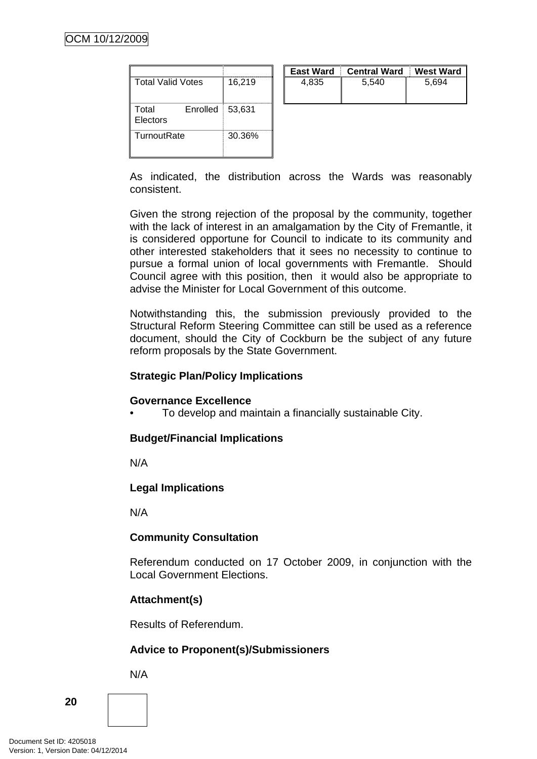|                               |        | <b>East Ward</b> | <b>Central Ward</b> | West Ward |
|-------------------------------|--------|------------------|---------------------|-----------|
| <b>Total Valid Votes</b>      | 16,219 | 4,835            | 5,540               | 5,694     |
| Total<br>Enrolled<br>Electors | 53,631 |                  |                     |           |
| TurnoutRate                   | 30.36% |                  |                     |           |

As indicated, the distribution across the Wards was reasonably consistent.

Given the strong rejection of the proposal by the community, together with the lack of interest in an amalgamation by the City of Fremantle, it is considered opportune for Council to indicate to its community and other interested stakeholders that it sees no necessity to continue to pursue a formal union of local governments with Fremantle. Should Council agree with this position, then it would also be appropriate to advise the Minister for Local Government of this outcome.

Notwithstanding this, the submission previously provided to the Structural Reform Steering Committee can still be used as a reference document, should the City of Cockburn be the subject of any future reform proposals by the State Government.

### **Strategic Plan/Policy Implications**

### **Governance Excellence**

• To develop and maintain a financially sustainable City.

## **Budget/Financial Implications**

N/A

## **Legal Implications**

N/A

## **Community Consultation**

Referendum conducted on 17 October 2009, in conjunction with the Local Government Elections.

## **Attachment(s)**

Results of Referendum.

## **Advice to Proponent(s)/Submissioners**

N/A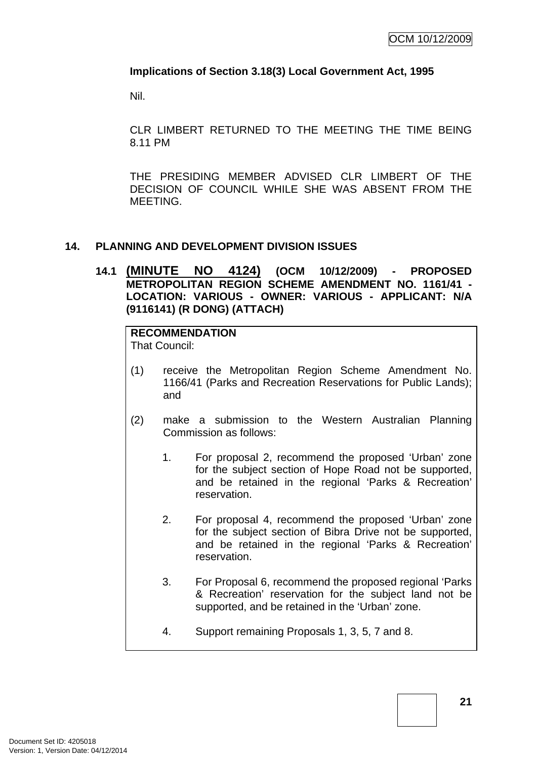### <span id="page-24-0"></span>**Implications of Section 3.18(3) Local Government Act, 1995**

Nil.

CLR LIMBERT RETURNED TO THE MEETING THE TIME BEING 8.11 PM

THE PRESIDING MEMBER ADVISED CLR LIMBERT OF THE DECISION OF COUNCIL WHILE SHE WAS ABSENT FROM THE MEETING.

### **14. PLANNING AND DEVELOPMENT DIVISION ISSUES**

**14.1 (MINUTE NO 4124) (OCM 10/12/2009) - PROPOSED METROPOLITAN REGION SCHEME AMENDMENT NO. 1161/41 - LOCATION: VARIOUS - OWNER: VARIOUS - APPLICANT: N/A (9116141) (R DONG) (ATTACH)** 

# **RECOMMENDATION**

That Council:

- (1) receive the Metropolitan Region Scheme Amendment No. 1166/41 (Parks and Recreation Reservations for Public Lands); and
- (2) make a submission to the Western Australian Planning Commission as follows:
	- 1. For proposal 2, recommend the proposed 'Urban' zone for the subject section of Hope Road not be supported, and be retained in the regional 'Parks & Recreation' reservation.
	- 2. For proposal 4, recommend the proposed 'Urban' zone for the subject section of Bibra Drive not be supported, and be retained in the regional 'Parks & Recreation' reservation.
	- 3. For Proposal 6, recommend the proposed regional 'Parks & Recreation' reservation for the subject land not be supported, and be retained in the 'Urban' zone.
	- 4. Support remaining Proposals 1, 3, 5, 7 and 8.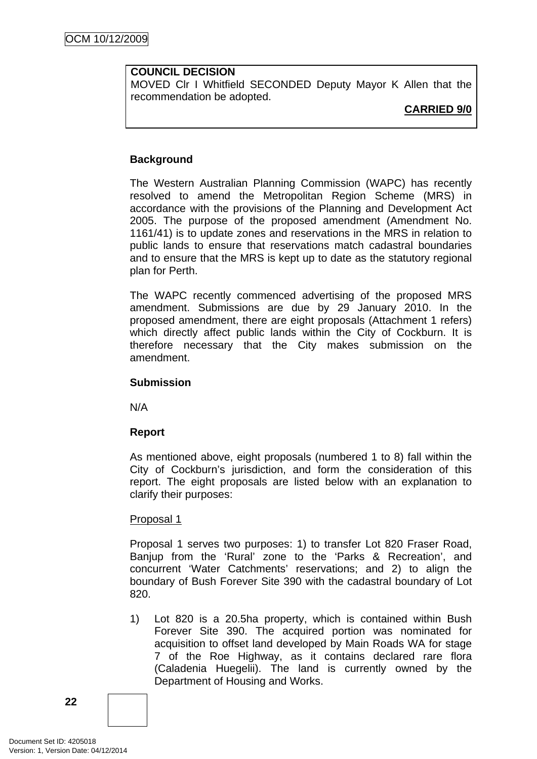### **COUNCIL DECISION**

MOVED Clr I Whitfield SECONDED Deputy Mayor K Allen that the recommendation be adopted.

**CARRIED 9/0**

### **Background**

The Western Australian Planning Commission (WAPC) has recently resolved to amend the Metropolitan Region Scheme (MRS) in accordance with the provisions of the Planning and Development Act 2005. The purpose of the proposed amendment (Amendment No. 1161/41) is to update zones and reservations in the MRS in relation to public lands to ensure that reservations match cadastral boundaries and to ensure that the MRS is kept up to date as the statutory regional plan for Perth.

The WAPC recently commenced advertising of the proposed MRS amendment. Submissions are due by 29 January 2010. In the proposed amendment, there are eight proposals (Attachment 1 refers) which directly affect public lands within the City of Cockburn. It is therefore necessary that the City makes submission on the amendment.

### **Submission**

N/A

### **Report**

As mentioned above, eight proposals (numbered 1 to 8) fall within the City of Cockburn's jurisdiction, and form the consideration of this report. The eight proposals are listed below with an explanation to clarify their purposes:

### Proposal 1

Proposal 1 serves two purposes: 1) to transfer Lot 820 Fraser Road, Banjup from the 'Rural' zone to the 'Parks & Recreation', and concurrent 'Water Catchments' reservations; and 2) to align the boundary of Bush Forever Site 390 with the cadastral boundary of Lot 820.

1) Lot 820 is a 20.5ha property, which is contained within Bush Forever Site 390. The acquired portion was nominated for acquisition to offset land developed by Main Roads WA for stage 7 of the Roe Highway, as it contains declared rare flora (Caladenia Huegelii). The land is currently owned by the Department of Housing and Works.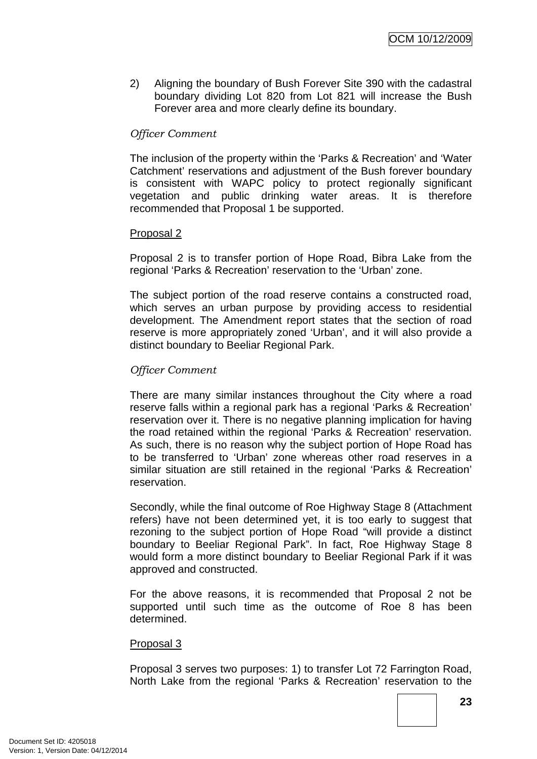2) Aligning the boundary of Bush Forever Site 390 with the cadastral boundary dividing Lot 820 from Lot 821 will increase the Bush Forever area and more clearly define its boundary.

### *Officer Comment*

The inclusion of the property within the 'Parks & Recreation' and 'Water Catchment' reservations and adjustment of the Bush forever boundary is consistent with WAPC policy to protect regionally significant vegetation and public drinking water areas. It is therefore recommended that Proposal 1 be supported.

#### Proposal 2

Proposal 2 is to transfer portion of Hope Road, Bibra Lake from the regional 'Parks & Recreation' reservation to the 'Urban' zone.

The subject portion of the road reserve contains a constructed road, which serves an urban purpose by providing access to residential development. The Amendment report states that the section of road reserve is more appropriately zoned 'Urban', and it will also provide a distinct boundary to Beeliar Regional Park.

### *Officer Comment*

There are many similar instances throughout the City where a road reserve falls within a regional park has a regional 'Parks & Recreation' reservation over it. There is no negative planning implication for having the road retained within the regional 'Parks & Recreation' reservation. As such, there is no reason why the subject portion of Hope Road has to be transferred to 'Urban' zone whereas other road reserves in a similar situation are still retained in the regional 'Parks & Recreation' reservation.

Secondly, while the final outcome of Roe Highway Stage 8 (Attachment refers) have not been determined yet, it is too early to suggest that rezoning to the subject portion of Hope Road "will provide a distinct boundary to Beeliar Regional Park". In fact, Roe Highway Stage 8 would form a more distinct boundary to Beeliar Regional Park if it was approved and constructed.

For the above reasons, it is recommended that Proposal 2 not be supported until such time as the outcome of Roe 8 has been determined.

### Proposal 3

Proposal 3 serves two purposes: 1) to transfer Lot 72 Farrington Road, North Lake from the regional 'Parks & Recreation' reservation to the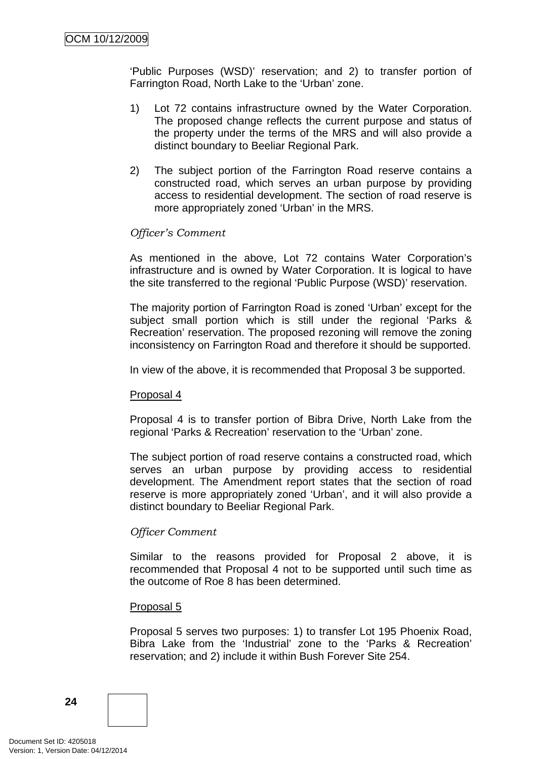'Public Purposes (WSD)' reservation; and 2) to transfer portion of Farrington Road, North Lake to the 'Urban' zone.

- 1) Lot 72 contains infrastructure owned by the Water Corporation. The proposed change reflects the current purpose and status of the property under the terms of the MRS and will also provide a distinct boundary to Beeliar Regional Park.
- 2) The subject portion of the Farrington Road reserve contains a constructed road, which serves an urban purpose by providing access to residential development. The section of road reserve is more appropriately zoned 'Urban' in the MRS.

### *Officer's Comment*

As mentioned in the above, Lot 72 contains Water Corporation's infrastructure and is owned by Water Corporation. It is logical to have the site transferred to the regional 'Public Purpose (WSD)' reservation.

The majority portion of Farrington Road is zoned 'Urban' except for the subject small portion which is still under the regional 'Parks & Recreation' reservation. The proposed rezoning will remove the zoning inconsistency on Farrington Road and therefore it should be supported.

In view of the above, it is recommended that Proposal 3 be supported.

#### Proposal 4

Proposal 4 is to transfer portion of Bibra Drive, North Lake from the regional 'Parks & Recreation' reservation to the 'Urban' zone.

The subject portion of road reserve contains a constructed road, which serves an urban purpose by providing access to residential development. The Amendment report states that the section of road reserve is more appropriately zoned 'Urban', and it will also provide a distinct boundary to Beeliar Regional Park.

### *Officer Comment*

Similar to the reasons provided for Proposal 2 above, it is recommended that Proposal 4 not to be supported until such time as the outcome of Roe 8 has been determined.

#### Proposal 5

Proposal 5 serves two purposes: 1) to transfer Lot 195 Phoenix Road, Bibra Lake from the 'Industrial' zone to the 'Parks & Recreation' reservation; and 2) include it within Bush Forever Site 254.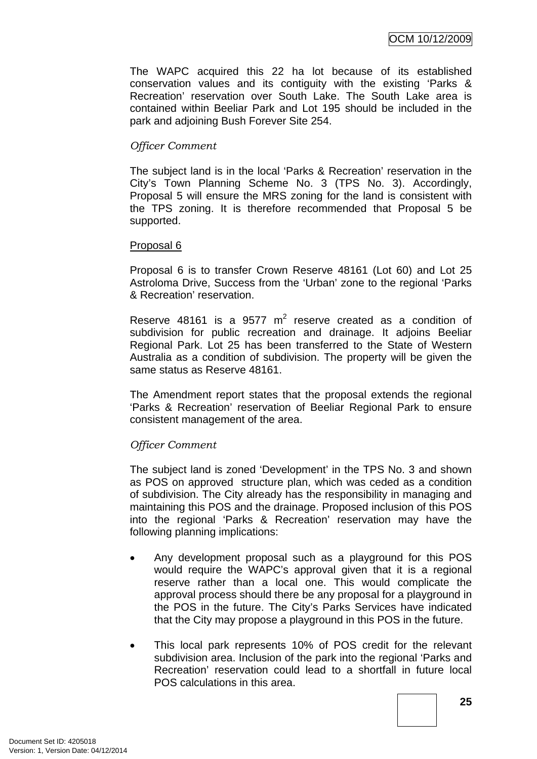The WAPC acquired this 22 ha lot because of its established conservation values and its contiguity with the existing 'Parks & Recreation' reservation over South Lake. The South Lake area is contained within Beeliar Park and Lot 195 should be included in the park and adjoining Bush Forever Site 254.

### *Officer Comment*

The subject land is in the local 'Parks & Recreation' reservation in the City's Town Planning Scheme No. 3 (TPS No. 3). Accordingly, Proposal 5 will ensure the MRS zoning for the land is consistent with the TPS zoning. It is therefore recommended that Proposal 5 be supported.

#### Proposal 6

Proposal 6 is to transfer Crown Reserve 48161 (Lot 60) and Lot 25 Astroloma Drive, Success from the 'Urban' zone to the regional 'Parks & Recreation' reservation.

Reserve  $48161$  is a  $9577 \text{ m}^2$  reserve created as a condition of subdivision for public recreation and drainage. It adjoins Beeliar Regional Park. Lot 25 has been transferred to the State of Western Australia as a condition of subdivision. The property will be given the same status as Reserve 48161.

The Amendment report states that the proposal extends the regional 'Parks & Recreation' reservation of Beeliar Regional Park to ensure consistent management of the area.

### *Officer Comment*

The subject land is zoned 'Development' in the TPS No. 3 and shown as POS on approved structure plan, which was ceded as a condition of subdivision. The City already has the responsibility in managing and maintaining this POS and the drainage. Proposed inclusion of this POS into the regional 'Parks & Recreation' reservation may have the following planning implications:

- Any development proposal such as a playground for this POS would require the WAPC's approval given that it is a regional reserve rather than a local one. This would complicate the approval process should there be any proposal for a playground in the POS in the future. The City's Parks Services have indicated that the City may propose a playground in this POS in the future.
- This local park represents 10% of POS credit for the relevant subdivision area. Inclusion of the park into the regional 'Parks and Recreation' reservation could lead to a shortfall in future local POS calculations in this area.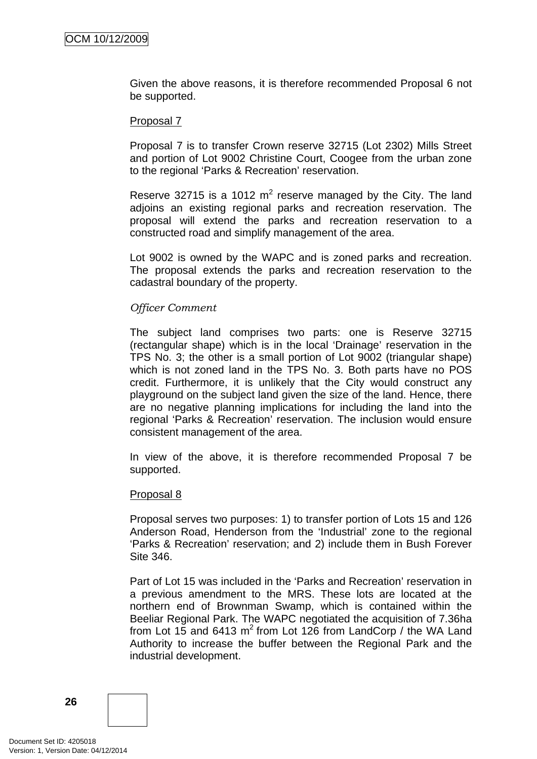Given the above reasons, it is therefore recommended Proposal 6 not be supported.

#### Proposal 7

Proposal 7 is to transfer Crown reserve 32715 (Lot 2302) Mills Street and portion of Lot 9002 Christine Court, Coogee from the urban zone to the regional 'Parks & Recreation' reservation.

Reserve 32715 is a 1012  $m^2$  reserve managed by the City. The land adjoins an existing regional parks and recreation reservation. The proposal will extend the parks and recreation reservation to a constructed road and simplify management of the area.

Lot 9002 is owned by the WAPC and is zoned parks and recreation. The proposal extends the parks and recreation reservation to the cadastral boundary of the property.

#### *Officer Comment*

The subject land comprises two parts: one is Reserve 32715 (rectangular shape) which is in the local 'Drainage' reservation in the TPS No. 3; the other is a small portion of Lot 9002 (triangular shape) which is not zoned land in the TPS No. 3. Both parts have no POS credit. Furthermore, it is unlikely that the City would construct any playground on the subject land given the size of the land. Hence, there are no negative planning implications for including the land into the regional 'Parks & Recreation' reservation. The inclusion would ensure consistent management of the area.

In view of the above, it is therefore recommended Proposal 7 be supported.

#### Proposal 8

Proposal serves two purposes: 1) to transfer portion of Lots 15 and 126 Anderson Road, Henderson from the 'Industrial' zone to the regional 'Parks & Recreation' reservation; and 2) include them in Bush Forever Site 346.

Part of Lot 15 was included in the 'Parks and Recreation' reservation in a previous amendment to the MRS. These lots are located at the northern end of Brownman Swamp, which is contained within the Beeliar Regional Park. The WAPC negotiated the acquisition of 7.36ha from Lot 15 and 6413  $m^2$  from Lot 126 from LandCorp / the WA Land Authority to increase the buffer between the Regional Park and the industrial development.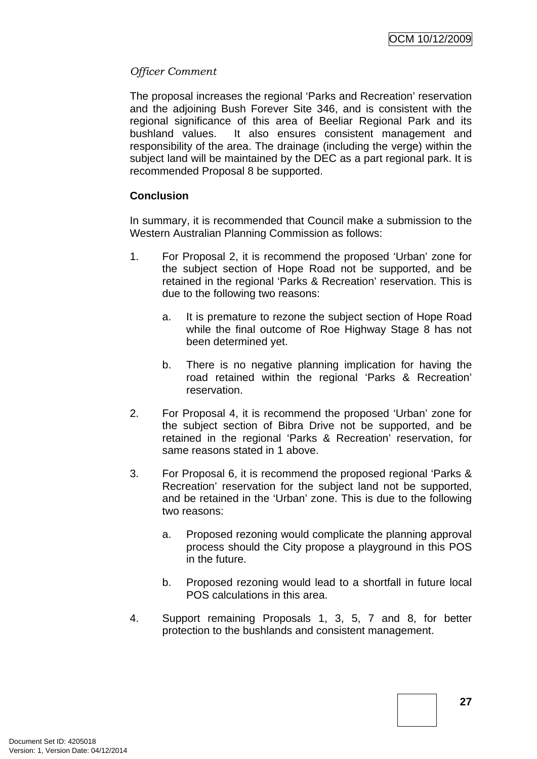### *Officer Comment*

The proposal increases the regional 'Parks and Recreation' reservation and the adjoining Bush Forever Site 346, and is consistent with the regional significance of this area of Beeliar Regional Park and its bushland values. It also ensures consistent management and responsibility of the area. The drainage (including the verge) within the subject land will be maintained by the DEC as a part regional park. It is recommended Proposal 8 be supported.

### **Conclusion**

In summary, it is recommended that Council make a submission to the Western Australian Planning Commission as follows:

- 1. For Proposal 2, it is recommend the proposed 'Urban' zone for the subject section of Hope Road not be supported, and be retained in the regional 'Parks & Recreation' reservation. This is due to the following two reasons:
	- a. It is premature to rezone the subject section of Hope Road while the final outcome of Roe Highway Stage 8 has not been determined yet.
	- b. There is no negative planning implication for having the road retained within the regional 'Parks & Recreation' reservation.
- 2. For Proposal 4, it is recommend the proposed 'Urban' zone for the subject section of Bibra Drive not be supported, and be retained in the regional 'Parks & Recreation' reservation, for same reasons stated in 1 above.
- 3. For Proposal 6, it is recommend the proposed regional 'Parks & Recreation' reservation for the subject land not be supported, and be retained in the 'Urban' zone. This is due to the following two reasons:
	- a. Proposed rezoning would complicate the planning approval process should the City propose a playground in this POS in the future.
	- b. Proposed rezoning would lead to a shortfall in future local POS calculations in this area.
- 4. Support remaining Proposals 1, 3, 5, 7 and 8, for better protection to the bushlands and consistent management.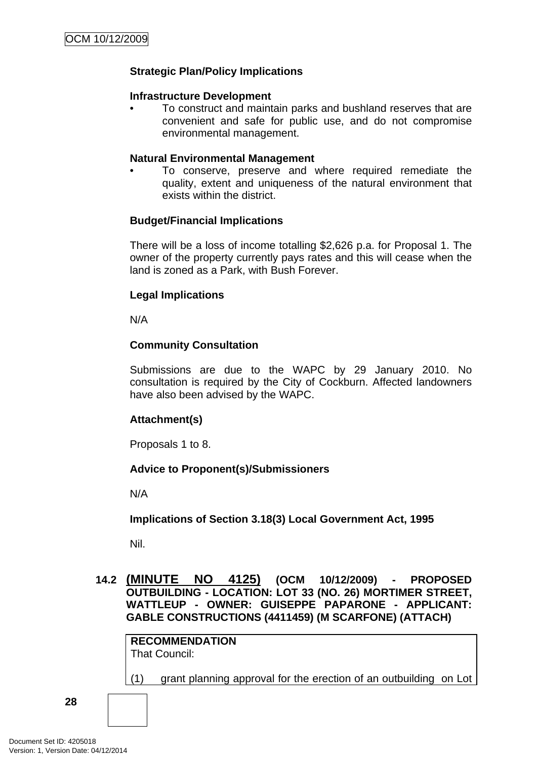## <span id="page-31-0"></span>**Strategic Plan/Policy Implications**

#### **Infrastructure Development**

• To construct and maintain parks and bushland reserves that are convenient and safe for public use, and do not compromise environmental management.

#### **Natural Environmental Management**

• To conserve, preserve and where required remediate the quality, extent and uniqueness of the natural environment that exists within the district.

#### **Budget/Financial Implications**

There will be a loss of income totalling \$2,626 p.a. for Proposal 1. The owner of the property currently pays rates and this will cease when the land is zoned as a Park, with Bush Forever.

### **Legal Implications**

N/A

### **Community Consultation**

Submissions are due to the WAPC by 29 January 2010. No consultation is required by the City of Cockburn. Affected landowners have also been advised by the WAPC.

### **Attachment(s)**

Proposals 1 to 8.

### **Advice to Proponent(s)/Submissioners**

N/A

**Implications of Section 3.18(3) Local Government Act, 1995**

Nil.

### **14.2 (MINUTE NO 4125) (OCM 10/12/2009) - PROPOSED OUTBUILDING - LOCATION: LOT 33 (NO. 26) MORTIMER STREET, WATTLEUP - OWNER: GUISEPPE PAPARONE - APPLICANT: GABLE CONSTRUCTIONS (4411459) (M SCARFONE) (ATTACH)**

**RECOMMENDATION** That Council:

(1) grant planning approval for the erection of an outbuilding on Lot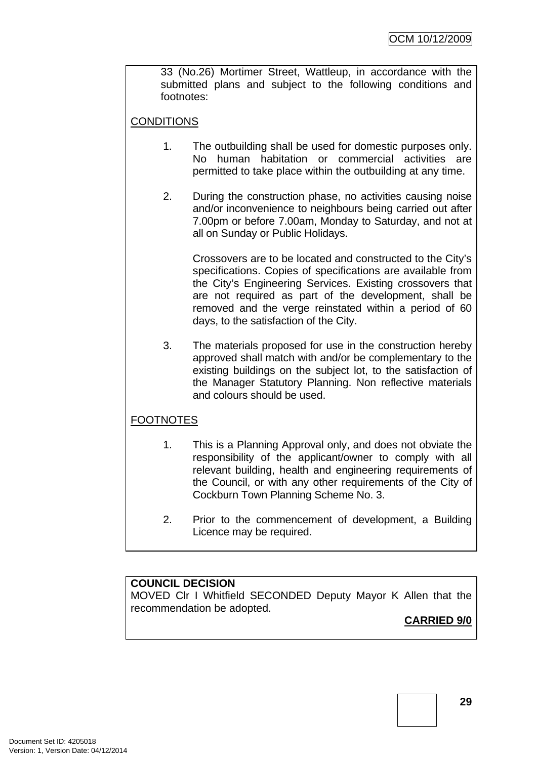33 (No.26) Mortimer Street, Wattleup, in accordance with the submitted plans and subject to the following conditions and footnotes:

# **CONDITIONS**

- 1. The outbuilding shall be used for domestic purposes only. No human habitation or commercial activities are permitted to take place within the outbuilding at any time.
- 2. During the construction phase, no activities causing noise and/or inconvenience to neighbours being carried out after 7.00pm or before 7.00am, Monday to Saturday, and not at all on Sunday or Public Holidays.

Crossovers are to be located and constructed to the City's specifications. Copies of specifications are available from the City's Engineering Services. Existing crossovers that are not required as part of the development, shall be removed and the verge reinstated within a period of 60 days, to the satisfaction of the City.

3. The materials proposed for use in the construction hereby approved shall match with and/or be complementary to the existing buildings on the subject lot, to the satisfaction of the Manager Statutory Planning. Non reflective materials and colours should be used.

## FOOTNOTES

- 1. This is a Planning Approval only, and does not obviate the responsibility of the applicant/owner to comply with all relevant building, health and engineering requirements of the Council, or with any other requirements of the City of Cockburn Town Planning Scheme No. 3.
- 2. Prior to the commencement of development, a Building Licence may be required.

# **COUNCIL DECISION**

MOVED Clr I Whitfield SECONDED Deputy Mayor K Allen that the recommendation be adopted.

## **CARRIED 9/0**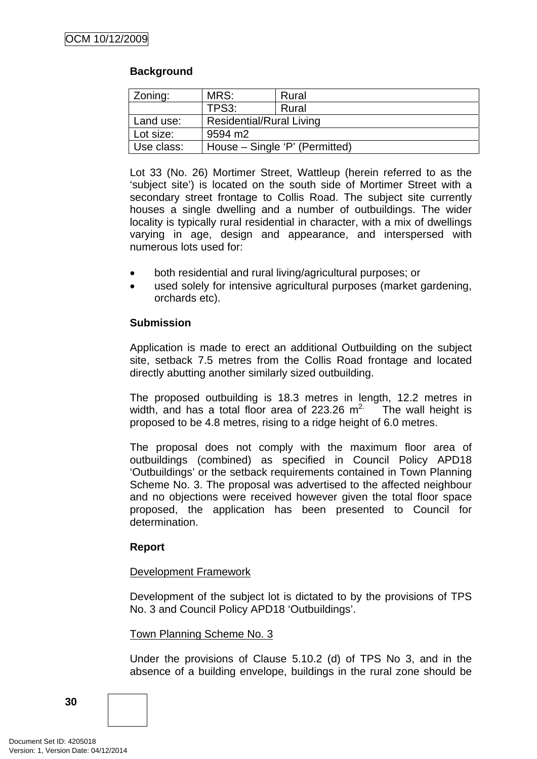### **Background**

| Zoning:    | MRS:                            | Rural |  |  |  |
|------------|---------------------------------|-------|--|--|--|
|            | TPS3:                           | Rural |  |  |  |
| Land use:  | <b>Residential/Rural Living</b> |       |  |  |  |
| Lot size:  | 9594 m2                         |       |  |  |  |
| Use class: | House – Single 'P' (Permitted)  |       |  |  |  |

Lot 33 (No. 26) Mortimer Street, Wattleup (herein referred to as the 'subject site') is located on the south side of Mortimer Street with a secondary street frontage to Collis Road. The subject site currently houses a single dwelling and a number of outbuildings. The wider locality is typically rural residential in character, with a mix of dwellings varying in age, design and appearance, and interspersed with numerous lots used for:

- both residential and rural living/agricultural purposes; or
- used solely for intensive agricultural purposes (market gardening, orchards etc).

#### **Submission**

Application is made to erect an additional Outbuilding on the subject site, setback 7.5 metres from the Collis Road frontage and located directly abutting another similarly sized outbuilding.

The proposed outbuilding is 18.3 metres in length, 12.2 metres in width, and has a total floor area of 223.26  $m^2$ . The wall height is proposed to be 4.8 metres, rising to a ridge height of 6.0 metres.

The proposal does not comply with the maximum floor area of outbuildings (combined) as specified in Council Policy APD18 'Outbuildings' or the setback requirements contained in Town Planning Scheme No. 3. The proposal was advertised to the affected neighbour and no objections were received however given the total floor space proposed, the application has been presented to Council for determination.

### **Report**

#### Development Framework

Development of the subject lot is dictated to by the provisions of TPS No. 3 and Council Policy APD18 'Outbuildings'.

#### Town Planning Scheme No. 3

Under the provisions of Clause 5.10.2 (d) of TPS No 3, and in the absence of a building envelope, buildings in the rural zone should be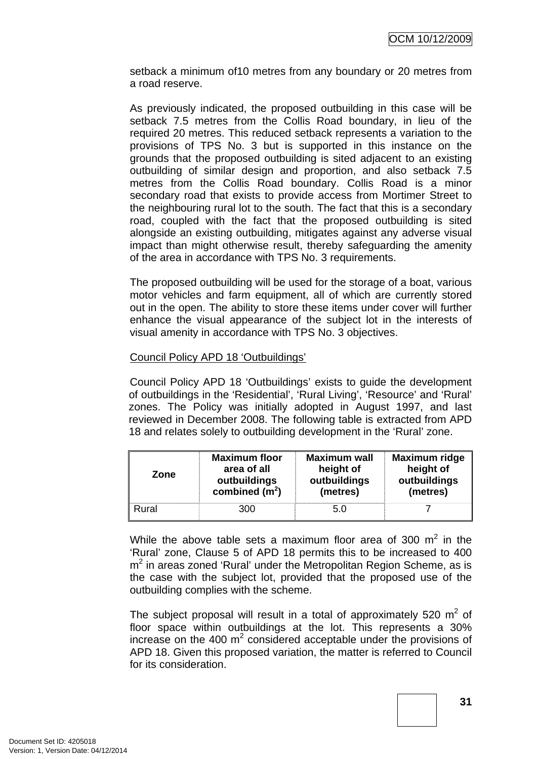setback a minimum of10 metres from any boundary or 20 metres from a road reserve.

As previously indicated, the proposed outbuilding in this case will be setback 7.5 metres from the Collis Road boundary, in lieu of the required 20 metres. This reduced setback represents a variation to the provisions of TPS No. 3 but is supported in this instance on the grounds that the proposed outbuilding is sited adjacent to an existing outbuilding of similar design and proportion, and also setback 7.5 metres from the Collis Road boundary. Collis Road is a minor secondary road that exists to provide access from Mortimer Street to the neighbouring rural lot to the south. The fact that this is a secondary road, coupled with the fact that the proposed outbuilding is sited alongside an existing outbuilding, mitigates against any adverse visual impact than might otherwise result, thereby safeguarding the amenity of the area in accordance with TPS No. 3 requirements.

The proposed outbuilding will be used for the storage of a boat, various motor vehicles and farm equipment, all of which are currently stored out in the open. The ability to store these items under cover will further enhance the visual appearance of the subject lot in the interests of visual amenity in accordance with TPS No. 3 objectives.

### Council Policy APD 18 'Outbuildings'

Council Policy APD 18 'Outbuildings' exists to guide the development of outbuildings in the 'Residential', 'Rural Living', 'Resource' and 'Rural' zones. The Policy was initially adopted in August 1997, and last reviewed in December 2008. The following table is extracted from APD 18 and relates solely to outbuilding development in the 'Rural' zone.

| Zone  | <b>Maximum floor</b> | <b>Maximum wall</b> | Maximum ridge |
|-------|----------------------|---------------------|---------------|
|       | area of all          | height of           | height of     |
|       | outbuildings         | outbuildings        | outbuildings  |
|       | combined $(m2)$      | (metres)            | (metres)      |
| Rural | 300                  | 5.0                 |               |

While the above table sets a maximum floor area of 300  $m^2$  in the 'Rural' zone, Clause 5 of APD 18 permits this to be increased to 400  $m<sup>2</sup>$  in areas zoned 'Rural' under the Metropolitan Region Scheme, as is the case with the subject lot, provided that the proposed use of the outbuilding complies with the scheme.

The subject proposal will result in a total of approximately 520  $m^2$  of floor space within outbuildings at the lot. This represents a 30% increase on the 400  $m^2$  considered acceptable under the provisions of APD 18. Given this proposed variation, the matter is referred to Council for its consideration.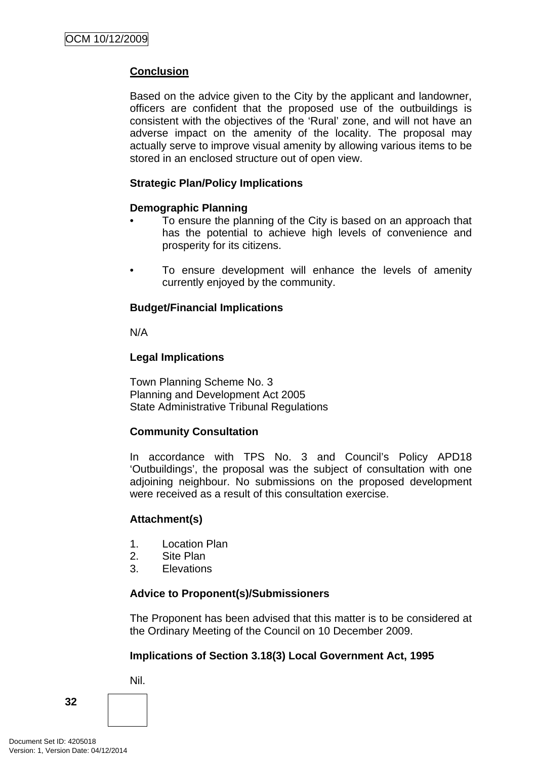# **Conclusion**

Based on the advice given to the City by the applicant and landowner, officers are confident that the proposed use of the outbuildings is consistent with the objectives of the 'Rural' zone, and will not have an adverse impact on the amenity of the locality. The proposal may actually serve to improve visual amenity by allowing various items to be stored in an enclosed structure out of open view.

### **Strategic Plan/Policy Implications**

### **Demographic Planning**

- To ensure the planning of the City is based on an approach that has the potential to achieve high levels of convenience and prosperity for its citizens.
- To ensure development will enhance the levels of amenity currently enjoyed by the community.

### **Budget/Financial Implications**

N/A

### **Legal Implications**

Town Planning Scheme No. 3 Planning and Development Act 2005 State Administrative Tribunal Regulations

## **Community Consultation**

In accordance with TPS No. 3 and Council's Policy APD18 'Outbuildings', the proposal was the subject of consultation with one adjoining neighbour. No submissions on the proposed development were received as a result of this consultation exercise.

## **Attachment(s)**

- 1. Location Plan
- 2. Site Plan
- 3. Elevations

### **Advice to Proponent(s)/Submissioners**

The Proponent has been advised that this matter is to be considered at the Ordinary Meeting of the Council on 10 December 2009.

## **Implications of Section 3.18(3) Local Government Act, 1995**

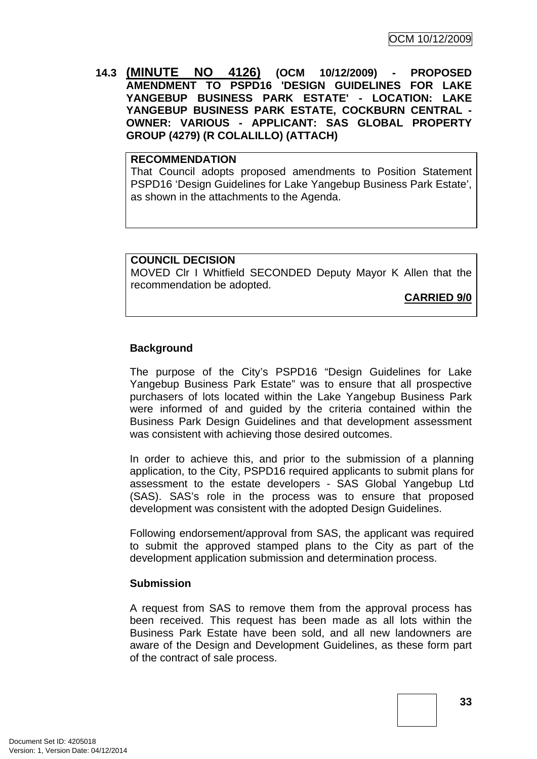**14.3 (MINUTE NO 4126) (OCM 10/12/2009) - PROPOSED AMENDMENT TO PSPD16 'DESIGN GUIDELINES FOR LAKE YANGEBUP BUSINESS PARK ESTATE' - LOCATION: LAKE YANGEBUP BUSINESS PARK ESTATE, COCKBURN CENTRAL - OWNER: VARIOUS - APPLICANT: SAS GLOBAL PROPERTY GROUP (4279) (R COLALILLO) (ATTACH)** 

#### **RECOMMENDATION**

That Council adopts proposed amendments to Position Statement PSPD16 'Design Guidelines for Lake Yangebup Business Park Estate', as shown in the attachments to the Agenda.

### **COUNCIL DECISION**

MOVED Clr I Whitfield SECONDED Deputy Mayor K Allen that the recommendation be adopted.

**CARRIED 9/0**

# **Background**

The purpose of the City's PSPD16 "Design Guidelines for Lake Yangebup Business Park Estate" was to ensure that all prospective purchasers of lots located within the Lake Yangebup Business Park were informed of and guided by the criteria contained within the Business Park Design Guidelines and that development assessment was consistent with achieving those desired outcomes.

In order to achieve this, and prior to the submission of a planning application, to the City, PSPD16 required applicants to submit plans for assessment to the estate developers - SAS Global Yangebup Ltd (SAS). SAS's role in the process was to ensure that proposed development was consistent with the adopted Design Guidelines.

Following endorsement/approval from SAS, the applicant was required to submit the approved stamped plans to the City as part of the development application submission and determination process.

### **Submission**

A request from SAS to remove them from the approval process has been received. This request has been made as all lots within the Business Park Estate have been sold, and all new landowners are aware of the Design and Development Guidelines, as these form part of the contract of sale process.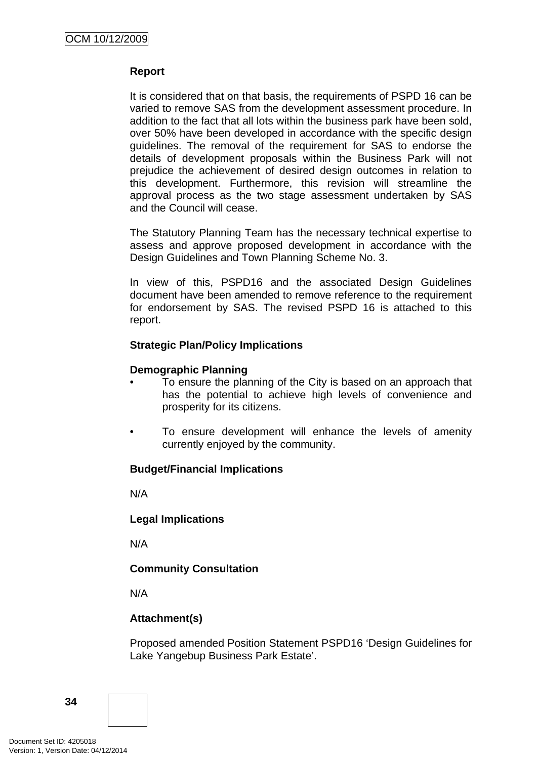### **Report**

It is considered that on that basis, the requirements of PSPD 16 can be varied to remove SAS from the development assessment procedure. In addition to the fact that all lots within the business park have been sold, over 50% have been developed in accordance with the specific design guidelines. The removal of the requirement for SAS to endorse the details of development proposals within the Business Park will not prejudice the achievement of desired design outcomes in relation to this development. Furthermore, this revision will streamline the approval process as the two stage assessment undertaken by SAS and the Council will cease.

The Statutory Planning Team has the necessary technical expertise to assess and approve proposed development in accordance with the Design Guidelines and Town Planning Scheme No. 3.

In view of this, PSPD16 and the associated Design Guidelines document have been amended to remove reference to the requirement for endorsement by SAS. The revised PSPD 16 is attached to this report.

### **Strategic Plan/Policy Implications**

### **Demographic Planning**

- To ensure the planning of the City is based on an approach that has the potential to achieve high levels of convenience and prosperity for its citizens.
- To ensure development will enhance the levels of amenity currently enjoyed by the community.

# **Budget/Financial Implications**

N/A

### **Legal Implications**

N/A

# **Community Consultation**

N/A

# **Attachment(s)**

Proposed amended Position Statement PSPD16 'Design Guidelines for Lake Yangebup Business Park Estate'.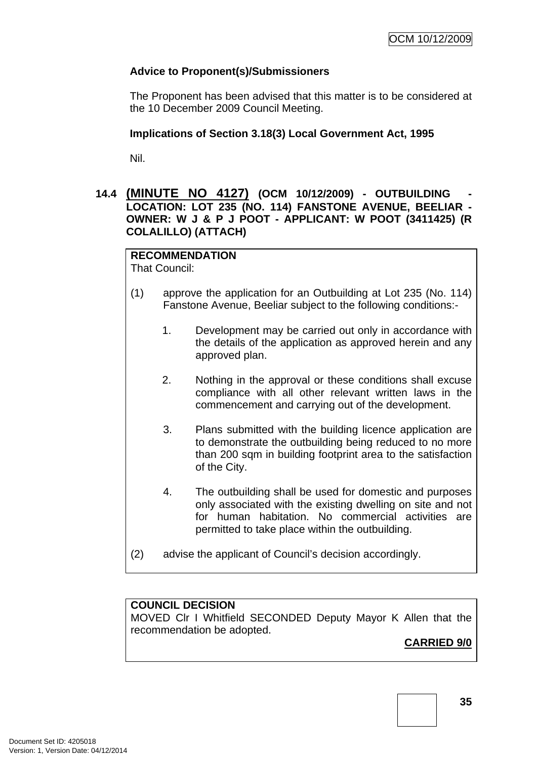# **Advice to Proponent(s)/Submissioners**

The Proponent has been advised that this matter is to be considered at the 10 December 2009 Council Meeting.

### **Implications of Section 3.18(3) Local Government Act, 1995**

Nil.

### **14.4 (MINUTE NO 4127) (OCM 10/12/2009) - OUTBUILDING - LOCATION: LOT 235 (NO. 114) FANSTONE AVENUE, BEELIAR - OWNER: W J & P J POOT - APPLICANT: W POOT (3411425) (R COLALILLO) (ATTACH)**

#### **RECOMMENDATION** That Council:

- (1) approve the application for an Outbuilding at Lot 235 (No. 114) Fanstone Avenue, Beeliar subject to the following conditions:-
	- 1. Development may be carried out only in accordance with the details of the application as approved herein and any approved plan.
	- 2. Nothing in the approval or these conditions shall excuse compliance with all other relevant written laws in the commencement and carrying out of the development.
	- 3. Plans submitted with the building licence application are to demonstrate the outbuilding being reduced to no more than 200 sqm in building footprint area to the satisfaction of the City.
	- 4. The outbuilding shall be used for domestic and purposes only associated with the existing dwelling on site and not for human habitation. No commercial activities are permitted to take place within the outbuilding.
- (2) advise the applicant of Council's decision accordingly.

# **COUNCIL DECISION**

MOVED Clr I Whitfield SECONDED Deputy Mayor K Allen that the recommendation be adopted.

# **CARRIED 9/0**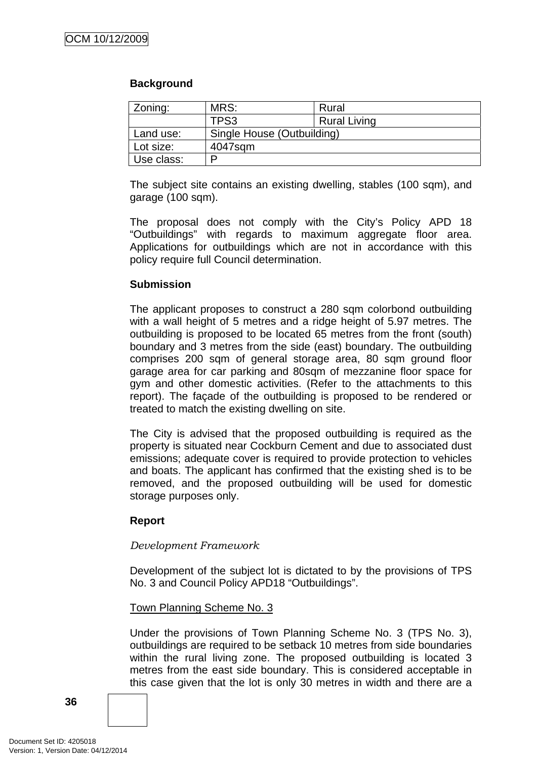### **Background**

| Zoning:    | MRS:                       | Rural               |  |
|------------|----------------------------|---------------------|--|
|            | TPS3                       | <b>Rural Living</b> |  |
| Land use:  | Single House (Outbuilding) |                     |  |
| Lot size:  | 4047sqm                    |                     |  |
| Use class: | D                          |                     |  |

The subject site contains an existing dwelling, stables (100 sqm), and garage (100 sqm).

The proposal does not comply with the City's Policy APD 18 "Outbuildings" with regards to maximum aggregate floor area. Applications for outbuildings which are not in accordance with this policy require full Council determination.

### **Submission**

The applicant proposes to construct a 280 sqm colorbond outbuilding with a wall height of 5 metres and a ridge height of 5.97 metres. The outbuilding is proposed to be located 65 metres from the front (south) boundary and 3 metres from the side (east) boundary. The outbuilding comprises 200 sqm of general storage area, 80 sqm ground floor garage area for car parking and 80sqm of mezzanine floor space for gym and other domestic activities. (Refer to the attachments to this report). The façade of the outbuilding is proposed to be rendered or treated to match the existing dwelling on site.

The City is advised that the proposed outbuilding is required as the property is situated near Cockburn Cement and due to associated dust emissions; adequate cover is required to provide protection to vehicles and boats. The applicant has confirmed that the existing shed is to be removed, and the proposed outbuilding will be used for domestic storage purposes only.

# **Report**

### *Development Framework*

Development of the subject lot is dictated to by the provisions of TPS No. 3 and Council Policy APD18 "Outbuildings".

### Town Planning Scheme No. 3

Under the provisions of Town Planning Scheme No. 3 (TPS No. 3), outbuildings are required to be setback 10 metres from side boundaries within the rural living zone. The proposed outbuilding is located 3 metres from the east side boundary. This is considered acceptable in this case given that the lot is only 30 metres in width and there are a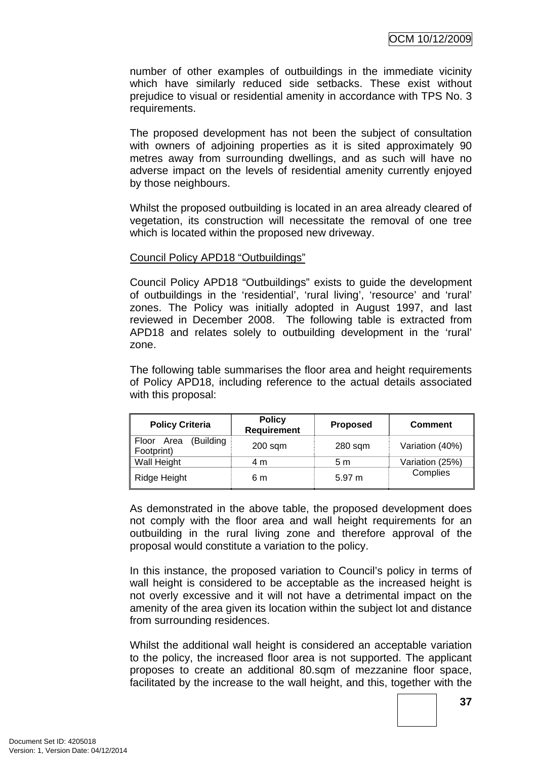number of other examples of outbuildings in the immediate vicinity which have similarly reduced side setbacks. These exist without prejudice to visual or residential amenity in accordance with TPS No. 3 requirements.

The proposed development has not been the subject of consultation with owners of adioining properties as it is sited approximately 90 metres away from surrounding dwellings, and as such will have no adverse impact on the levels of residential amenity currently enjoyed by those neighbours.

Whilst the proposed outbuilding is located in an area already cleared of vegetation, its construction will necessitate the removal of one tree which is located within the proposed new driveway.

### Council Policy APD18 "Outbuildings"

Council Policy APD18 "Outbuildings" exists to guide the development of outbuildings in the 'residential', 'rural living', 'resource' and 'rural' zones. The Policy was initially adopted in August 1997, and last reviewed in December 2008. The following table is extracted from APD18 and relates solely to outbuilding development in the 'rural' zone.

The following table summarises the floor area and height requirements of Policy APD18, including reference to the actual details associated with this proposal:

| <b>Policy Criteria</b>                | <b>Policy</b><br><b>Requirement</b> | <b>Proposed</b> | <b>Comment</b>  |
|---------------------------------------|-------------------------------------|-----------------|-----------------|
| (Building<br>Floor Area<br>Footprint) | $200$ sqm                           | $280$ sqm       | Variation (40%) |
| Wall Height                           | 4 m                                 | 5 m             | Variation (25%) |
| Ridge Height                          | 6 m                                 | 5.97 m          | Complies        |

As demonstrated in the above table, the proposed development does not comply with the floor area and wall height requirements for an outbuilding in the rural living zone and therefore approval of the proposal would constitute a variation to the policy.

In this instance, the proposed variation to Council's policy in terms of wall height is considered to be acceptable as the increased height is not overly excessive and it will not have a detrimental impact on the amenity of the area given its location within the subject lot and distance from surrounding residences.

Whilst the additional wall height is considered an acceptable variation to the policy, the increased floor area is not supported. The applicant proposes to create an additional 80.sqm of mezzanine floor space, facilitated by the increase to the wall height, and this, together with the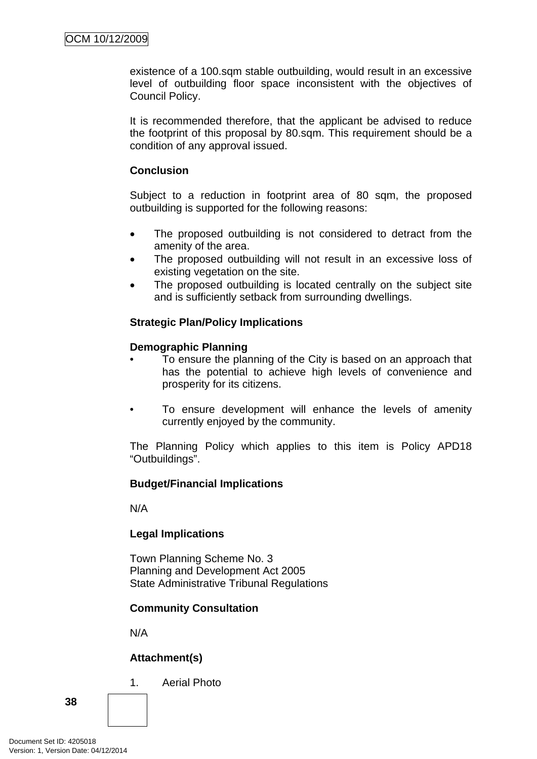existence of a 100.sqm stable outbuilding, would result in an excessive level of outbuilding floor space inconsistent with the objectives of Council Policy.

It is recommended therefore, that the applicant be advised to reduce the footprint of this proposal by 80.sqm. This requirement should be a condition of any approval issued.

### **Conclusion**

Subject to a reduction in footprint area of 80 sqm, the proposed outbuilding is supported for the following reasons:

- The proposed outbuilding is not considered to detract from the amenity of the area.
- The proposed outbuilding will not result in an excessive loss of existing vegetation on the site.
- The proposed outbuilding is located centrally on the subject site and is sufficiently setback from surrounding dwellings.

# **Strategic Plan/Policy Implications**

### **Demographic Planning**

- To ensure the planning of the City is based on an approach that has the potential to achieve high levels of convenience and prosperity for its citizens.
- To ensure development will enhance the levels of amenity currently enjoyed by the community.

The Planning Policy which applies to this item is Policy APD18 "Outbuildings".

### **Budget/Financial Implications**

N/A

### **Legal Implications**

Town Planning Scheme No. 3 Planning and Development Act 2005 State Administrative Tribunal Regulations

# **Community Consultation**

N/A

# **Attachment(s)**

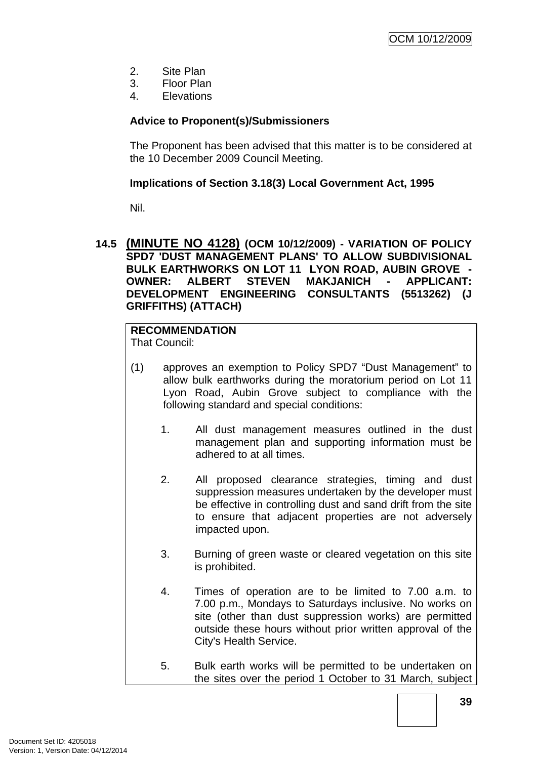- 2. Site Plan
- 3. Floor Plan
- 4. Elevations

# **Advice to Proponent(s)/Submissioners**

The Proponent has been advised that this matter is to be considered at the 10 December 2009 Council Meeting.

### **Implications of Section 3.18(3) Local Government Act, 1995**

Nil.

**14.5 (MINUTE NO 4128) (OCM 10/12/2009) - VARIATION OF POLICY SPD7 'DUST MANAGEMENT PLANS' TO ALLOW SUBDIVISIONAL BULK EARTHWORKS ON LOT 11 LYON ROAD, AUBIN GROVE - OWNER: ALBERT STEVEN MAKJANICH - APPLICANT: DEVELOPMENT ENGINEERING CONSULTANTS (5513262) (J GRIFFITHS) (ATTACH)** 

# **RECOMMENDATION**

That Council:

- (1) approves an exemption to Policy SPD7 "Dust Management" to allow bulk earthworks during the moratorium period on Lot 11 Lyon Road, Aubin Grove subject to compliance with the following standard and special conditions:
	- 1. All dust management measures outlined in the dust management plan and supporting information must be adhered to at all times.
	- 2. All proposed clearance strategies, timing and dust suppression measures undertaken by the developer must be effective in controlling dust and sand drift from the site to ensure that adjacent properties are not adversely impacted upon.
	- 3. Burning of green waste or cleared vegetation on this site is prohibited.
	- 4. Times of operation are to be limited to 7.00 a.m. to 7.00 p.m., Mondays to Saturdays inclusive. No works on site (other than dust suppression works) are permitted outside these hours without prior written approval of the City's Health Service.
	- 5. Bulk earth works will be permitted to be undertaken on the sites over the period 1 October to 31 March, subject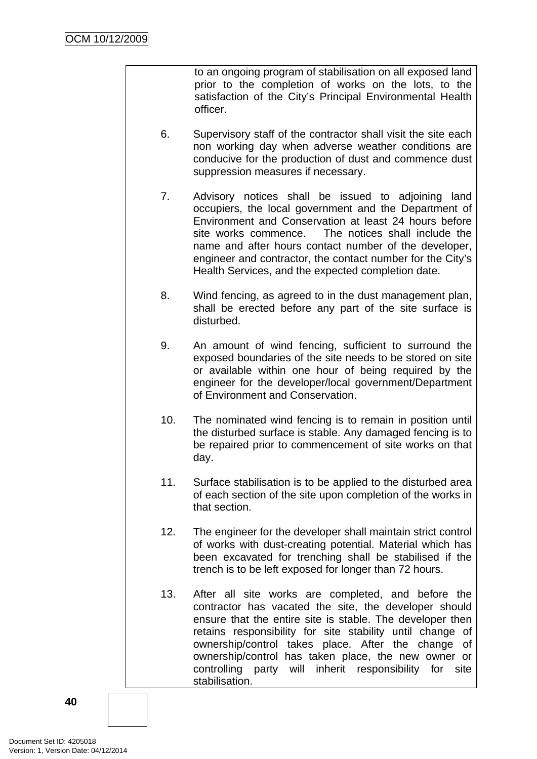to an ongoing program of stabilisation on all exposed land prior to the completion of works on the lots, to the satisfaction of the City's Principal Environmental Health officer.

- 6. Supervisory staff of the contractor shall visit the site each non working day when adverse weather conditions are conducive for the production of dust and commence dust suppression measures if necessary.
- 7. Advisory notices shall be issued to adjoining land occupiers, the local government and the Department of Environment and Conservation at least 24 hours before site works commence. The notices shall include the name and after hours contact number of the developer, engineer and contractor, the contact number for the City's Health Services, and the expected completion date.
- 8. Wind fencing, as agreed to in the dust management plan, shall be erected before any part of the site surface is disturbed.
- 9. An amount of wind fencing, sufficient to surround the exposed boundaries of the site needs to be stored on site or available within one hour of being required by the engineer for the developer/local government/Department of Environment and Conservation.
- 10. The nominated wind fencing is to remain in position until the disturbed surface is stable. Any damaged fencing is to be repaired prior to commencement of site works on that day.
- 11. Surface stabilisation is to be applied to the disturbed area of each section of the site upon completion of the works in that section.
- 12. The engineer for the developer shall maintain strict control of works with dust-creating potential. Material which has been excavated for trenching shall be stabilised if the trench is to be left exposed for longer than 72 hours.
- 13. After all site works are completed, and before the contractor has vacated the site, the developer should ensure that the entire site is stable. The developer then retains responsibility for site stability until change of ownership/control takes place. After the change of ownership/control has taken place, the new owner or controlling party will inherit responsibility for site stabilisation.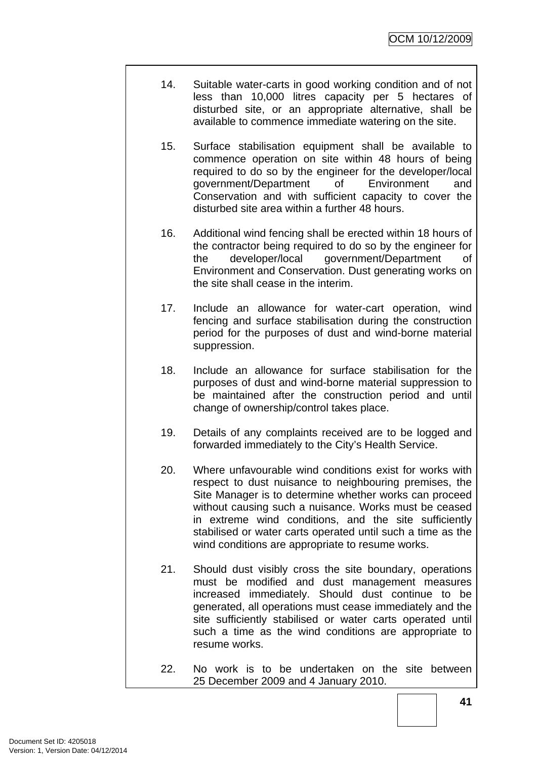- 14. Suitable water-carts in good working condition and of not less than 10,000 litres capacity per 5 hectares of disturbed site, or an appropriate alternative, shall be available to commence immediate watering on the site.
- 15. Surface stabilisation equipment shall be available to commence operation on site within 48 hours of being required to do so by the engineer for the developer/local government/Department of Environment and Conservation and with sufficient capacity to cover the disturbed site area within a further 48 hours.
- 16. Additional wind fencing shall be erected within 18 hours of the contractor being required to do so by the engineer for the developer/local government/Department of Environment and Conservation. Dust generating works on the site shall cease in the interim.
- 17. Include an allowance for water-cart operation, wind fencing and surface stabilisation during the construction period for the purposes of dust and wind-borne material suppression.
- 18. Include an allowance for surface stabilisation for the purposes of dust and wind-borne material suppression to be maintained after the construction period and until change of ownership/control takes place.
- 19. Details of any complaints received are to be logged and forwarded immediately to the City's Health Service.
- 20. Where unfavourable wind conditions exist for works with respect to dust nuisance to neighbouring premises, the Site Manager is to determine whether works can proceed without causing such a nuisance. Works must be ceased in extreme wind conditions, and the site sufficiently stabilised or water carts operated until such a time as the wind conditions are appropriate to resume works.
- 21. Should dust visibly cross the site boundary, operations must be modified and dust management measures increased immediately. Should dust continue to be generated, all operations must cease immediately and the site sufficiently stabilised or water carts operated until such a time as the wind conditions are appropriate to resume works.
- 22. No work is to be undertaken on the site between 25 December 2009 and 4 January 2010.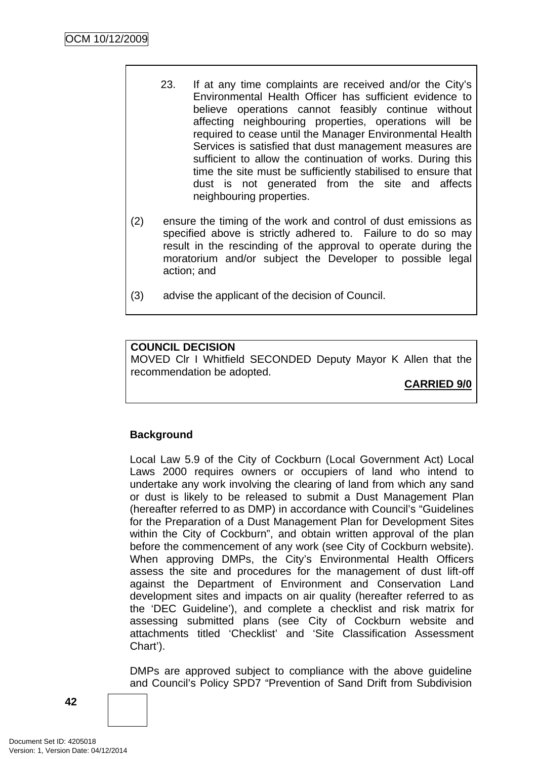- 23. If at any time complaints are received and/or the City's Environmental Health Officer has sufficient evidence to believe operations cannot feasibly continue without affecting neighbouring properties, operations will be required to cease until the Manager Environmental Health Services is satisfied that dust management measures are sufficient to allow the continuation of works. During this time the site must be sufficiently stabilised to ensure that dust is not generated from the site and affects neighbouring properties.
- (2) ensure the timing of the work and control of dust emissions as specified above is strictly adhered to. Failure to do so may result in the rescinding of the approval to operate during the moratorium and/or subject the Developer to possible legal action; and
- (3) advise the applicant of the decision of Council.

# **COUNCIL DECISION**

MOVED Clr I Whitfield SECONDED Deputy Mayor K Allen that the recommendation be adopted.

**CARRIED 9/0**

# **Background**

Local Law 5.9 of the City of Cockburn (Local Government Act) Local Laws 2000 requires owners or occupiers of land who intend to undertake any work involving the clearing of land from which any sand or dust is likely to be released to submit a Dust Management Plan (hereafter referred to as DMP) in accordance with Council's "Guidelines for the Preparation of a Dust Management Plan for Development Sites within the City of Cockburn", and obtain written approval of the plan before the commencement of any work (see City of Cockburn website). When approving DMPs, the City's Environmental Health Officers assess the site and procedures for the management of dust lift-off against the Department of Environment and Conservation Land development sites and impacts on air quality (hereafter referred to as the 'DEC Guideline'), and complete a checklist and risk matrix for assessing submitted plans (see City of Cockburn website and attachments titled 'Checklist' and 'Site Classification Assessment Chart').

DMPs are approved subject to compliance with the above guideline and Council's Policy SPD7 "Prevention of Sand Drift from Subdivision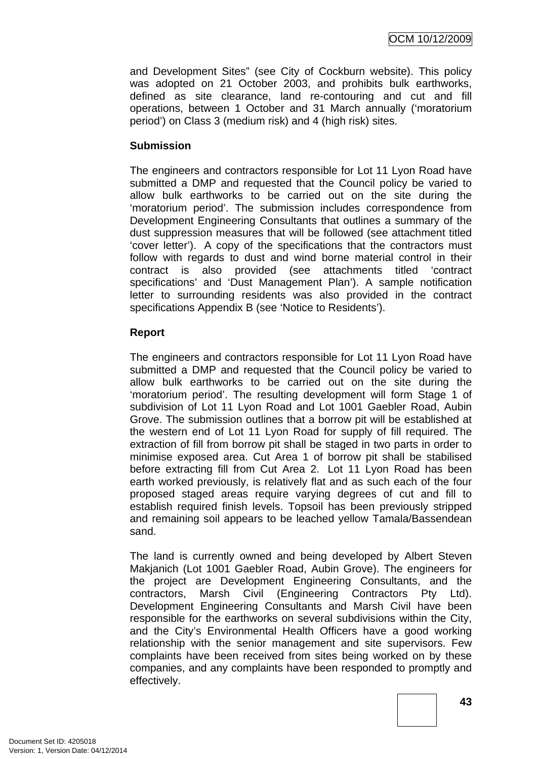and Development Sites" (see City of Cockburn website). This policy was adopted on 21 October 2003, and prohibits bulk earthworks, defined as site clearance, land re-contouring and cut and fill operations, between 1 October and 31 March annually ('moratorium period') on Class 3 (medium risk) and 4 (high risk) sites.

### **Submission**

The engineers and contractors responsible for Lot 11 Lyon Road have submitted a DMP and requested that the Council policy be varied to allow bulk earthworks to be carried out on the site during the 'moratorium period'. The submission includes correspondence from Development Engineering Consultants that outlines a summary of the dust suppression measures that will be followed (see attachment titled 'cover letter'). A copy of the specifications that the contractors must follow with regards to dust and wind borne material control in their contract is also provided (see attachments titled 'contract specifications' and 'Dust Management Plan'). A sample notification letter to surrounding residents was also provided in the contract specifications Appendix B (see 'Notice to Residents').

### **Report**

The engineers and contractors responsible for Lot 11 Lyon Road have submitted a DMP and requested that the Council policy be varied to allow bulk earthworks to be carried out on the site during the 'moratorium period'. The resulting development will form Stage 1 of subdivision of Lot 11 Lyon Road and Lot 1001 Gaebler Road, Aubin Grove. The submission outlines that a borrow pit will be established at the western end of Lot 11 Lyon Road for supply of fill required. The extraction of fill from borrow pit shall be staged in two parts in order to minimise exposed area. Cut Area 1 of borrow pit shall be stabilised before extracting fill from Cut Area 2. Lot 11 Lyon Road has been earth worked previously, is relatively flat and as such each of the four proposed staged areas require varying degrees of cut and fill to establish required finish levels. Topsoil has been previously stripped and remaining soil appears to be leached yellow Tamala/Bassendean sand.

The land is currently owned and being developed by Albert Steven Makjanich (Lot 1001 Gaebler Road, Aubin Grove). The engineers for the project are Development Engineering Consultants, and the contractors, Marsh Civil (Engineering Contractors Pty Ltd). Development Engineering Consultants and Marsh Civil have been responsible for the earthworks on several subdivisions within the City, and the City's Environmental Health Officers have a good working relationship with the senior management and site supervisors. Few complaints have been received from sites being worked on by these companies, and any complaints have been responded to promptly and effectively.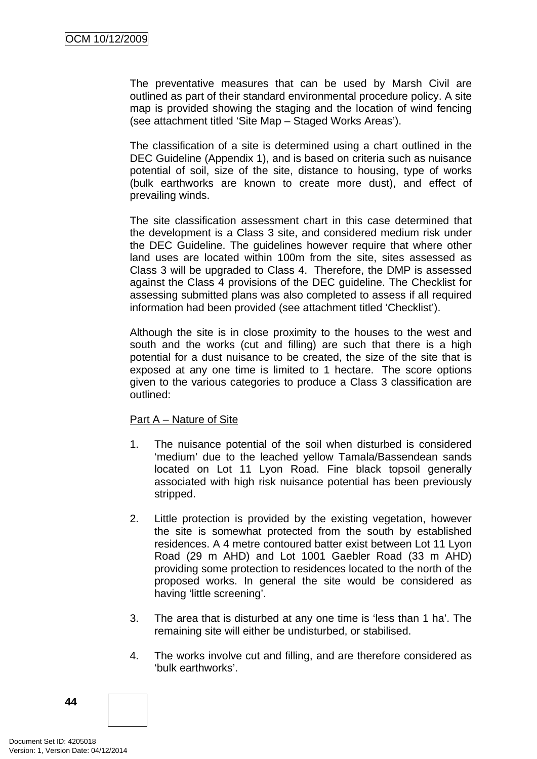The preventative measures that can be used by Marsh Civil are outlined as part of their standard environmental procedure policy. A site map is provided showing the staging and the location of wind fencing (see attachment titled 'Site Map – Staged Works Areas').

The classification of a site is determined using a chart outlined in the DEC Guideline (Appendix 1), and is based on criteria such as nuisance potential of soil, size of the site, distance to housing, type of works (bulk earthworks are known to create more dust), and effect of prevailing winds.

The site classification assessment chart in this case determined that the development is a Class 3 site, and considered medium risk under the DEC Guideline. The guidelines however require that where other land uses are located within 100m from the site, sites assessed as Class 3 will be upgraded to Class 4. Therefore, the DMP is assessed against the Class 4 provisions of the DEC guideline. The Checklist for assessing submitted plans was also completed to assess if all required information had been provided (see attachment titled 'Checklist').

Although the site is in close proximity to the houses to the west and south and the works (cut and filling) are such that there is a high potential for a dust nuisance to be created, the size of the site that is exposed at any one time is limited to 1 hectare. The score options given to the various categories to produce a Class 3 classification are outlined:

### Part A – Nature of Site

- 1. The nuisance potential of the soil when disturbed is considered 'medium' due to the leached yellow Tamala/Bassendean sands located on Lot 11 Lyon Road. Fine black topsoil generally associated with high risk nuisance potential has been previously stripped.
- 2. Little protection is provided by the existing vegetation, however the site is somewhat protected from the south by established residences. A 4 metre contoured batter exist between Lot 11 Lyon Road (29 m AHD) and Lot 1001 Gaebler Road (33 m AHD) providing some protection to residences located to the north of the proposed works. In general the site would be considered as having 'little screening'.
- 3. The area that is disturbed at any one time is 'less than 1 ha'. The remaining site will either be undisturbed, or stabilised.
- 4. The works involve cut and filling, and are therefore considered as 'bulk earthworks'.

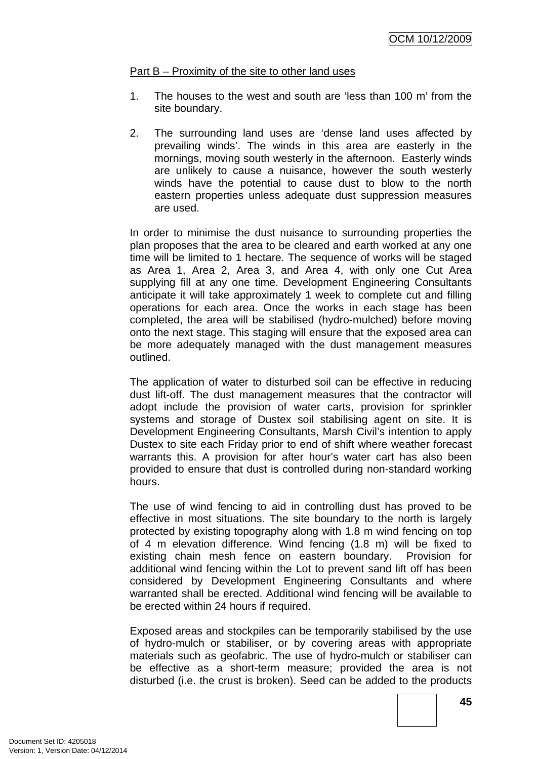### Part B – Proximity of the site to other land uses

- 1. The houses to the west and south are 'less than 100 m' from the site boundary.
- 2. The surrounding land uses are 'dense land uses affected by prevailing winds'. The winds in this area are easterly in the mornings, moving south westerly in the afternoon. Easterly winds are unlikely to cause a nuisance, however the south westerly winds have the potential to cause dust to blow to the north eastern properties unless adequate dust suppression measures are used.

In order to minimise the dust nuisance to surrounding properties the plan proposes that the area to be cleared and earth worked at any one time will be limited to 1 hectare. The sequence of works will be staged as Area 1, Area 2, Area 3, and Area 4, with only one Cut Area supplying fill at any one time. Development Engineering Consultants anticipate it will take approximately 1 week to complete cut and filling operations for each area. Once the works in each stage has been completed, the area will be stabilised (hydro-mulched) before moving onto the next stage. This staging will ensure that the exposed area can be more adequately managed with the dust management measures outlined.

The application of water to disturbed soil can be effective in reducing dust lift-off. The dust management measures that the contractor will adopt include the provision of water carts, provision for sprinkler systems and storage of Dustex soil stabilising agent on site. It is Development Engineering Consultants, Marsh Civil's intention to apply Dustex to site each Friday prior to end of shift where weather forecast warrants this. A provision for after hour's water cart has also been provided to ensure that dust is controlled during non-standard working hours.

The use of wind fencing to aid in controlling dust has proved to be effective in most situations. The site boundary to the north is largely protected by existing topography along with 1.8 m wind fencing on top of 4 m elevation difference. Wind fencing (1.8 m) will be fixed to existing chain mesh fence on eastern boundary. Provision for additional wind fencing within the Lot to prevent sand lift off has been considered by Development Engineering Consultants and where warranted shall be erected. Additional wind fencing will be available to be erected within 24 hours if required.

Exposed areas and stockpiles can be temporarily stabilised by the use of hydro-mulch or stabiliser, or by covering areas with appropriate materials such as geofabric. The use of hydro-mulch or stabiliser can be effective as a short-term measure; provided the area is not disturbed (i.e. the crust is broken). Seed can be added to the products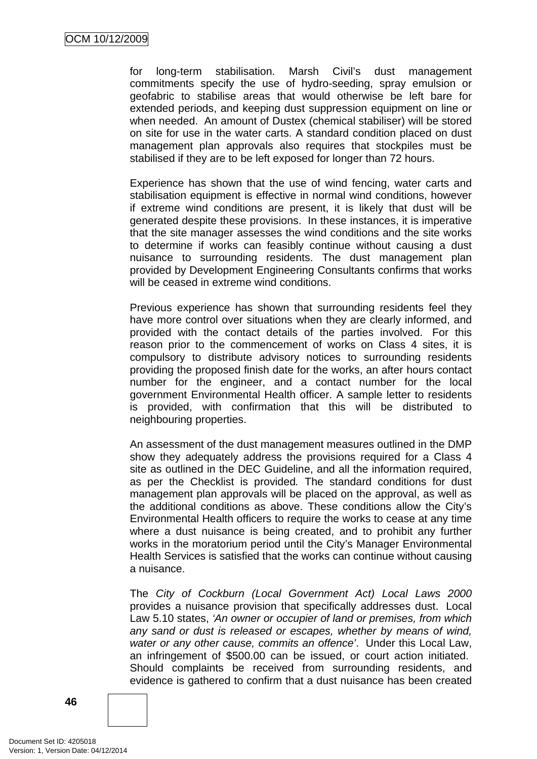for long-term stabilisation. Marsh Civil's dust management commitments specify the use of hydro-seeding, spray emulsion or geofabric to stabilise areas that would otherwise be left bare for extended periods, and keeping dust suppression equipment on line or when needed. An amount of Dustex (chemical stabiliser) will be stored on site for use in the water carts. A standard condition placed on dust management plan approvals also requires that stockpiles must be stabilised if they are to be left exposed for longer than 72 hours.

Experience has shown that the use of wind fencing, water carts and stabilisation equipment is effective in normal wind conditions, however if extreme wind conditions are present, it is likely that dust will be generated despite these provisions. In these instances, it is imperative that the site manager assesses the wind conditions and the site works to determine if works can feasibly continue without causing a dust nuisance to surrounding residents. The dust management plan provided by Development Engineering Consultants confirms that works will be ceased in extreme wind conditions.

Previous experience has shown that surrounding residents feel they have more control over situations when they are clearly informed, and provided with the contact details of the parties involved. For this reason prior to the commencement of works on Class 4 sites, it is compulsory to distribute advisory notices to surrounding residents providing the proposed finish date for the works, an after hours contact number for the engineer, and a contact number for the local government Environmental Health officer. A sample letter to residents is provided, with confirmation that this will be distributed to neighbouring properties.

An assessment of the dust management measures outlined in the DMP show they adequately address the provisions required for a Class 4 site as outlined in the DEC Guideline, and all the information required, as per the Checklist is provided*.* The standard conditions for dust management plan approvals will be placed on the approval, as well as the additional conditions as above. These conditions allow the City's Environmental Health officers to require the works to cease at any time where a dust nuisance is being created, and to prohibit any further works in the moratorium period until the City's Manager Environmental Health Services is satisfied that the works can continue without causing a nuisance.

The *City of Cockburn (Local Government Act) Local Laws 2000* provides a nuisance provision that specifically addresses dust. Local Law 5.10 states, *'An owner or occupier of land or premises, from which any sand or dust is released or escapes, whether by means of wind, water or any other cause, commits an offence'*. Under this Local Law, an infringement of \$500.00 can be issued, or court action initiated. Should complaints be received from surrounding residents, and evidence is gathered to confirm that a dust nuisance has been created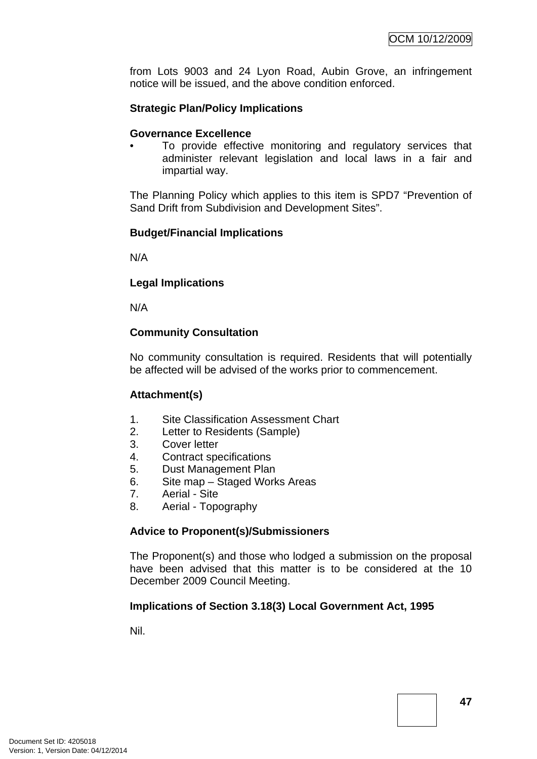from Lots 9003 and 24 Lyon Road, Aubin Grove, an infringement notice will be issued, and the above condition enforced.

## **Strategic Plan/Policy Implications**

#### **Governance Excellence**

To provide effective monitoring and regulatory services that administer relevant legislation and local laws in a fair and impartial way.

The Planning Policy which applies to this item is SPD7 "Prevention of Sand Drift from Subdivision and Development Sites".

### **Budget/Financial Implications**

N/A

#### **Legal Implications**

N/A

### **Community Consultation**

No community consultation is required. Residents that will potentially be affected will be advised of the works prior to commencement.

### **Attachment(s)**

- 1. Site Classification Assessment Chart
- 2. Letter to Residents (Sample)
- 3. Cover letter
- 4. Contract specifications
- 5. Dust Management Plan
- 6. Site map Staged Works Areas
- 7. Aerial Site
- 8. Aerial Topography

### **Advice to Proponent(s)/Submissioners**

The Proponent(s) and those who lodged a submission on the proposal have been advised that this matter is to be considered at the 10 December 2009 Council Meeting.

### **Implications of Section 3.18(3) Local Government Act, 1995**

Nil.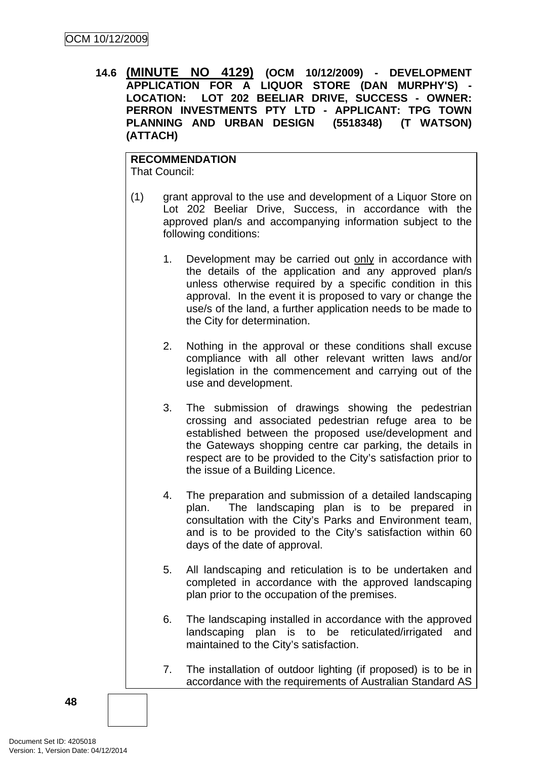**14.6 (MINUTE NO 4129) (OCM 10/12/2009) - DEVELOPMENT APPLICATION FOR A LIQUOR STORE (DAN MURPHY'S) - LOCATION: LOT 202 BEELIAR DRIVE, SUCCESS - OWNER: PERRON INVESTMENTS PTY LTD - APPLICANT: TPG TOWN PLANNING AND URBAN DESIGN (5518348) (T WATSON) (ATTACH)** 

**RECOMMENDATION** That Council:

- (1) grant approval to the use and development of a Liquor Store on Lot 202 Beeliar Drive, Success, in accordance with the approved plan/s and accompanying information subject to the following conditions:
	- 1. Development may be carried out only in accordance with the details of the application and any approved plan/s unless otherwise required by a specific condition in this approval. In the event it is proposed to vary or change the use/s of the land, a further application needs to be made to the City for determination.
	- 2. Nothing in the approval or these conditions shall excuse compliance with all other relevant written laws and/or legislation in the commencement and carrying out of the use and development.
	- 3. The submission of drawings showing the pedestrian crossing and associated pedestrian refuge area to be established between the proposed use/development and the Gateways shopping centre car parking, the details in respect are to be provided to the City's satisfaction prior to the issue of a Building Licence.
	- 4. The preparation and submission of a detailed landscaping plan. The landscaping plan is to be prepared in consultation with the City's Parks and Environment team, and is to be provided to the City's satisfaction within 60 days of the date of approval.
	- 5. All landscaping and reticulation is to be undertaken and completed in accordance with the approved landscaping plan prior to the occupation of the premises.
	- 6. The landscaping installed in accordance with the approved landscaping plan is to be reticulated/irrigated and maintained to the City's satisfaction.
	- 7. The installation of outdoor lighting (if proposed) is to be in accordance with the requirements of Australian Standard AS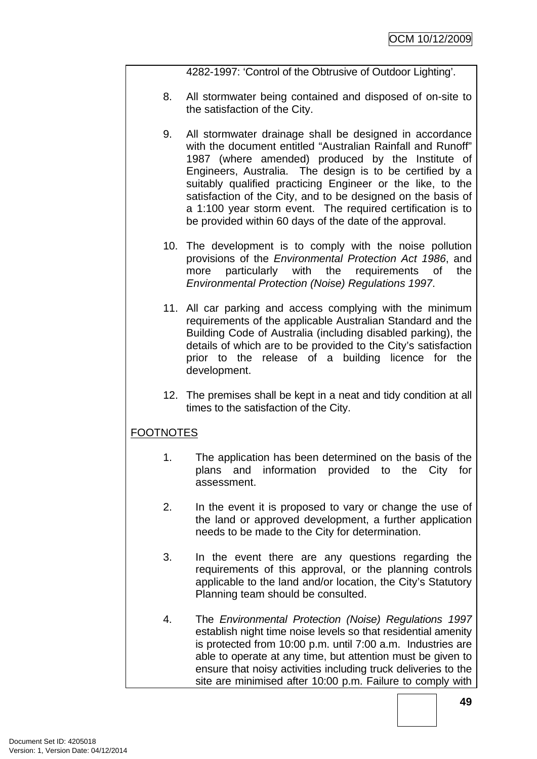4282-1997: 'Control of the Obtrusive of Outdoor Lighting'.

- 8. All stormwater being contained and disposed of on-site to the satisfaction of the City.
- 9. All stormwater drainage shall be designed in accordance with the document entitled "Australian Rainfall and Runoff" 1987 (where amended) produced by the Institute of Engineers, Australia. The design is to be certified by a suitably qualified practicing Engineer or the like, to the satisfaction of the City, and to be designed on the basis of a 1:100 year storm event. The required certification is to be provided within 60 days of the date of the approval.
- 10. The development is to comply with the noise pollution provisions of the *Environmental Protection Act 1986*, and more particularly with the requirements of the *Environmental Protection (Noise) Regulations 1997*.
- 11. All car parking and access complying with the minimum requirements of the applicable Australian Standard and the Building Code of Australia (including disabled parking), the details of which are to be provided to the City's satisfaction prior to the release of a building licence for the development.
- 12. The premises shall be kept in a neat and tidy condition at all times to the satisfaction of the City.

# FOOTNOTES

- 1. The application has been determined on the basis of the plans and information provided to the City for assessment.
- 2. In the event it is proposed to vary or change the use of the land or approved development, a further application needs to be made to the City for determination.
- 3. In the event there are any questions regarding the requirements of this approval, or the planning controls applicable to the land and/or location, the City's Statutory Planning team should be consulted.
- 4. The *Environmental Protection (Noise) Regulations 1997* establish night time noise levels so that residential amenity is protected from 10:00 p.m. until 7:00 a.m. Industries are able to operate at any time, but attention must be given to ensure that noisy activities including truck deliveries to the site are minimised after 10:00 p.m. Failure to comply with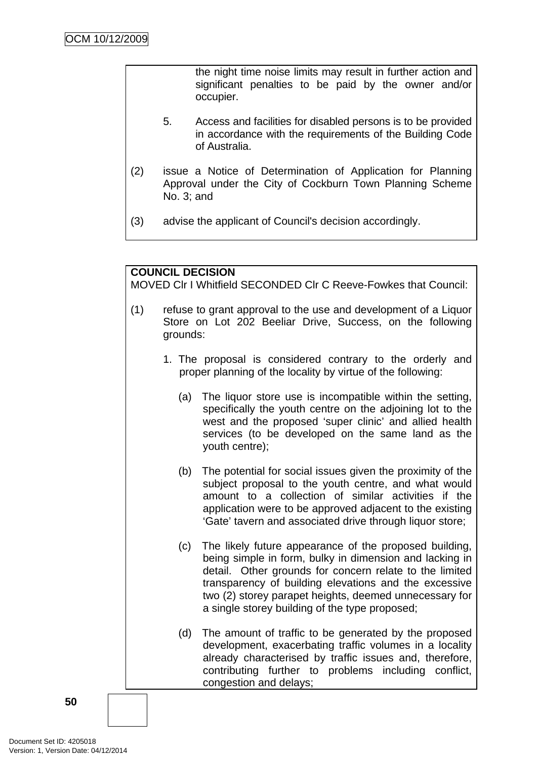the night time noise limits may result in further action and significant penalties to be paid by the owner and/or occupier.

- 5. Access and facilities for disabled persons is to be provided in accordance with the requirements of the Building Code of Australia.
- (2) issue a Notice of Determination of Application for Planning Approval under the City of Cockburn Town Planning Scheme No. 3; and
- (3) advise the applicant of Council's decision accordingly.

# **COUNCIL DECISION**

MOVED Clr I Whitfield SECONDED Clr C Reeve-Fowkes that Council:

- (1) refuse to grant approval to the use and development of a Liquor Store on Lot 202 Beeliar Drive, Success, on the following grounds:
	- 1. The proposal is considered contrary to the orderly and proper planning of the locality by virtue of the following:
		- (a) The liquor store use is incompatible within the setting, specifically the youth centre on the adjoining lot to the west and the proposed 'super clinic' and allied health services (to be developed on the same land as the youth centre);
		- (b) The potential for social issues given the proximity of the subject proposal to the youth centre, and what would amount to a collection of similar activities if the application were to be approved adjacent to the existing 'Gate' tavern and associated drive through liquor store;
		- (c) The likely future appearance of the proposed building, being simple in form, bulky in dimension and lacking in detail. Other grounds for concern relate to the limited transparency of building elevations and the excessive two (2) storey parapet heights, deemed unnecessary for a single storey building of the type proposed;
		- (d) The amount of traffic to be generated by the proposed development, exacerbating traffic volumes in a locality already characterised by traffic issues and, therefore, contributing further to problems including conflict, congestion and delays;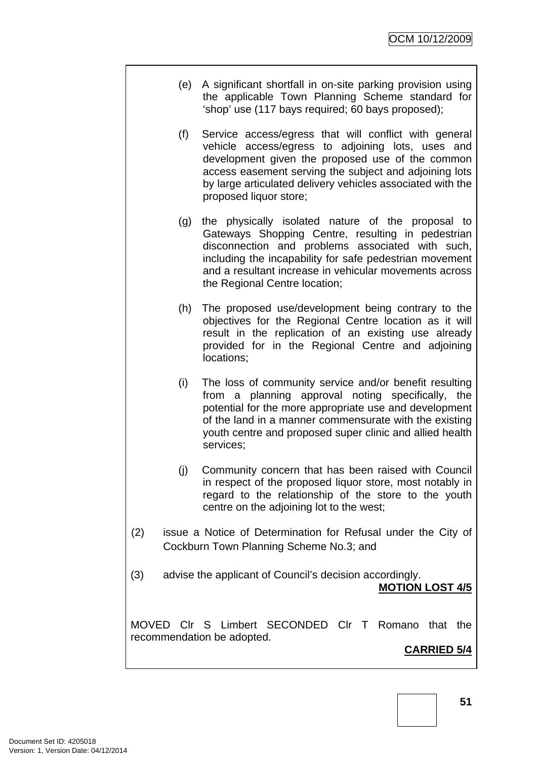- (e) A significant shortfall in on-site parking provision using the applicable Town Planning Scheme standard for 'shop' use (117 bays required; 60 bays proposed);
- (f) Service access/egress that will conflict with general vehicle access/egress to adjoining lots, uses and development given the proposed use of the common access easement serving the subject and adjoining lots by large articulated delivery vehicles associated with the proposed liquor store;
- (g) the physically isolated nature of the proposal to Gateways Shopping Centre, resulting in pedestrian disconnection and problems associated with such, including the incapability for safe pedestrian movement and a resultant increase in vehicular movements across the Regional Centre location;
- (h) The proposed use/development being contrary to the objectives for the Regional Centre location as it will result in the replication of an existing use already provided for in the Regional Centre and adjoining locations;
- (i) The loss of community service and/or benefit resulting from a planning approval noting specifically, the potential for the more appropriate use and development of the land in a manner commensurate with the existing youth centre and proposed super clinic and allied health services;
- (j) Community concern that has been raised with Council in respect of the proposed liquor store, most notably in regard to the relationship of the store to the youth centre on the adjoining lot to the west;
- (2) issue a Notice of Determination for Refusal under the City of Cockburn Town Planning Scheme No.3; and
- (3) advise the applicant of Council's decision accordingly.

**MOTION LOST 4/5**

MOVED Clr S Limbert SECONDED Clr T Romano that the recommendation be adopted.

# **CARRIED 5/4**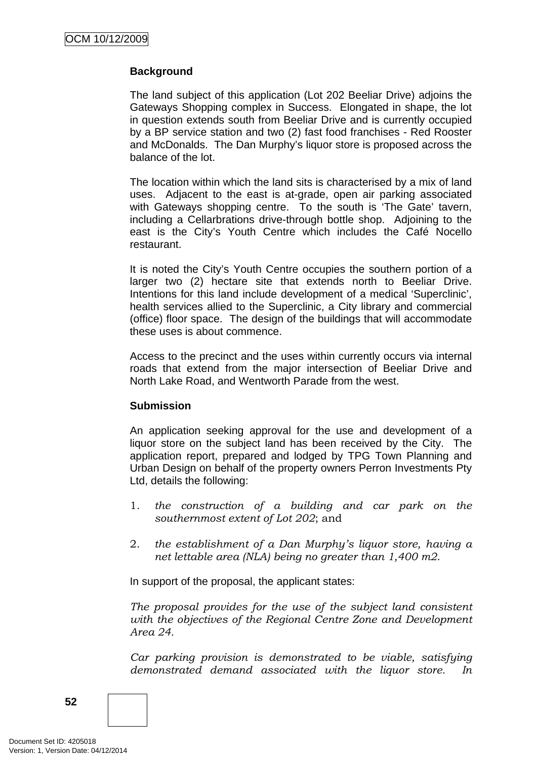## **Background**

The land subject of this application (Lot 202 Beeliar Drive) adjoins the Gateways Shopping complex in Success. Elongated in shape, the lot in question extends south from Beeliar Drive and is currently occupied by a BP service station and two (2) fast food franchises - Red Rooster and McDonalds. The Dan Murphy's liquor store is proposed across the balance of the lot.

The location within which the land sits is characterised by a mix of land uses. Adjacent to the east is at-grade, open air parking associated with Gateways shopping centre. To the south is 'The Gate' tavern, including a Cellarbrations drive-through bottle shop. Adjoining to the east is the City's Youth Centre which includes the Café Nocello restaurant.

It is noted the City's Youth Centre occupies the southern portion of a larger two (2) hectare site that extends north to Beeliar Drive. Intentions for this land include development of a medical 'Superclinic', health services allied to the Superclinic, a City library and commercial (office) floor space. The design of the buildings that will accommodate these uses is about commence.

Access to the precinct and the uses within currently occurs via internal roads that extend from the major intersection of Beeliar Drive and North Lake Road, and Wentworth Parade from the west.

### **Submission**

An application seeking approval for the use and development of a liquor store on the subject land has been received by the City. The application report, prepared and lodged by TPG Town Planning and Urban Design on behalf of the property owners Perron Investments Pty Ltd, details the following:

- 1. *the construction of a building and car park on the southernmost extent of Lot 202*; and
- 2. *the establishment of a Dan Murphy's liquor store, having a net lettable area (NLA) being no greater than 1,400 m2*.

In support of the proposal, the applicant states:

*The proposal provides for the use of the subject land consistent with the objectives of the Regional Centre Zone and Development Area 24.* 

*Car parking provision is demonstrated to be viable, satisfying demonstrated demand associated with the liquor store. In* 

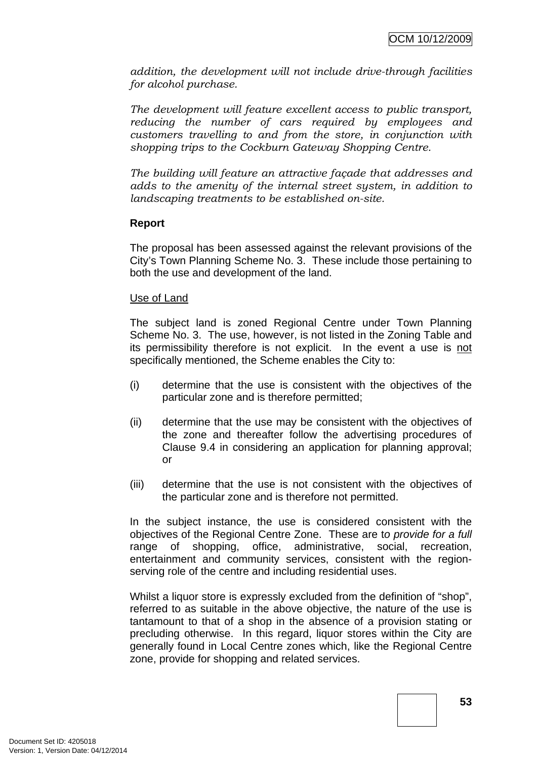*addition, the development will not include drive-through facilities for alcohol purchase.* 

*The development will feature excellent access to public transport, reducing the number of cars required by employees and customers travelling to and from the store, in conjunction with shopping trips to the Cockburn Gateway Shopping Centre.* 

*The building will feature an attractive façade that addresses and adds to the amenity of the internal street system, in addition to landscaping treatments to be established on-site.* 

### **Report**

The proposal has been assessed against the relevant provisions of the City's Town Planning Scheme No. 3. These include those pertaining to both the use and development of the land.

### Use of Land

The subject land is zoned Regional Centre under Town Planning Scheme No. 3. The use, however, is not listed in the Zoning Table and its permissibility therefore is not explicit. In the event a use is not specifically mentioned, the Scheme enables the City to:

- (i) determine that the use is consistent with the objectives of the particular zone and is therefore permitted;
- (ii) determine that the use may be consistent with the objectives of the zone and thereafter follow the advertising procedures of Clause 9.4 in considering an application for planning approval; or
- (iii) determine that the use is not consistent with the objectives of the particular zone and is therefore not permitted.

In the subject instance, the use is considered consistent with the objectives of the Regional Centre Zone. These are t*o provide for a full*  range of shopping, office, administrative, social, recreation, entertainment and community services, consistent with the regionserving role of the centre and including residential uses.

Whilst a liquor store is expressly excluded from the definition of "shop", referred to as suitable in the above objective, the nature of the use is tantamount to that of a shop in the absence of a provision stating or precluding otherwise. In this regard, liquor stores within the City are generally found in Local Centre zones which, like the Regional Centre zone, provide for shopping and related services.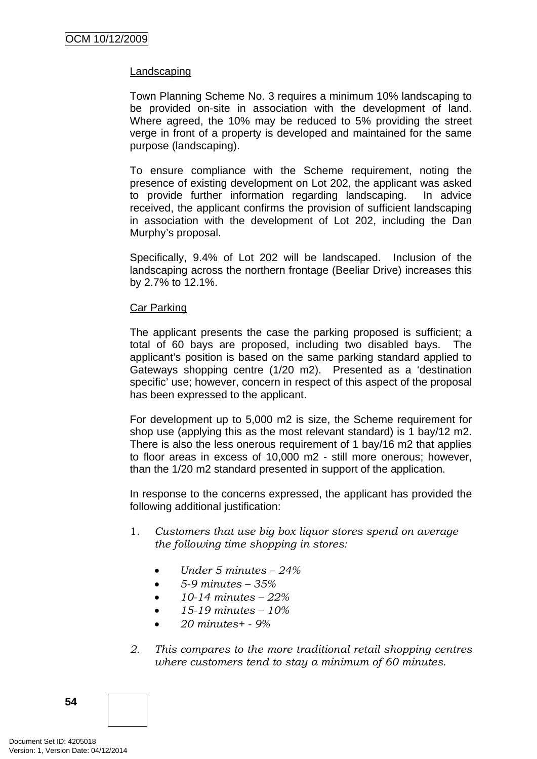### **Landscaping**

Town Planning Scheme No. 3 requires a minimum 10% landscaping to be provided on-site in association with the development of land. Where agreed, the 10% may be reduced to 5% providing the street verge in front of a property is developed and maintained for the same purpose (landscaping).

To ensure compliance with the Scheme requirement, noting the presence of existing development on Lot 202, the applicant was asked to provide further information regarding landscaping. In advice received, the applicant confirms the provision of sufficient landscaping in association with the development of Lot 202, including the Dan Murphy's proposal.

Specifically, 9.4% of Lot 202 will be landscaped. Inclusion of the landscaping across the northern frontage (Beeliar Drive) increases this by 2.7% to 12.1%.

#### Car Parking

The applicant presents the case the parking proposed is sufficient; a total of 60 bays are proposed, including two disabled bays. The applicant's position is based on the same parking standard applied to Gateways shopping centre (1/20 m2). Presented as a 'destination specific' use; however, concern in respect of this aspect of the proposal has been expressed to the applicant.

For development up to 5,000 m2 is size, the Scheme requirement for shop use (applying this as the most relevant standard) is 1 bay/12 m2. There is also the less onerous requirement of 1 bay/16 m2 that applies to floor areas in excess of 10,000 m2 - still more onerous; however, than the 1/20 m2 standard presented in support of the application.

In response to the concerns expressed, the applicant has provided the following additional justification:

- 1*. Customers that use big box liquor stores spend on average the following time shopping in stores:* 
	- *Under 5 minutes 24%*
	- *5-9 minutes 35%*
	- *10-14 minutes 22%*
	- *15-19 minutes 10%*
	- *20 minutes+ 9%*
- *2. This compares to the more traditional retail shopping centres where customers tend to stay a minimum of 60 minutes.*

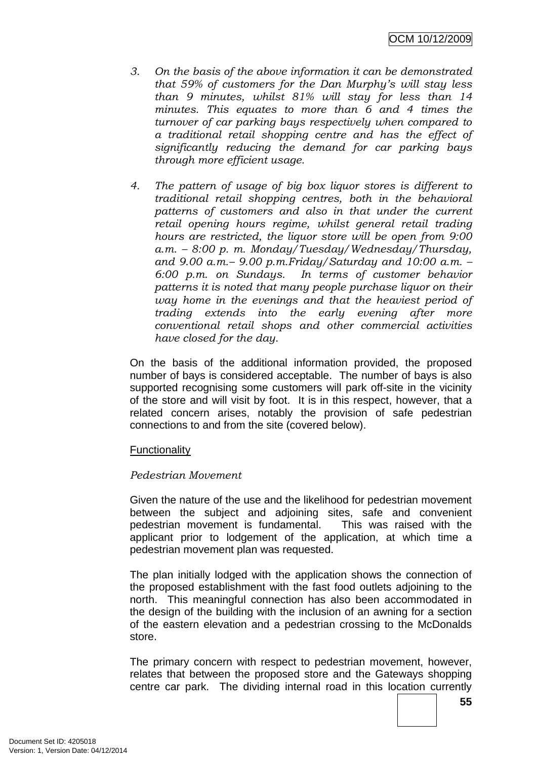- *3. On the basis of the above information it can be demonstrated that 59% of customers for the Dan Murphy's will stay less than 9 minutes, whilst 81% will stay for less than 14 minutes. This equates to more than 6 and 4 times the turnover of car parking bays respectively when compared to a traditional retail shopping centre and has the effect of significantly reducing the demand for car parking bays through more efficient usage.*
- *4. The pattern of usage of big box liquor stores is different to traditional retail shopping centres, both in the behavioral patterns of customers and also in that under the current retail opening hours regime, whilst general retail trading hours are restricted, the liquor store will be open from 9:00 a.m. – 8:00 p. m. Monday/Tuesday/Wednesday/Thursday, and 9.00 a.m.– 9.00 p.m.Friday/Saturday and 10:00 a.m. – 6:00 p.m. on Sundays. In terms of customer behavior patterns it is noted that many people purchase liquor on their way home in the evenings and that the heaviest period of trading extends into the early evening after more conventional retail shops and other commercial activities have closed for the day.*

On the basis of the additional information provided, the proposed number of bays is considered acceptable. The number of bays is also supported recognising some customers will park off-site in the vicinity of the store and will visit by foot. It is in this respect, however, that a related concern arises, notably the provision of safe pedestrian connections to and from the site (covered below).

### Functionality

### *Pedestrian Movement*

Given the nature of the use and the likelihood for pedestrian movement between the subject and adjoining sites, safe and convenient pedestrian movement is fundamental. This was raised with the applicant prior to lodgement of the application, at which time a pedestrian movement plan was requested.

The plan initially lodged with the application shows the connection of the proposed establishment with the fast food outlets adjoining to the north. This meaningful connection has also been accommodated in the design of the building with the inclusion of an awning for a section of the eastern elevation and a pedestrian crossing to the McDonalds store.

The primary concern with respect to pedestrian movement, however, relates that between the proposed store and the Gateways shopping centre car park. The dividing internal road in this location currently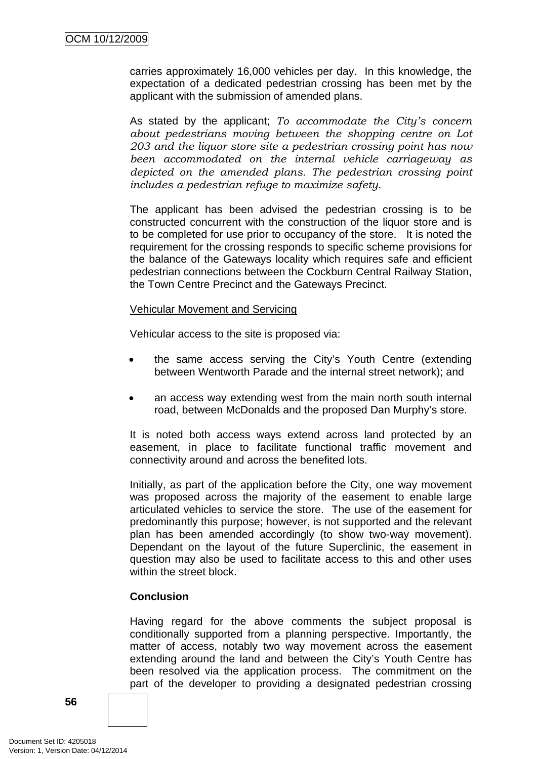carries approximately 16,000 vehicles per day. In this knowledge, the expectation of a dedicated pedestrian crossing has been met by the applicant with the submission of amended plans.

As stated by the applicant; *To accommodate the City's concern about pedestrians moving between the shopping centre on Lot 203 and the liquor store site a pedestrian crossing point has now been accommodated on the internal vehicle carriageway as depicted on the amended plans. The pedestrian crossing point includes a pedestrian refuge to maximize safety*.

The applicant has been advised the pedestrian crossing is to be constructed concurrent with the construction of the liquor store and is to be completed for use prior to occupancy of the store. It is noted the requirement for the crossing responds to specific scheme provisions for the balance of the Gateways locality which requires safe and efficient pedestrian connections between the Cockburn Central Railway Station, the Town Centre Precinct and the Gateways Precinct.

#### Vehicular Movement and Servicing

Vehicular access to the site is proposed via:

- the same access serving the City's Youth Centre (extending between Wentworth Parade and the internal street network); and
- an access way extending west from the main north south internal road, between McDonalds and the proposed Dan Murphy's store.

It is noted both access ways extend across land protected by an easement, in place to facilitate functional traffic movement and connectivity around and across the benefited lots.

Initially, as part of the application before the City, one way movement was proposed across the majority of the easement to enable large articulated vehicles to service the store. The use of the easement for predominantly this purpose; however, is not supported and the relevant plan has been amended accordingly (to show two-way movement). Dependant on the layout of the future Superclinic, the easement in question may also be used to facilitate access to this and other uses within the street block.

### **Conclusion**

Having regard for the above comments the subject proposal is conditionally supported from a planning perspective. Importantly, the matter of access, notably two way movement across the easement extending around the land and between the City's Youth Centre has been resolved via the application process. The commitment on the part of the developer to providing a designated pedestrian crossing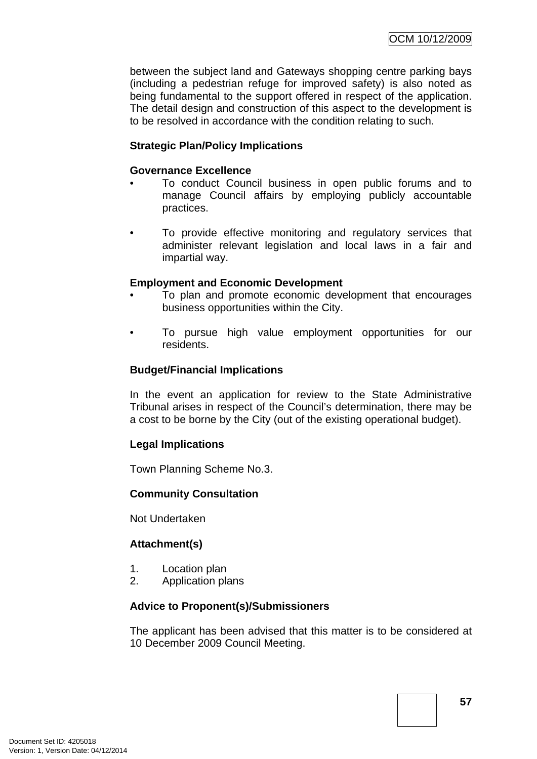between the subject land and Gateways shopping centre parking bays (including a pedestrian refuge for improved safety) is also noted as being fundamental to the support offered in respect of the application. The detail design and construction of this aspect to the development is to be resolved in accordance with the condition relating to such.

## **Strategic Plan/Policy Implications**

### **Governance Excellence**

- To conduct Council business in open public forums and to manage Council affairs by employing publicly accountable practices.
- To provide effective monitoring and regulatory services that administer relevant legislation and local laws in a fair and impartial way.

### **Employment and Economic Development**

- To plan and promote economic development that encourages business opportunities within the City.
- To pursue high value employment opportunities for our residents.

#### **Budget/Financial Implications**

In the event an application for review to the State Administrative Tribunal arises in respect of the Council's determination, there may be a cost to be borne by the City (out of the existing operational budget).

#### **Legal Implications**

Town Planning Scheme No.3.

#### **Community Consultation**

Not Undertaken

### **Attachment(s)**

- 1. Location plan
- 2. Application plans

#### **Advice to Proponent(s)/Submissioners**

The applicant has been advised that this matter is to be considered at 10 December 2009 Council Meeting.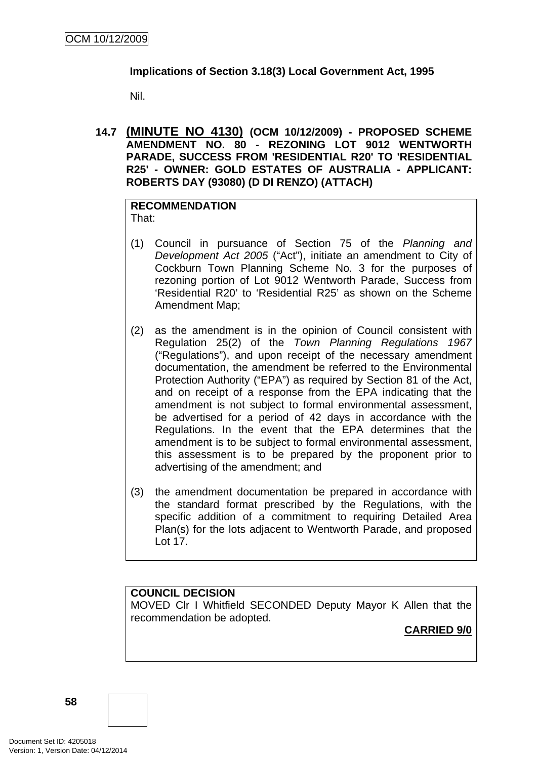## **Implications of Section 3.18(3) Local Government Act, 1995**

Nil.

**14.7 (MINUTE NO 4130) (OCM 10/12/2009) - PROPOSED SCHEME AMENDMENT NO. 80 - REZONING LOT 9012 WENTWORTH PARADE, SUCCESS FROM 'RESIDENTIAL R20' TO 'RESIDENTIAL R25' - OWNER: GOLD ESTATES OF AUSTRALIA - APPLICANT: ROBERTS DAY (93080) (D DI RENZO) (ATTACH)** 

### **RECOMMENDATION** That:

- (1) Council in pursuance of Section 75 of the *Planning and Development Act 2005* ("Act"), initiate an amendment to City of Cockburn Town Planning Scheme No. 3 for the purposes of rezoning portion of Lot 9012 Wentworth Parade, Success from 'Residential R20' to 'Residential R25' as shown on the Scheme Amendment Map;
- (2) as the amendment is in the opinion of Council consistent with Regulation 25(2) of the *Town Planning Regulations 1967* ("Regulations"), and upon receipt of the necessary amendment documentation, the amendment be referred to the Environmental Protection Authority ("EPA") as required by Section 81 of the Act, and on receipt of a response from the EPA indicating that the amendment is not subject to formal environmental assessment, be advertised for a period of 42 days in accordance with the Regulations. In the event that the EPA determines that the amendment is to be subject to formal environmental assessment, this assessment is to be prepared by the proponent prior to advertising of the amendment; and
- (3) the amendment documentation be prepared in accordance with the standard format prescribed by the Regulations, with the specific addition of a commitment to requiring Detailed Area Plan(s) for the lots adjacent to Wentworth Parade, and proposed Lot 17.

# **COUNCIL DECISION**

MOVED Clr I Whitfield SECONDED Deputy Mayor K Allen that the recommendation be adopted.

**CARRIED 9/0**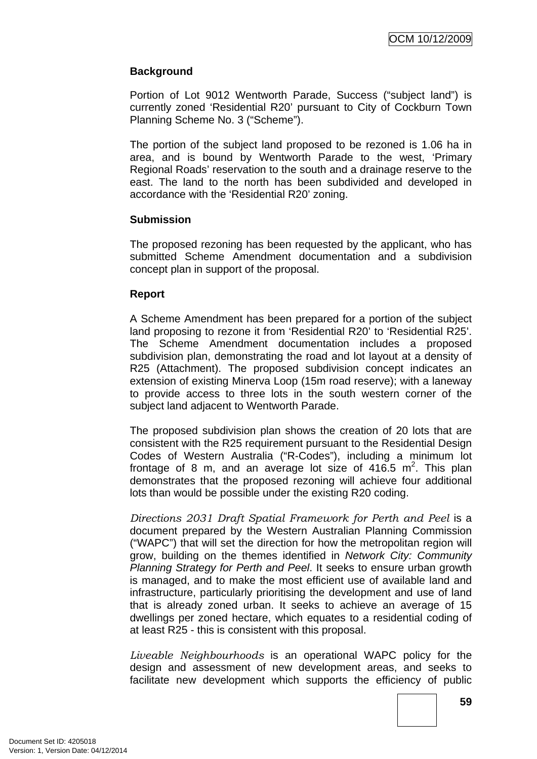## **Background**

Portion of Lot 9012 Wentworth Parade, Success ("subject land") is currently zoned 'Residential R20' pursuant to City of Cockburn Town Planning Scheme No. 3 ("Scheme").

The portion of the subject land proposed to be rezoned is 1.06 ha in area, and is bound by Wentworth Parade to the west, 'Primary Regional Roads' reservation to the south and a drainage reserve to the east. The land to the north has been subdivided and developed in accordance with the 'Residential R20' zoning.

### **Submission**

The proposed rezoning has been requested by the applicant, who has submitted Scheme Amendment documentation and a subdivision concept plan in support of the proposal.

### **Report**

A Scheme Amendment has been prepared for a portion of the subject land proposing to rezone it from 'Residential R20' to 'Residential R25'. The Scheme Amendment documentation includes a proposed subdivision plan, demonstrating the road and lot layout at a density of R25 (Attachment). The proposed subdivision concept indicates an extension of existing Minerva Loop (15m road reserve); with a laneway to provide access to three lots in the south western corner of the subject land adjacent to Wentworth Parade.

The proposed subdivision plan shows the creation of 20 lots that are consistent with the R25 requirement pursuant to the Residential Design Codes of Western Australia ("R-Codes"), including a minimum lot frontage of 8 m, and an average lot size of 416.5  $m^2$ . This plan demonstrates that the proposed rezoning will achieve four additional lots than would be possible under the existing R20 coding.

*Directions 2031 Draft Spatial Framework for Perth and Peel* is a document prepared by the Western Australian Planning Commission ("WAPC") that will set the direction for how the metropolitan region will grow, building on the themes identified in *Network City: Community Planning Strategy for Perth and Peel*. It seeks to ensure urban growth is managed, and to make the most efficient use of available land and infrastructure, particularly prioritising the development and use of land that is already zoned urban. It seeks to achieve an average of 15 dwellings per zoned hectare, which equates to a residential coding of at least R25 - this is consistent with this proposal.

*Liveable Neighbourhoods* is an operational WAPC policy for the design and assessment of new development areas, and seeks to facilitate new development which supports the efficiency of public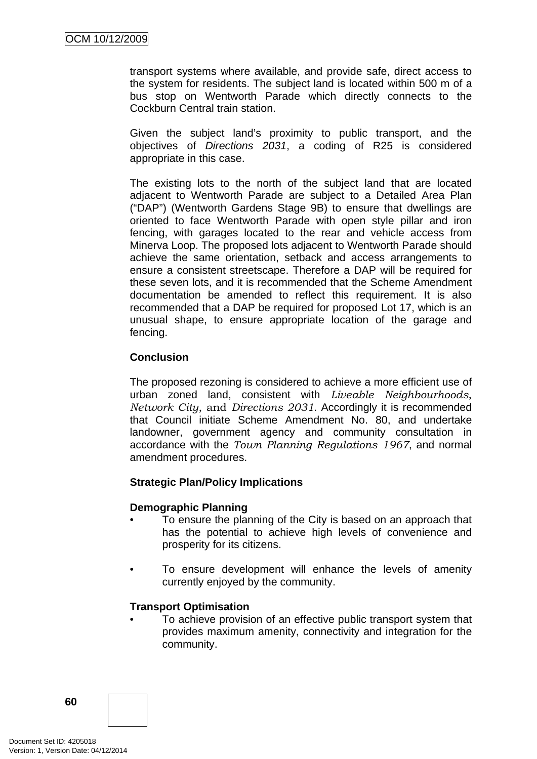transport systems where available, and provide safe, direct access to the system for residents. The subject land is located within 500 m of a bus stop on Wentworth Parade which directly connects to the Cockburn Central train station.

Given the subject land's proximity to public transport, and the objectives of *Directions 2031*, a coding of R25 is considered appropriate in this case.

The existing lots to the north of the subject land that are located adjacent to Wentworth Parade are subject to a Detailed Area Plan ("DAP") (Wentworth Gardens Stage 9B) to ensure that dwellings are oriented to face Wentworth Parade with open style pillar and iron fencing, with garages located to the rear and vehicle access from Minerva Loop. The proposed lots adjacent to Wentworth Parade should achieve the same orientation, setback and access arrangements to ensure a consistent streetscape. Therefore a DAP will be required for these seven lots, and it is recommended that the Scheme Amendment documentation be amended to reflect this requirement. It is also recommended that a DAP be required for proposed Lot 17, which is an unusual shape, to ensure appropriate location of the garage and fencing.

### **Conclusion**

The proposed rezoning is considered to achieve a more efficient use of urban zoned land, consistent with *Liveable Neighbourhoods*, *Network City*, and *Directions 2031*. Accordingly it is recommended that Council initiate Scheme Amendment No. 80, and undertake landowner, government agency and community consultation in accordance with the *Town Planning Regulations 1967*, and normal amendment procedures.

### **Strategic Plan/Policy Implications**

### **Demographic Planning**

- To ensure the planning of the City is based on an approach that has the potential to achieve high levels of convenience and prosperity for its citizens.
- To ensure development will enhance the levels of amenity currently enjoyed by the community.

### **Transport Optimisation**

• To achieve provision of an effective public transport system that provides maximum amenity, connectivity and integration for the community.

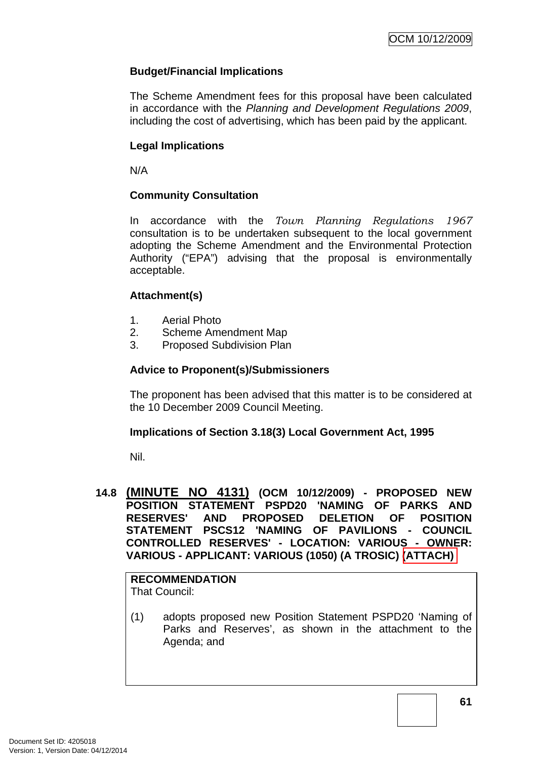# **Budget/Financial Implications**

The Scheme Amendment fees for this proposal have been calculated in accordance with the *Planning and Development Regulations 2009*, including the cost of advertising, which has been paid by the applicant.

### **Legal Implications**

N/A

### **Community Consultation**

In accordance with the *Town Planning Regulations 1967* consultation is to be undertaken subsequent to the local government adopting the Scheme Amendment and the Environmental Protection Authority ("EPA") advising that the proposal is environmentally acceptable.

### **Attachment(s)**

- 1. Aerial Photo
- 2. Scheme Amendment Map
- 3. Proposed Subdivision Plan

### **Advice to Proponent(s)/Submissioners**

The proponent has been advised that this matter is to be considered at the 10 December 2009 Council Meeting.

### **Implications of Section 3.18(3) Local Government Act, 1995**

Nil.

### **14.8 (MINUTE NO 4131) (OCM 10/12/2009) - PROPOSED NEW POSITION STATEMENT PSPD20 'NAMING OF PARKS AND RESERVES' AND PROPOSED DELETION OF POSITION STATEMENT PSCS12 'NAMING OF PAVILIONS - COUNCIL CONTROLLED RESERVES' - LOCATION: VARIOUS - OWNER: VARIOUS - APPLICANT: VARIOUS (1050) (A TROSIC) (ATTACH)**

#### **RECOMMENDATION** That Council:

(1) adopts proposed new Position Statement PSPD20 'Naming of Parks and Reserves', as shown in the attachment to the Agenda; and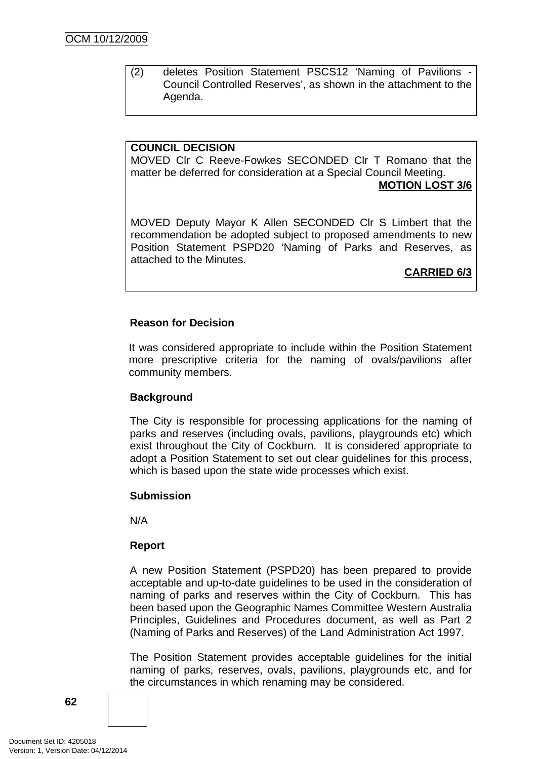(2) deletes Position Statement PSCS12 'Naming of Pavilions - Council Controlled Reserves', as shown in the attachment to the Agenda.

### **COUNCIL DECISION**

MOVED Clr C Reeve-Fowkes SECONDED Clr T Romano that the matter be deferred for consideration at a Special Council Meeting.

**MOTION LOST 3/6**

MOVED Deputy Mayor K Allen SECONDED Clr S Limbert that the recommendation be adopted subject to proposed amendments to new Position Statement PSPD20 'Naming of Parks and Reserves, as attached to the Minutes.

**CARRIED 6/3**

### **Reason for Decision**

It was considered appropriate to include within the Position Statement more prescriptive criteria for the naming of ovals/pavilions after community members.

### **Background**

The City is responsible for processing applications for the naming of parks and reserves (including ovals, pavilions, playgrounds etc) which exist throughout the City of Cockburn. It is considered appropriate to adopt a Position Statement to set out clear guidelines for this process, which is based upon the state wide processes which exist.

### **Submission**

N/A

### **Report**

A new Position Statement (PSPD20) has been prepared to provide acceptable and up-to-date guidelines to be used in the consideration of naming of parks and reserves within the City of Cockburn. This has been based upon the Geographic Names Committee Western Australia Principles, Guidelines and Procedures document, as well as Part 2 (Naming of Parks and Reserves) of the Land Administration Act 1997.

The Position Statement provides acceptable guidelines for the initial naming of parks, reserves, ovals, pavilions, playgrounds etc, and for the circumstances in which renaming may be considered.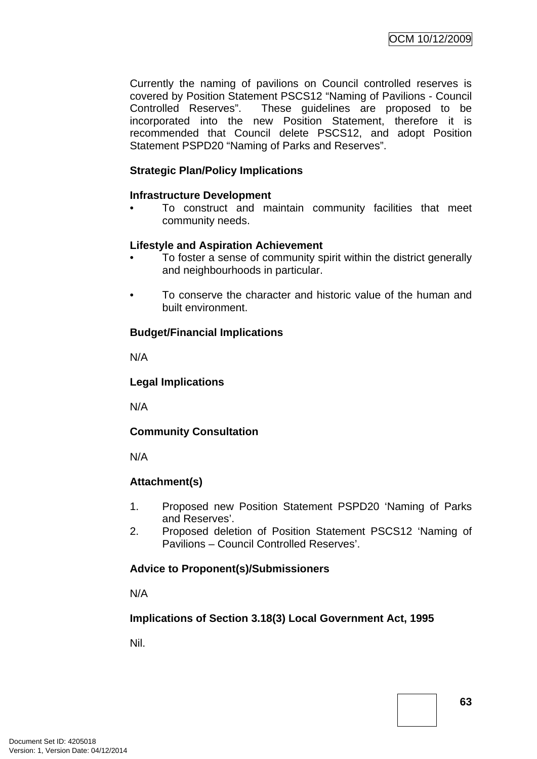Currently the naming of pavilions on Council controlled reserves is covered by Position Statement PSCS12 "Naming of Pavilions - Council Controlled Reserves". These guidelines are proposed to be incorporated into the new Position Statement, therefore it is recommended that Council delete PSCS12, and adopt Position Statement PSPD20 "Naming of Parks and Reserves".

### **Strategic Plan/Policy Implications**

### **Infrastructure Development**

• To construct and maintain community facilities that meet community needs.

### **Lifestyle and Aspiration Achievement**

- To foster a sense of community spirit within the district generally and neighbourhoods in particular.
- To conserve the character and historic value of the human and built environment.

### **Budget/Financial Implications**

N/A

### **Legal Implications**

N/A

### **Community Consultation**

N/A

# **Attachment(s)**

- 1. Proposed new Position Statement PSPD20 'Naming of Parks and Reserves'.
- 2. Proposed deletion of Position Statement PSCS12 'Naming of Pavilions – Council Controlled Reserves'.

### **Advice to Proponent(s)/Submissioners**

N/A

# **Implications of Section 3.18(3) Local Government Act, 1995**

Nil.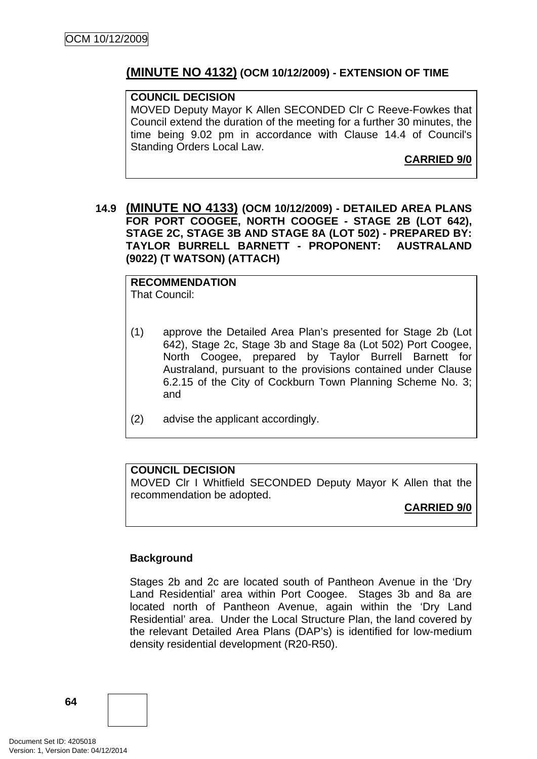# **(MINUTE NO 4132) (OCM 10/12/2009) - EXTENSION OF TIME**

#### **COUNCIL DECISION**

MOVED Deputy Mayor K Allen SECONDED Clr C Reeve-Fowkes that Council extend the duration of the meeting for a further 30 minutes, the time being 9.02 pm in accordance with Clause 14.4 of Council's Standing Orders Local Law.

**CARRIED 9/0**

**14.9 (MINUTE NO 4133) (OCM 10/12/2009) - DETAILED AREA PLANS FOR PORT COOGEE, NORTH COOGEE - STAGE 2B (LOT 642), STAGE 2C, STAGE 3B AND STAGE 8A (LOT 502) - PREPARED BY: TAYLOR BURRELL BARNETT - PROPONENT: AUSTRALAND (9022) (T WATSON) (ATTACH)** 

**RECOMMENDATION** That Council:

- (1) approve the Detailed Area Plan's presented for Stage 2b (Lot 642), Stage 2c, Stage 3b and Stage 8a (Lot 502) Port Coogee, North Coogee, prepared by Taylor Burrell Barnett for Australand, pursuant to the provisions contained under Clause 6.2.15 of the City of Cockburn Town Planning Scheme No. 3; and
- (2) advise the applicant accordingly.

### **COUNCIL DECISION**

MOVED Clr I Whitfield SECONDED Deputy Mayor K Allen that the recommendation be adopted.

**CARRIED 9/0**

### **Background**

Stages 2b and 2c are located south of Pantheon Avenue in the 'Dry Land Residential' area within Port Coogee. Stages 3b and 8a are located north of Pantheon Avenue, again within the 'Dry Land Residential' area. Under the Local Structure Plan, the land covered by the relevant Detailed Area Plans (DAP's) is identified for low-medium density residential development (R20-R50).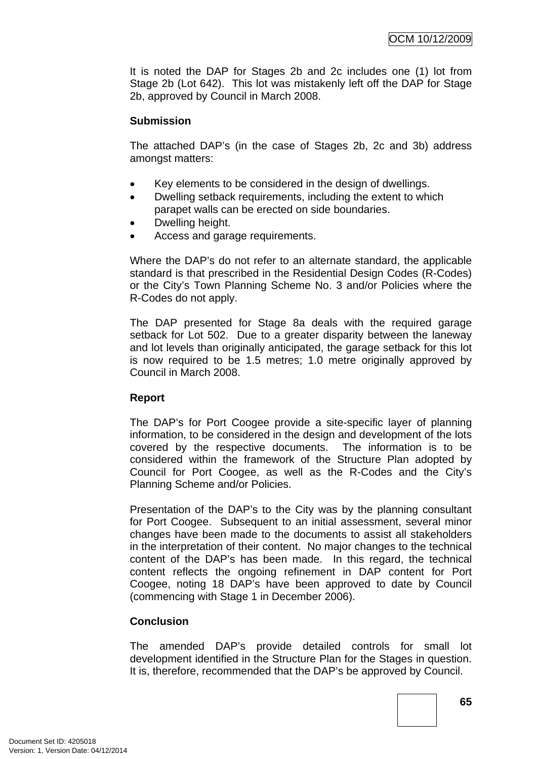It is noted the DAP for Stages 2b and 2c includes one (1) lot from Stage 2b (Lot 642). This lot was mistakenly left off the DAP for Stage 2b, approved by Council in March 2008.

### **Submission**

The attached DAP's (in the case of Stages 2b, 2c and 3b) address amongst matters:

- Key elements to be considered in the design of dwellings.
- Dwelling setback requirements, including the extent to which parapet walls can be erected on side boundaries.
- Dwelling height.
- Access and garage requirements.

Where the DAP's do not refer to an alternate standard, the applicable standard is that prescribed in the Residential Design Codes (R-Codes) or the City's Town Planning Scheme No. 3 and/or Policies where the R-Codes do not apply.

The DAP presented for Stage 8a deals with the required garage setback for Lot 502. Due to a greater disparity between the laneway and lot levels than originally anticipated, the garage setback for this lot is now required to be 1.5 metres; 1.0 metre originally approved by Council in March 2008.

# **Report**

The DAP's for Port Coogee provide a site-specific layer of planning information, to be considered in the design and development of the lots covered by the respective documents. The information is to be considered within the framework of the Structure Plan adopted by Council for Port Coogee, as well as the R-Codes and the City's Planning Scheme and/or Policies.

Presentation of the DAP's to the City was by the planning consultant for Port Coogee. Subsequent to an initial assessment, several minor changes have been made to the documents to assist all stakeholders in the interpretation of their content. No major changes to the technical content of the DAP's has been made. In this regard, the technical content reflects the ongoing refinement in DAP content for Port Coogee, noting 18 DAP's have been approved to date by Council (commencing with Stage 1 in December 2006).

# **Conclusion**

The amended DAP's provide detailed controls for small lot development identified in the Structure Plan for the Stages in question. It is, therefore, recommended that the DAP's be approved by Council.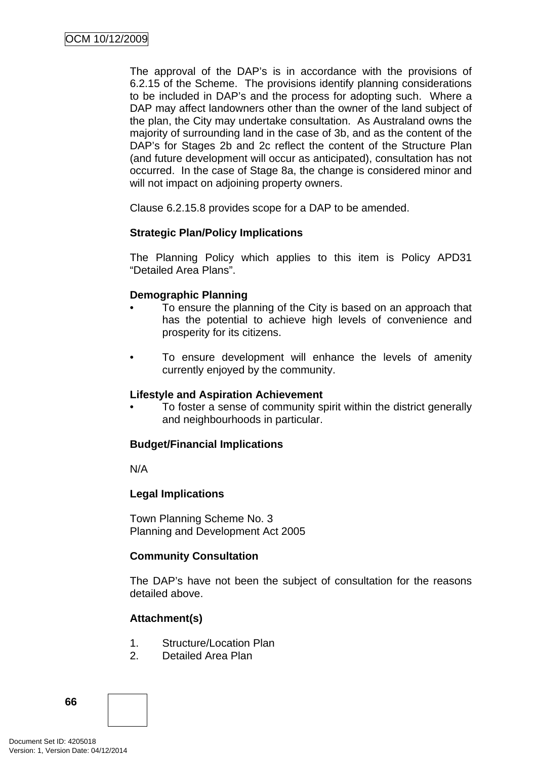The approval of the DAP's is in accordance with the provisions of 6.2.15 of the Scheme. The provisions identify planning considerations to be included in DAP's and the process for adopting such. Where a DAP may affect landowners other than the owner of the land subject of the plan, the City may undertake consultation. As Australand owns the majority of surrounding land in the case of 3b, and as the content of the DAP's for Stages 2b and 2c reflect the content of the Structure Plan (and future development will occur as anticipated), consultation has not occurred. In the case of Stage 8a, the change is considered minor and will not impact on adjoining property owners.

Clause 6.2.15.8 provides scope for a DAP to be amended.

# **Strategic Plan/Policy Implications**

The Planning Policy which applies to this item is Policy APD31 "Detailed Area Plans".

# **Demographic Planning**

- To ensure the planning of the City is based on an approach that has the potential to achieve high levels of convenience and prosperity for its citizens.
- To ensure development will enhance the levels of amenity currently enjoyed by the community.

### **Lifestyle and Aspiration Achievement**

• To foster a sense of community spirit within the district generally and neighbourhoods in particular.

### **Budget/Financial Implications**

N/A

# **Legal Implications**

Town Planning Scheme No. 3 Planning and Development Act 2005

# **Community Consultation**

The DAP's have not been the subject of consultation for the reasons detailed above.

# **Attachment(s)**

- 1. Structure/Location Plan
- 2. Detailed Area Plan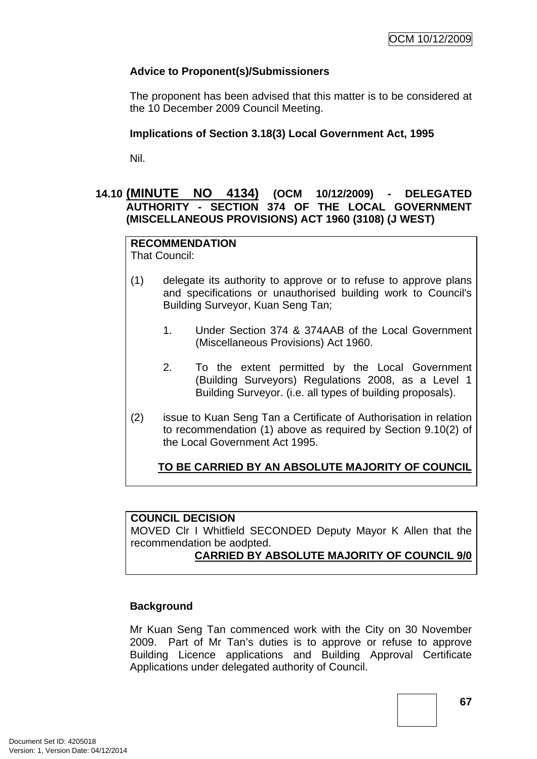# **Advice to Proponent(s)/Submissioners**

The proponent has been advised that this matter is to be considered at the 10 December 2009 Council Meeting.

## **Implications of Section 3.18(3) Local Government Act, 1995**

Nil.

# **14.10 (MINUTE NO 4134) (OCM 10/12/2009) - DELEGATED AUTHORITY - SECTION 374 OF THE LOCAL GOVERNMENT (MISCELLANEOUS PROVISIONS) ACT 1960 (3108) (J WEST)**

# **RECOMMENDATION**

That Council:

- (1) delegate its authority to approve or to refuse to approve plans and specifications or unauthorised building work to Council's Building Surveyor, Kuan Seng Tan;
	- 1. Under Section 374 & 374AAB of the Local Government (Miscellaneous Provisions) Act 1960.
	- 2. To the extent permitted by the Local Government (Building Surveyors) Regulations 2008, as a Level 1 Building Surveyor. (i.e. all types of building proposals).
- (2) issue to Kuan Seng Tan a Certificate of Authorisation in relation to recommendation (1) above as required by Section 9.10(2) of the Local Government Act 1995.

# **TO BE CARRIED BY AN ABSOLUTE MAJORITY OF COUNCIL**

### **COUNCIL DECISION**

MOVED Clr I Whitfield SECONDED Deputy Mayor K Allen that the recommendation be aodpted.

# **CARRIED BY ABSOLUTE MAJORITY OF COUNCIL 9/0**

### **Background**

Mr Kuan Seng Tan commenced work with the City on 30 November 2009. Part of Mr Tan's duties is to approve or refuse to approve Building Licence applications and Building Approval Certificate Applications under delegated authority of Council.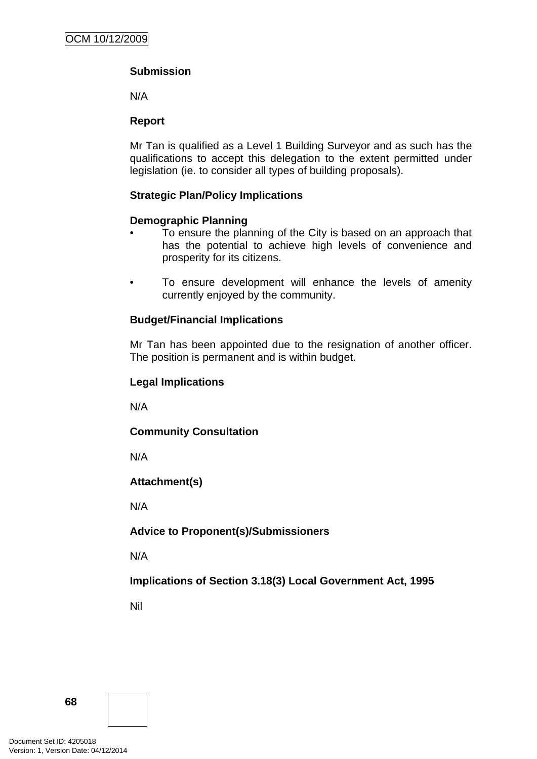# **Submission**

N/A

## **Report**

Mr Tan is qualified as a Level 1 Building Surveyor and as such has the qualifications to accept this delegation to the extent permitted under legislation (ie. to consider all types of building proposals).

# **Strategic Plan/Policy Implications**

### **Demographic Planning**

- To ensure the planning of the City is based on an approach that has the potential to achieve high levels of convenience and prosperity for its citizens.
- To ensure development will enhance the levels of amenity currently enjoyed by the community.

# **Budget/Financial Implications**

Mr Tan has been appointed due to the resignation of another officer. The position is permanent and is within budget.

### **Legal Implications**

N/A

# **Community Consultation**

N/A

# **Attachment(s)**

N/A

**Advice to Proponent(s)/Submissioners** 

N/A

**Implications of Section 3.18(3) Local Government Act, 1995**

Nil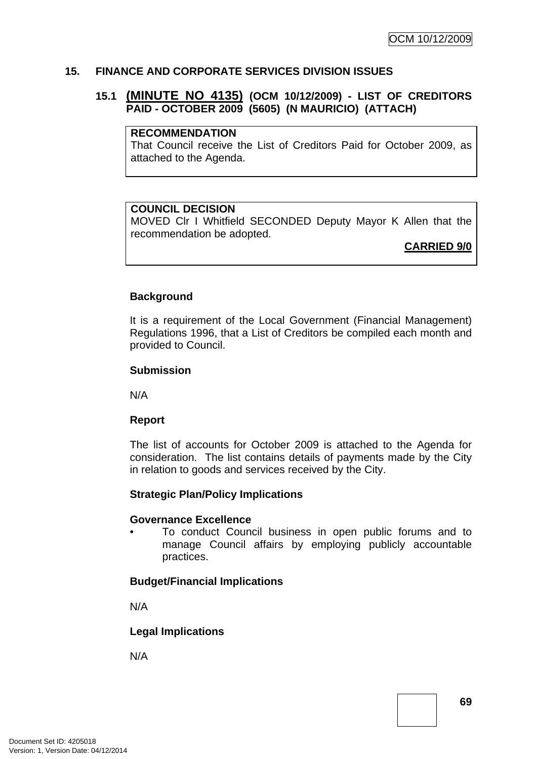#### **15. FINANCE AND CORPORATE SERVICES DIVISION ISSUES**

### **15.1 (MINUTE NO 4135) (OCM 10/12/2009) - LIST OF CREDITORS PAID - OCTOBER 2009 (5605) (N MAURICIO) (ATTACH)**

#### **RECOMMENDATION**

That Council receive the List of Creditors Paid for October 2009, as attached to the Agenda.

#### **COUNCIL DECISION**

MOVED Clr I Whitfield SECONDED Deputy Mayor K Allen that the recommendation be adopted.

**CARRIED 9/0**

#### **Background**

It is a requirement of the Local Government (Financial Management) Regulations 1996, that a List of Creditors be compiled each month and provided to Council.

#### **Submission**

N/A

#### **Report**

The list of accounts for October 2009 is attached to the Agenda for consideration. The list contains details of payments made by the City in relation to goods and services received by the City.

#### **Strategic Plan/Policy Implications**

#### **Governance Excellence**

• To conduct Council business in open public forums and to manage Council affairs by employing publicly accountable practices.

#### **Budget/Financial Implications**

N/A

#### **Legal Implications**

N/A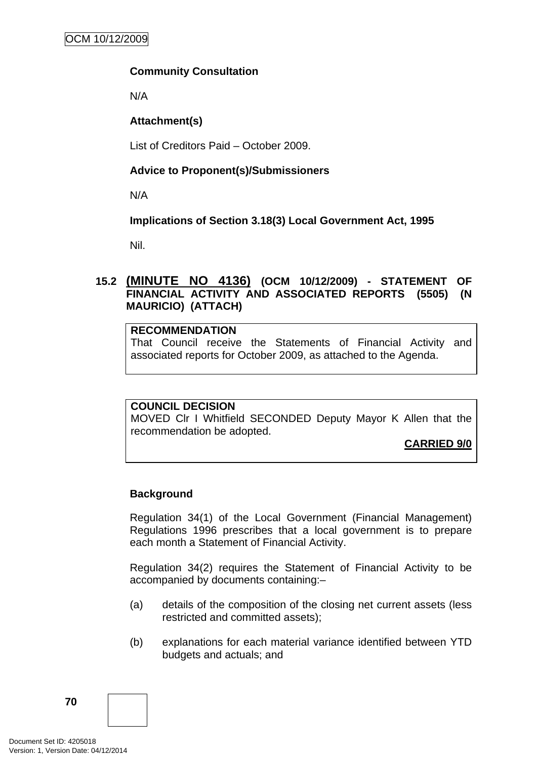## **Community Consultation**

N/A

## **Attachment(s)**

List of Creditors Paid – October 2009.

## **Advice to Proponent(s)/Submissioners**

N/A

## **Implications of Section 3.18(3) Local Government Act, 1995**

Nil.

# **15.2 (MINUTE NO 4136) (OCM 10/12/2009) - STATEMENT OF FINANCIAL ACTIVITY AND ASSOCIATED REPORTS (5505) (N MAURICIO) (ATTACH)**

## **RECOMMENDATION**

That Council receive the Statements of Financial Activity and associated reports for October 2009, as attached to the Agenda.

#### **COUNCIL DECISION**

MOVED Clr I Whitfield SECONDED Deputy Mayor K Allen that the recommendation be adopted.

**CARRIED 9/0**

# **Background**

Regulation 34(1) of the Local Government (Financial Management) Regulations 1996 prescribes that a local government is to prepare each month a Statement of Financial Activity.

Regulation 34(2) requires the Statement of Financial Activity to be accompanied by documents containing:–

- (a) details of the composition of the closing net current assets (less restricted and committed assets);
- (b) explanations for each material variance identified between YTD budgets and actuals; and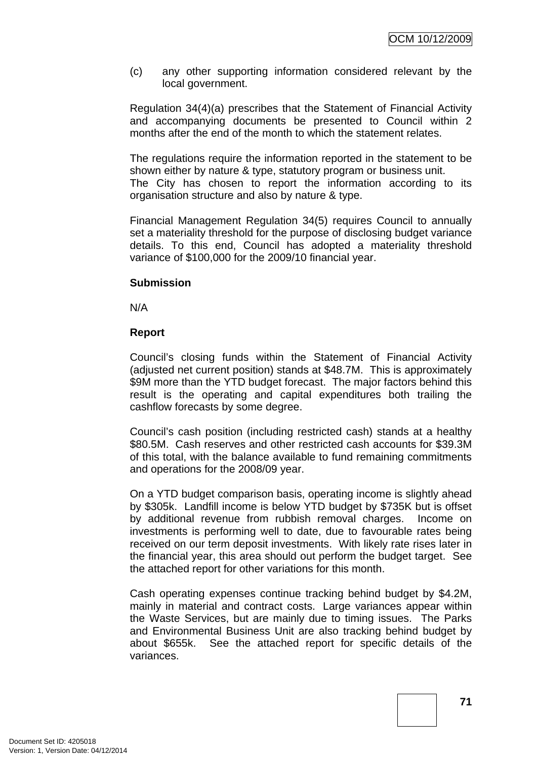(c) any other supporting information considered relevant by the local government.

Regulation 34(4)(a) prescribes that the Statement of Financial Activity and accompanying documents be presented to Council within 2 months after the end of the month to which the statement relates.

The regulations require the information reported in the statement to be shown either by nature & type, statutory program or business unit.

The City has chosen to report the information according to its organisation structure and also by nature & type.

Financial Management Regulation 34(5) requires Council to annually set a materiality threshold for the purpose of disclosing budget variance details. To this end, Council has adopted a materiality threshold variance of \$100,000 for the 2009/10 financial year.

## **Submission**

N/A

## **Report**

Council's closing funds within the Statement of Financial Activity (adjusted net current position) stands at \$48.7M. This is approximately \$9M more than the YTD budget forecast. The major factors behind this result is the operating and capital expenditures both trailing the cashflow forecasts by some degree.

Council's cash position (including restricted cash) stands at a healthy \$80.5M. Cash reserves and other restricted cash accounts for \$39.3M of this total, with the balance available to fund remaining commitments and operations for the 2008/09 year.

On a YTD budget comparison basis, operating income is slightly ahead by \$305k. Landfill income is below YTD budget by \$735K but is offset by additional revenue from rubbish removal charges. Income on investments is performing well to date, due to favourable rates being received on our term deposit investments. With likely rate rises later in the financial year, this area should out perform the budget target. See the attached report for other variations for this month.

Cash operating expenses continue tracking behind budget by \$4.2M, mainly in material and contract costs. Large variances appear within the Waste Services, but are mainly due to timing issues. The Parks and Environmental Business Unit are also tracking behind budget by about \$655k. See the attached report for specific details of the variances.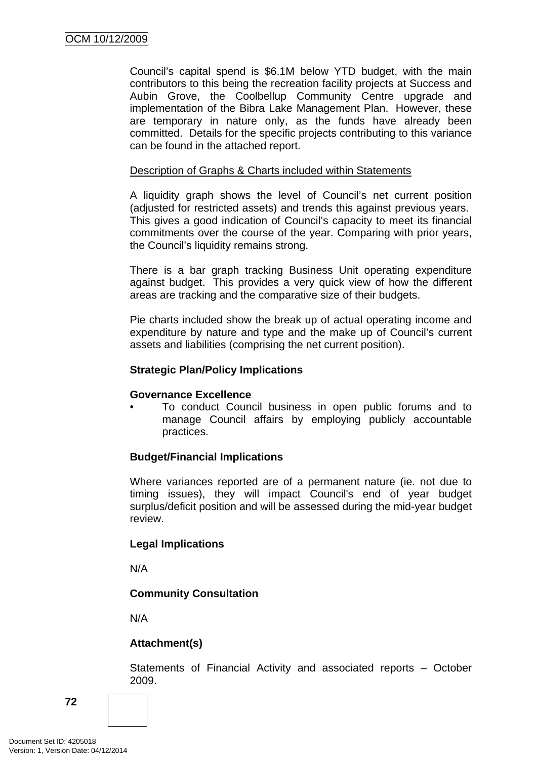Council's capital spend is \$6.1M below YTD budget, with the main contributors to this being the recreation facility projects at Success and Aubin Grove, the Coolbellup Community Centre upgrade and implementation of the Bibra Lake Management Plan. However, these are temporary in nature only, as the funds have already been committed. Details for the specific projects contributing to this variance can be found in the attached report.

### Description of Graphs & Charts included within Statements

A liquidity graph shows the level of Council's net current position (adjusted for restricted assets) and trends this against previous years. This gives a good indication of Council's capacity to meet its financial commitments over the course of the year. Comparing with prior years, the Council's liquidity remains strong.

There is a bar graph tracking Business Unit operating expenditure against budget. This provides a very quick view of how the different areas are tracking and the comparative size of their budgets.

Pie charts included show the break up of actual operating income and expenditure by nature and type and the make up of Council's current assets and liabilities (comprising the net current position).

## **Strategic Plan/Policy Implications**

#### **Governance Excellence**

• To conduct Council business in open public forums and to manage Council affairs by employing publicly accountable practices.

# **Budget/Financial Implications**

Where variances reported are of a permanent nature (ie. not due to timing issues), they will impact Council's end of year budget surplus/deficit position and will be assessed during the mid-year budget review.

# **Legal Implications**

N/A

# **Community Consultation**

N/A

# **Attachment(s)**

Statements of Financial Activity and associated reports – October 2009.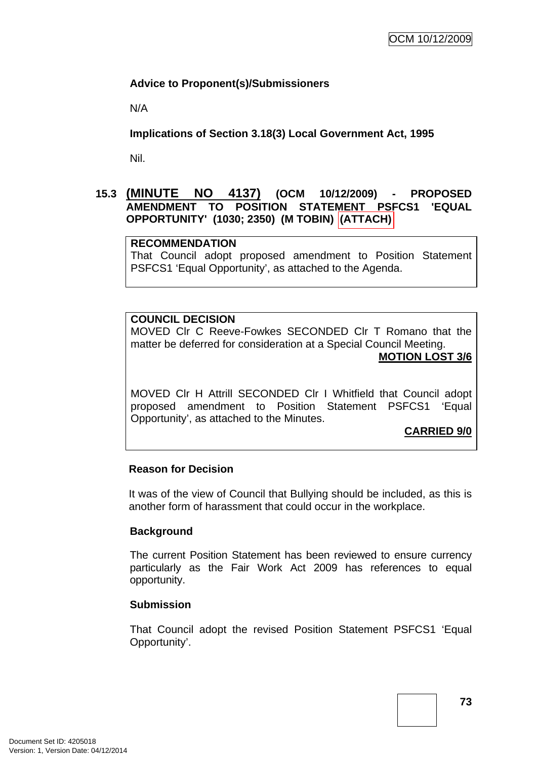# **Advice to Proponent(s)/Submissioners**

N/A

**Implications of Section 3.18(3) Local Government Act, 1995**

Nil.

## **15.3 (MINUTE NO 4137) (OCM 10/12/2009) - PROPOSED AMENDMENT TO POSITION STATEMENT PSFCS1 'EQUAL OPPORTUNITY' (1030; 2350) (M TOBIN) (ATTACH)**

#### **RECOMMENDATION**

That Council adopt proposed amendment to Position Statement PSFCS1 'Equal Opportunity', as attached to the Agenda.

#### **COUNCIL DECISION**

MOVED Clr C Reeve-Fowkes SECONDED Clr T Romano that the matter be deferred for consideration at a Special Council Meeting. **MOTION LOST 3/6**

MOVED Clr H Attrill SECONDED Clr I Whitfield that Council adopt proposed amendment to Position Statement PSFCS1 'Equal Opportunity', as attached to the Minutes.

**CARRIED 9/0**

## **Reason for Decision**

It was of the view of Council that Bullying should be included, as this is another form of harassment that could occur in the workplace.

#### **Background**

The current Position Statement has been reviewed to ensure currency particularly as the Fair Work Act 2009 has references to equal opportunity.

#### **Submission**

That Council adopt the revised Position Statement PSFCS1 'Equal Opportunity'.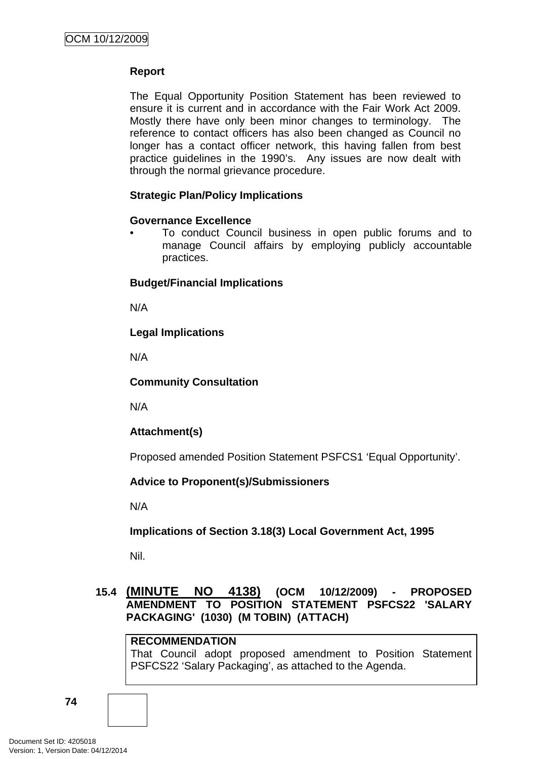## **Report**

The Equal Opportunity Position Statement has been reviewed to ensure it is current and in accordance with the Fair Work Act 2009. Mostly there have only been minor changes to terminology. The reference to contact officers has also been changed as Council no longer has a contact officer network, this having fallen from best practice guidelines in the 1990's. Any issues are now dealt with through the normal grievance procedure.

# **Strategic Plan/Policy Implications**

## **Governance Excellence**

• To conduct Council business in open public forums and to manage Council affairs by employing publicly accountable practices.

## **Budget/Financial Implications**

N/A

# **Legal Implications**

N/A

## **Community Consultation**

N/A

# **Attachment(s)**

Proposed amended Position Statement PSFCS1 'Equal Opportunity'.

# **Advice to Proponent(s)/Submissioners**

N/A

# **Implications of Section 3.18(3) Local Government Act, 1995**

Nil.

# **15.4 (MINUTE NO 4138) (OCM 10/12/2009) - PROPOSED AMENDMENT TO POSITION STATEMENT PSFCS22 'SALARY PACKAGING' (1030) (M TOBIN) (ATTACH)**

# **RECOMMENDATION**

That Council adopt proposed amendment to Position Statement PSFCS22 'Salary Packaging', as attached to the Agenda.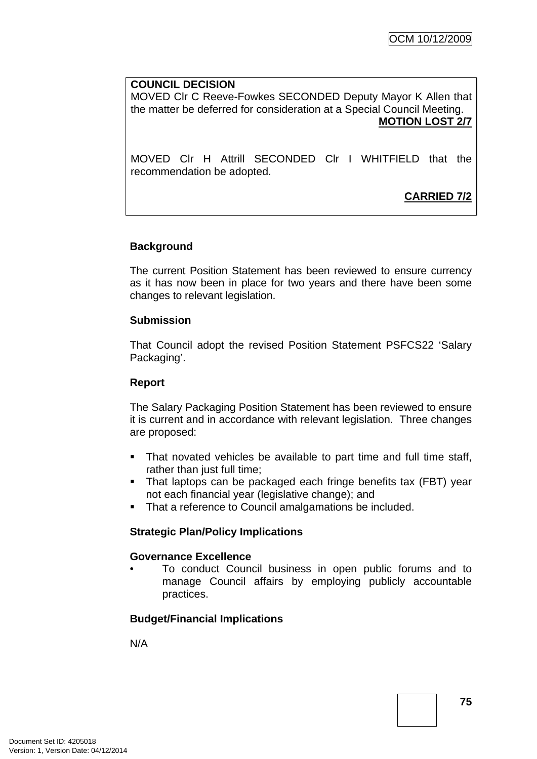#### **COUNCIL DECISION**

MOVED Clr C Reeve-Fowkes SECONDED Deputy Mayor K Allen that the matter be deferred for consideration at a Special Council Meeting. **MOTION LOST 2/7**

MOVED Clr H Attrill SECONDED Clr I WHITFIELD that the recommendation be adopted.

**CARRIED 7/2**

## **Background**

The current Position Statement has been reviewed to ensure currency as it has now been in place for two years and there have been some changes to relevant legislation.

#### **Submission**

That Council adopt the revised Position Statement PSFCS22 'Salary Packaging'.

#### **Report**

The Salary Packaging Position Statement has been reviewed to ensure it is current and in accordance with relevant legislation. Three changes are proposed:

- That novated vehicles be available to part time and full time staff, rather than just full time;
- That laptops can be packaged each fringe benefits tax (FBT) year not each financial year (legislative change); and
- That a reference to Council amalgamations be included.

#### **Strategic Plan/Policy Implications**

#### **Governance Excellence**

• To conduct Council business in open public forums and to manage Council affairs by employing publicly accountable practices.

#### **Budget/Financial Implications**

N/A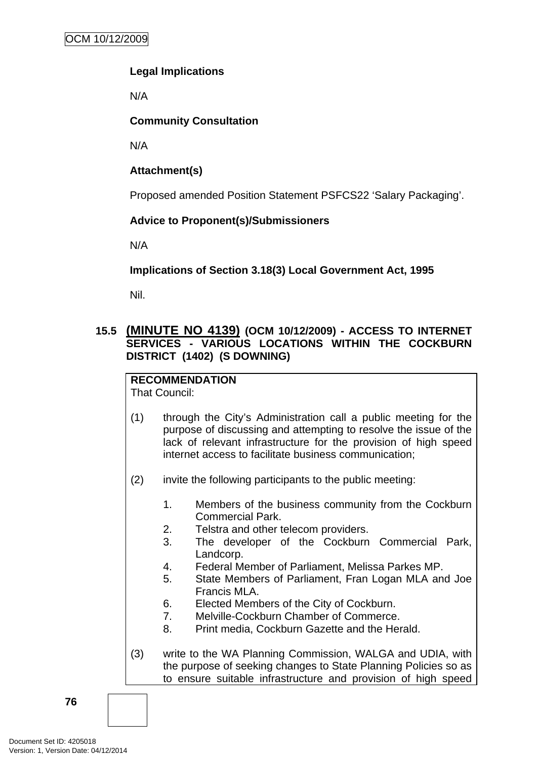# **Legal Implications**

N/A

# **Community Consultation**

N/A

# **Attachment(s)**

Proposed amended Position Statement PSFCS22 'Salary Packaging'.

# **Advice to Proponent(s)/Submissioners**

N/A

# **Implications of Section 3.18(3) Local Government Act, 1995**

Nil.

# **15.5 (MINUTE NO 4139) (OCM 10/12/2009) - ACCESS TO INTERNET SERVICES - VARIOUS LOCATIONS WITHIN THE COCKBURN DISTRICT (1402) (S DOWNING)**

#### **RECOMMENDATION** That Council:

- (1) through the City's Administration call a public meeting for the purpose of discussing and attempting to resolve the issue of the lack of relevant infrastructure for the provision of high speed internet access to facilitate business communication;
- (2) invite the following participants to the public meeting:
	- 1. Members of the business community from the Cockburn Commercial Park.
	- 2. Telstra and other telecom providers.
	- 3. The developer of the Cockburn Commercial Park, Landcorp.
	- 4. Federal Member of Parliament, Melissa Parkes MP.
	- 5. State Members of Parliament, Fran Logan MLA and Joe Francis MLA.
	- 6. Elected Members of the City of Cockburn.
	- 7. Melville-Cockburn Chamber of Commerce.
	- 8. Print media, Cockburn Gazette and the Herald.
- (3) write to the WA Planning Commission, WALGA and UDIA, with the purpose of seeking changes to State Planning Policies so as to ensure suitable infrastructure and provision of high speed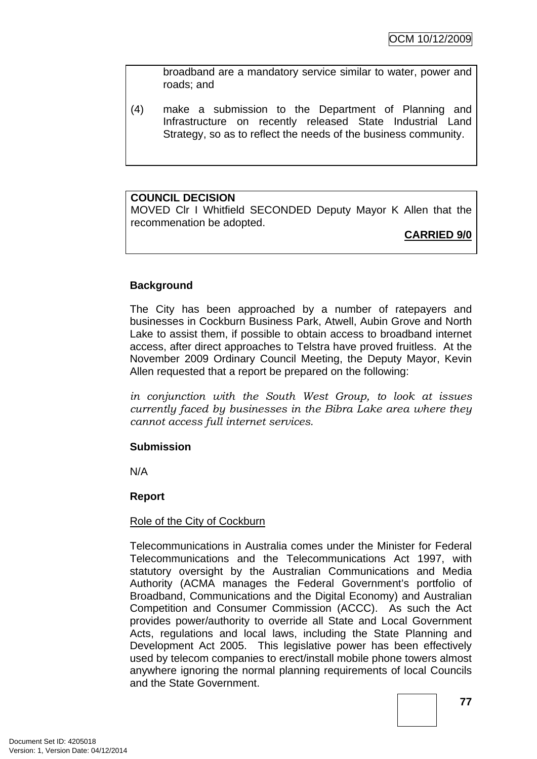broadband are a mandatory service similar to water, power and roads; and

(4) make a submission to the Department of Planning and Infrastructure on recently released State Industrial Land Strategy, so as to reflect the needs of the business community.

## **COUNCIL DECISION**

MOVED Clr I Whitfield SECONDED Deputy Mayor K Allen that the recommenation be adopted.

**CARRIED 9/0**

# **Background**

The City has been approached by a number of ratepayers and businesses in Cockburn Business Park, Atwell, Aubin Grove and North Lake to assist them, if possible to obtain access to broadband internet access, after direct approaches to Telstra have proved fruitless. At the November 2009 Ordinary Council Meeting, the Deputy Mayor, Kevin Allen requested that a report be prepared on the following:

*in conjunction with the South West Group, to look at issues currently faced by businesses in the Bibra Lake area where they cannot access full internet services.* 

#### **Submission**

N/A

#### **Report**

#### Role of the City of Cockburn

Telecommunications in Australia comes under the Minister for Federal Telecommunications and the Telecommunications Act 1997, with statutory oversight by the Australian Communications and Media Authority (ACMA manages the Federal Government's portfolio of Broadband, Communications and the Digital Economy) and Australian Competition and Consumer Commission (ACCC). As such the Act provides power/authority to override all State and Local Government Acts, regulations and local laws, including the State Planning and Development Act 2005. This legislative power has been effectively used by telecom companies to erect/install mobile phone towers almost anywhere ignoring the normal planning requirements of local Councils and the State Government.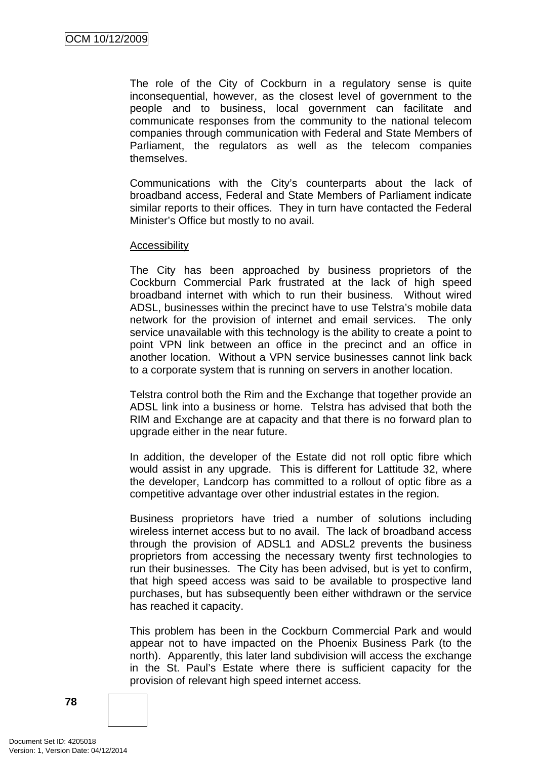The role of the City of Cockburn in a regulatory sense is quite inconsequential, however, as the closest level of government to the people and to business, local government can facilitate and communicate responses from the community to the national telecom companies through communication with Federal and State Members of Parliament, the regulators as well as the telecom companies themselves.

Communications with the City's counterparts about the lack of broadband access, Federal and State Members of Parliament indicate similar reports to their offices. They in turn have contacted the Federal Minister's Office but mostly to no avail.

#### Accessibility

The City has been approached by business proprietors of the Cockburn Commercial Park frustrated at the lack of high speed broadband internet with which to run their business. Without wired ADSL, businesses within the precinct have to use Telstra's mobile data network for the provision of internet and email services. The only service unavailable with this technology is the ability to create a point to point VPN link between an office in the precinct and an office in another location. Without a VPN service businesses cannot link back to a corporate system that is running on servers in another location.

Telstra control both the Rim and the Exchange that together provide an ADSL link into a business or home. Telstra has advised that both the RIM and Exchange are at capacity and that there is no forward plan to upgrade either in the near future.

In addition, the developer of the Estate did not roll optic fibre which would assist in any upgrade. This is different for Lattitude 32, where the developer, Landcorp has committed to a rollout of optic fibre as a competitive advantage over other industrial estates in the region.

Business proprietors have tried a number of solutions including wireless internet access but to no avail. The lack of broadband access through the provision of ADSL1 and ADSL2 prevents the business proprietors from accessing the necessary twenty first technologies to run their businesses. The City has been advised, but is yet to confirm, that high speed access was said to be available to prospective land purchases, but has subsequently been either withdrawn or the service has reached it capacity.

This problem has been in the Cockburn Commercial Park and would appear not to have impacted on the Phoenix Business Park (to the north). Apparently, this later land subdivision will access the exchange in the St. Paul's Estate where there is sufficient capacity for the provision of relevant high speed internet access.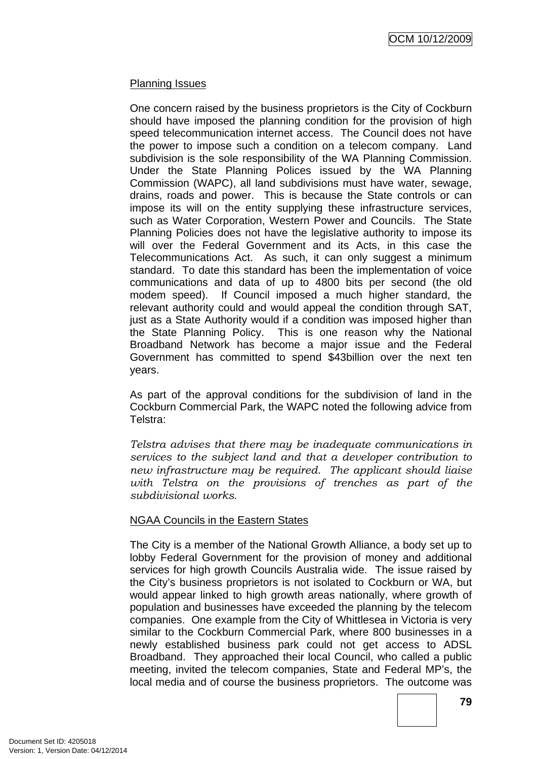### Planning Issues

One concern raised by the business proprietors is the City of Cockburn should have imposed the planning condition for the provision of high speed telecommunication internet access. The Council does not have the power to impose such a condition on a telecom company. Land subdivision is the sole responsibility of the WA Planning Commission. Under the State Planning Polices issued by the WA Planning Commission (WAPC), all land subdivisions must have water, sewage, drains, roads and power. This is because the State controls or can impose its will on the entity supplying these infrastructure services, such as Water Corporation, Western Power and Councils. The State Planning Policies does not have the legislative authority to impose its will over the Federal Government and its Acts, in this case the Telecommunications Act. As such, it can only suggest a minimum standard. To date this standard has been the implementation of voice communications and data of up to 4800 bits per second (the old modem speed). If Council imposed a much higher standard, the relevant authority could and would appeal the condition through SAT, just as a State Authority would if a condition was imposed higher than the State Planning Policy. This is one reason why the National Broadband Network has become a major issue and the Federal Government has committed to spend \$43billion over the next ten years.

As part of the approval conditions for the subdivision of land in the Cockburn Commercial Park, the WAPC noted the following advice from Telstra:

*Telstra advises that there may be inadequate communications in services to the subject land and that a developer contribution to new infrastructure may be required. The applicant should liaise with Telstra on the provisions of trenches as part of the subdivisional works*.

#### NGAA Councils in the Eastern States

The City is a member of the National Growth Alliance, a body set up to lobby Federal Government for the provision of money and additional services for high growth Councils Australia wide. The issue raised by the City's business proprietors is not isolated to Cockburn or WA, but would appear linked to high growth areas nationally, where growth of population and businesses have exceeded the planning by the telecom companies. One example from the City of Whittlesea in Victoria is very similar to the Cockburn Commercial Park, where 800 businesses in a newly established business park could not get access to ADSL Broadband. They approached their local Council, who called a public meeting, invited the telecom companies, State and Federal MP's, the local media and of course the business proprietors. The outcome was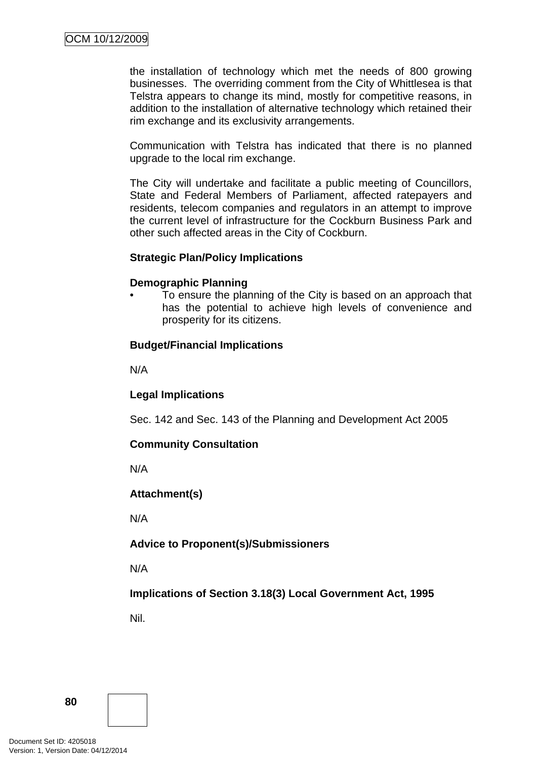the installation of technology which met the needs of 800 growing businesses. The overriding comment from the City of Whittlesea is that Telstra appears to change its mind, mostly for competitive reasons, in addition to the installation of alternative technology which retained their rim exchange and its exclusivity arrangements.

Communication with Telstra has indicated that there is no planned upgrade to the local rim exchange.

The City will undertake and facilitate a public meeting of Councillors, State and Federal Members of Parliament, affected ratepayers and residents, telecom companies and regulators in an attempt to improve the current level of infrastructure for the Cockburn Business Park and other such affected areas in the City of Cockburn.

#### **Strategic Plan/Policy Implications**

#### **Demographic Planning**

• To ensure the planning of the City is based on an approach that has the potential to achieve high levels of convenience and prosperity for its citizens.

#### **Budget/Financial Implications**

N/A

#### **Legal Implications**

Sec. 142 and Sec. 143 of the Planning and Development Act 2005

#### **Community Consultation**

N/A

#### **Attachment(s)**

N/A

#### **Advice to Proponent(s)/Submissioners**

N/A

**Implications of Section 3.18(3) Local Government Act, 1995**

Nil.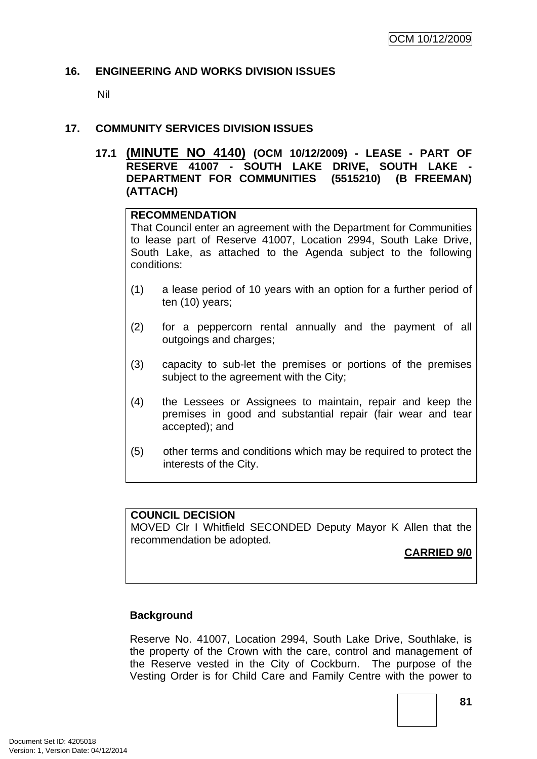#### **16. ENGINEERING AND WORKS DIVISION ISSUES**

Nil

### **17. COMMUNITY SERVICES DIVISION ISSUES**

**17.1 (MINUTE NO 4140) (OCM 10/12/2009) - LEASE - PART OF RESERVE 41007 - SOUTH LAKE DRIVE, SOUTH LAKE - DEPARTMENT FOR COMMUNITIES (5515210) (B FREEMAN) (ATTACH)** 

#### **RECOMMENDATION**

That Council enter an agreement with the Department for Communities to lease part of Reserve 41007, Location 2994, South Lake Drive, South Lake, as attached to the Agenda subject to the following conditions:

- (1) a lease period of 10 years with an option for a further period of ten (10) years;
- (2) for a peppercorn rental annually and the payment of all outgoings and charges;
- (3) capacity to sub-let the premises or portions of the premises subject to the agreement with the City;
- (4) the Lessees or Assignees to maintain, repair and keep the premises in good and substantial repair (fair wear and tear accepted); and
- (5) other terms and conditions which may be required to protect the interests of the City.

#### **COUNCIL DECISION**

MOVED Clr I Whitfield SECONDED Deputy Mayor K Allen that the recommendation be adopted.

# **CARRIED 9/0**

#### **Background**

Reserve No. 41007, Location 2994, South Lake Drive, Southlake, is the property of the Crown with the care, control and management of the Reserve vested in the City of Cockburn. The purpose of the Vesting Order is for Child Care and Family Centre with the power to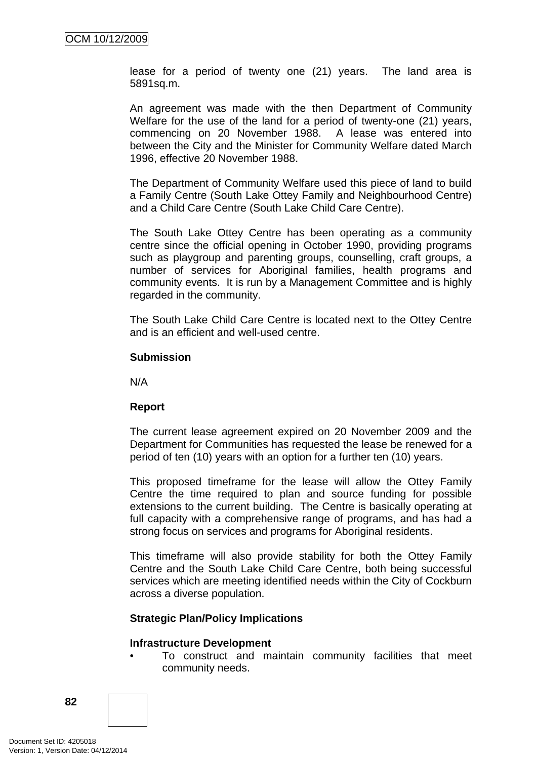lease for a period of twenty one (21) years. The land area is 5891sq.m.

An agreement was made with the then Department of Community Welfare for the use of the land for a period of twenty-one (21) years, commencing on 20 November 1988. A lease was entered into between the City and the Minister for Community Welfare dated March 1996, effective 20 November 1988.

The Department of Community Welfare used this piece of land to build a Family Centre (South Lake Ottey Family and Neighbourhood Centre) and a Child Care Centre (South Lake Child Care Centre).

The South Lake Ottey Centre has been operating as a community centre since the official opening in October 1990, providing programs such as playgroup and parenting groups, counselling, craft groups, a number of services for Aboriginal families, health programs and community events. It is run by a Management Committee and is highly regarded in the community.

The South Lake Child Care Centre is located next to the Ottey Centre and is an efficient and well-used centre.

#### **Submission**

N/A

#### **Report**

The current lease agreement expired on 20 November 2009 and the Department for Communities has requested the lease be renewed for a period of ten (10) years with an option for a further ten (10) years.

This proposed timeframe for the lease will allow the Ottey Family Centre the time required to plan and source funding for possible extensions to the current building. The Centre is basically operating at full capacity with a comprehensive range of programs, and has had a strong focus on services and programs for Aboriginal residents.

This timeframe will also provide stability for both the Ottey Family Centre and the South Lake Child Care Centre, both being successful services which are meeting identified needs within the City of Cockburn across a diverse population.

#### **Strategic Plan/Policy Implications**

#### **Infrastructure Development**

• To construct and maintain community facilities that meet community needs.

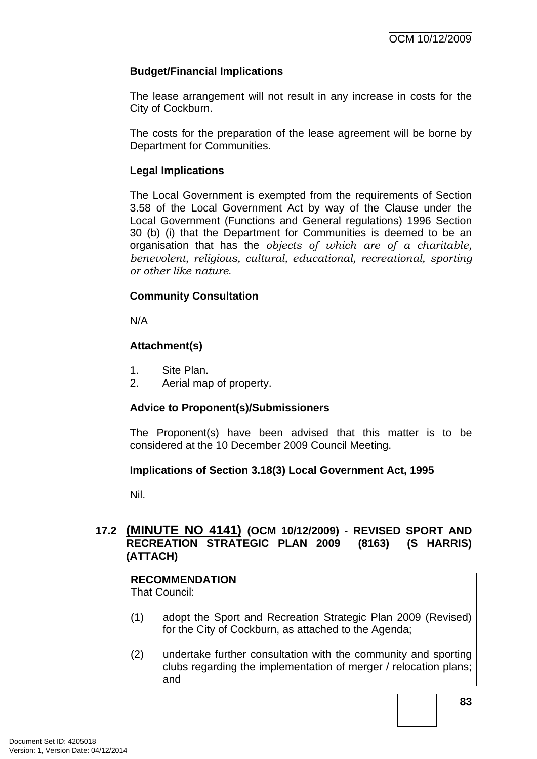## **Budget/Financial Implications**

The lease arrangement will not result in any increase in costs for the City of Cockburn.

The costs for the preparation of the lease agreement will be borne by Department for Communities.

### **Legal Implications**

The Local Government is exempted from the requirements of Section 3.58 of the Local Government Act by way of the Clause under the Local Government (Functions and General regulations) 1996 Section 30 (b) (i) that the Department for Communities is deemed to be an organisation that has the *objects of which are of a charitable, benevolent, religious, cultural, educational, recreational, sporting or other like nature*.

## **Community Consultation**

N/A

## **Attachment(s)**

- 1. Site Plan.
- 2. Aerial map of property.

# **Advice to Proponent(s)/Submissioners**

The Proponent(s) have been advised that this matter is to be considered at the 10 December 2009 Council Meeting.

# **Implications of Section 3.18(3) Local Government Act, 1995**

Nil.

# **17.2 (MINUTE NO 4141) (OCM 10/12/2009) - REVISED SPORT AND RECREATION STRATEGIC PLAN 2009 (8163) (S HARRIS) (ATTACH)**

# **RECOMMENDATION**

That Council:

- (1) adopt the Sport and Recreation Strategic Plan 2009 (Revised) for the City of Cockburn, as attached to the Agenda;
- (2) undertake further consultation with the community and sporting clubs regarding the implementation of merger / relocation plans; and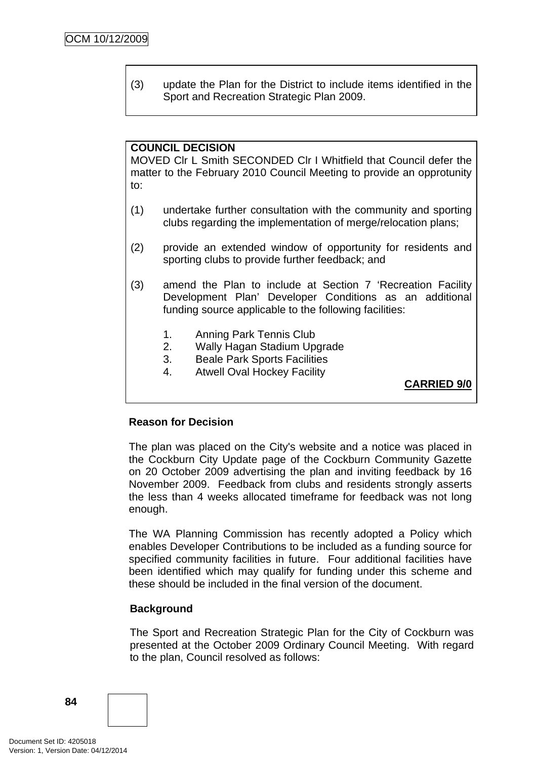(3) update the Plan for the District to include items identified in the Sport and Recreation Strategic Plan 2009.

#### **COUNCIL DECISION**

MOVED Clr L Smith SECONDED Clr I Whitfield that Council defer the matter to the February 2010 Council Meeting to provide an opprotunity to:

- (1) undertake further consultation with the community and sporting clubs regarding the implementation of merge/relocation plans;
- (2) provide an extended window of opportunity for residents and sporting clubs to provide further feedback; and
- (3) amend the Plan to include at Section 7 'Recreation Facility Development Plan' Developer Conditions as an additional funding source applicable to the following facilities:
	- 1. Anning Park Tennis Club
	- 2. Wally Hagan Stadium Upgrade
	- 3. Beale Park Sports Facilities
	- 4. Atwell Oval Hockey Facility

**CARRIED 9/0**

#### **Reason for Decision**

The plan was placed on the City's website and a notice was placed in the Cockburn City Update page of the Cockburn Community Gazette on 20 October 2009 advertising the plan and inviting feedback by 16 November 2009. Feedback from clubs and residents strongly asserts the less than 4 weeks allocated timeframe for feedback was not long enough.

The WA Planning Commission has recently adopted a Policy which enables Developer Contributions to be included as a funding source for specified community facilities in future. Four additional facilities have been identified which may qualify for funding under this scheme and these should be included in the final version of the document.

#### **Background**

The Sport and Recreation Strategic Plan for the City of Cockburn was presented at the October 2009 Ordinary Council Meeting. With regard to the plan, Council resolved as follows: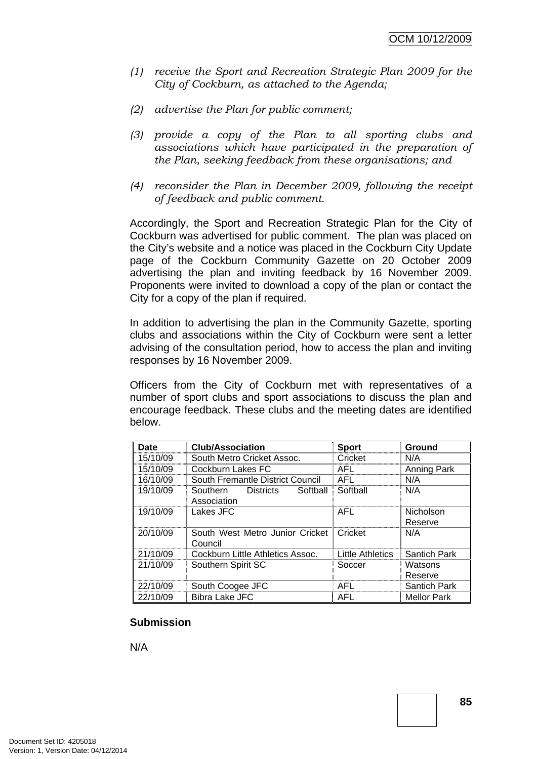- *(1) receive the Sport and Recreation Strategic Plan 2009 for the City of Cockburn, as attached to the Agenda;*
- *(2) advertise the Plan for public comment;*
- *(3) provide a copy of the Plan to all sporting clubs and associations which have participated in the preparation of the Plan, seeking feedback from these organisations; and*
- *(4) reconsider the Plan in December 2009, following the receipt of feedback and public comment.*

Accordingly, the Sport and Recreation Strategic Plan for the City of Cockburn was advertised for public comment. The plan was placed on the City's website and a notice was placed in the Cockburn City Update page of the Cockburn Community Gazette on 20 October 2009 advertising the plan and inviting feedback by 16 November 2009. Proponents were invited to download a copy of the plan or contact the City for a copy of the plan if required.

In addition to advertising the plan in the Community Gazette, sporting clubs and associations within the City of Cockburn were sent a letter advising of the consultation period, how to access the plan and inviting responses by 16 November 2009.

Officers from the City of Cockburn met with representatives of a number of sport clubs and sport associations to discuss the plan and encourage feedback. These clubs and the meeting dates are identified below.

| Date     | <b>Club/Association</b>                  | <b>Sport</b>            | Ground              |
|----------|------------------------------------------|-------------------------|---------------------|
| 15/10/09 | South Metro Cricket Assoc.               | Cricket                 | N/A                 |
| 15/10/09 | Cockburn Lakes FC                        | AFL                     | Anning Park         |
| 16/10/09 | South Fremantle District Council         | AFL                     | N/A                 |
| 19/10/09 | Softball<br>Southern<br><b>Districts</b> | Softball                | N/A                 |
|          | Association                              |                         |                     |
| 19/10/09 | Lakes JFC                                | AFL                     | Nicholson           |
|          |                                          |                         | Reserve             |
| 20/10/09 | South West Metro Junior Cricket          | Cricket                 | N/A                 |
|          | Council                                  |                         |                     |
| 21/10/09 | Cockburn Little Athletics Assoc.         | <b>Little Athletics</b> | <b>Santich Park</b> |
| 21/10/09 | Southern Spirit SC                       | Soccer                  | Watsons             |
|          |                                          |                         | Reserve             |
| 22/10/09 | South Coogee JFC                         | <b>AFL</b>              | <b>Santich Park</b> |
| 22/10/09 | <b>Bibra Lake JFC</b>                    | <b>AFL</b>              | <b>Mellor Park</b>  |

#### **Submission**

N/A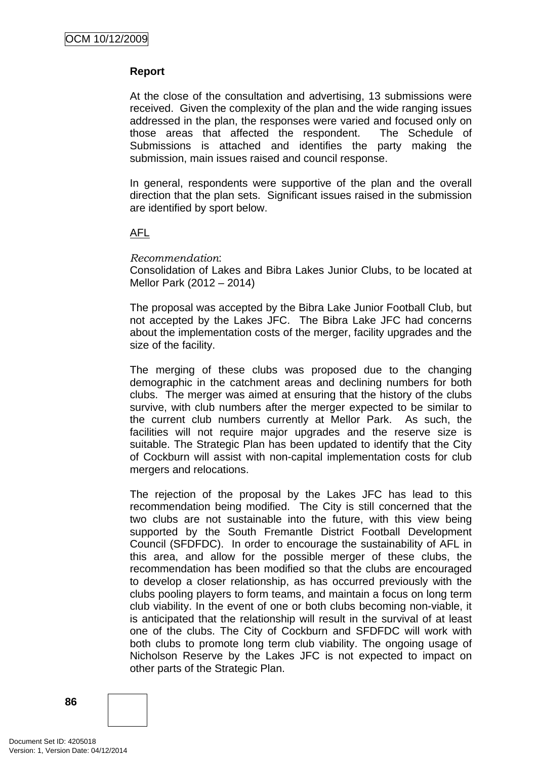## **Report**

At the close of the consultation and advertising, 13 submissions were received. Given the complexity of the plan and the wide ranging issues addressed in the plan, the responses were varied and focused only on those areas that affected the respondent. The Schedule of Submissions is attached and identifies the party making the submission, main issues raised and council response.

In general, respondents were supportive of the plan and the overall direction that the plan sets. Significant issues raised in the submission are identified by sport below.

#### AFL

#### *Recommendation*:

Consolidation of Lakes and Bibra Lakes Junior Clubs, to be located at Mellor Park (2012 – 2014)

The proposal was accepted by the Bibra Lake Junior Football Club, but not accepted by the Lakes JFC. The Bibra Lake JFC had concerns about the implementation costs of the merger, facility upgrades and the size of the facility.

The merging of these clubs was proposed due to the changing demographic in the catchment areas and declining numbers for both clubs. The merger was aimed at ensuring that the history of the clubs survive, with club numbers after the merger expected to be similar to the current club numbers currently at Mellor Park. As such, the facilities will not require major upgrades and the reserve size is suitable. The Strategic Plan has been updated to identify that the City of Cockburn will assist with non-capital implementation costs for club mergers and relocations.

The rejection of the proposal by the Lakes JFC has lead to this recommendation being modified. The City is still concerned that the two clubs are not sustainable into the future, with this view being supported by the South Fremantle District Football Development Council (SFDFDC). In order to encourage the sustainability of AFL in this area, and allow for the possible merger of these clubs, the recommendation has been modified so that the clubs are encouraged to develop a closer relationship, as has occurred previously with the clubs pooling players to form teams, and maintain a focus on long term club viability. In the event of one or both clubs becoming non-viable, it is anticipated that the relationship will result in the survival of at least one of the clubs. The City of Cockburn and SFDFDC will work with both clubs to promote long term club viability. The ongoing usage of Nicholson Reserve by the Lakes JFC is not expected to impact on other parts of the Strategic Plan.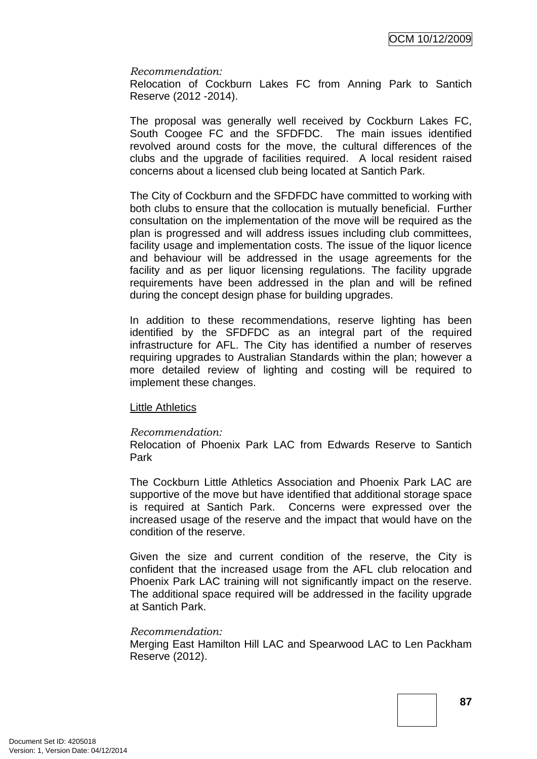#### *Recommendation:*

Relocation of Cockburn Lakes FC from Anning Park to Santich Reserve (2012 -2014).

The proposal was generally well received by Cockburn Lakes FC, South Coogee FC and the SFDFDC. The main issues identified revolved around costs for the move, the cultural differences of the clubs and the upgrade of facilities required. A local resident raised concerns about a licensed club being located at Santich Park.

The City of Cockburn and the SFDFDC have committed to working with both clubs to ensure that the collocation is mutually beneficial. Further consultation on the implementation of the move will be required as the plan is progressed and will address issues including club committees, facility usage and implementation costs. The issue of the liquor licence and behaviour will be addressed in the usage agreements for the facility and as per liquor licensing regulations. The facility upgrade requirements have been addressed in the plan and will be refined during the concept design phase for building upgrades.

In addition to these recommendations, reserve lighting has been identified by the SFDFDC as an integral part of the required infrastructure for AFL. The City has identified a number of reserves requiring upgrades to Australian Standards within the plan; however a more detailed review of lighting and costing will be required to implement these changes.

#### Little Athletics

#### *Recommendation:*

Relocation of Phoenix Park LAC from Edwards Reserve to Santich Park

The Cockburn Little Athletics Association and Phoenix Park LAC are supportive of the move but have identified that additional storage space is required at Santich Park. Concerns were expressed over the increased usage of the reserve and the impact that would have on the condition of the reserve.

Given the size and current condition of the reserve, the City is confident that the increased usage from the AFL club relocation and Phoenix Park LAC training will not significantly impact on the reserve. The additional space required will be addressed in the facility upgrade at Santich Park.

#### *Recommendation:*

Merging East Hamilton Hill LAC and Spearwood LAC to Len Packham Reserve (2012).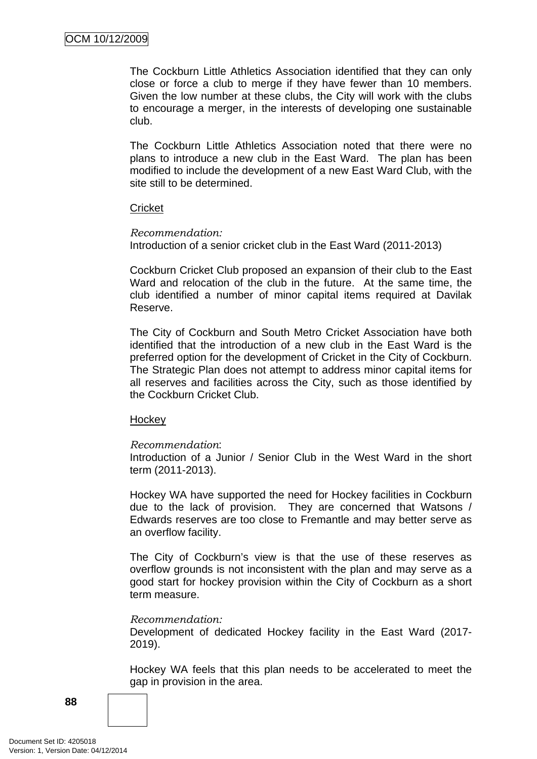The Cockburn Little Athletics Association identified that they can only close or force a club to merge if they have fewer than 10 members. Given the low number at these clubs, the City will work with the clubs to encourage a merger, in the interests of developing one sustainable club.

The Cockburn Little Athletics Association noted that there were no plans to introduce a new club in the East Ward. The plan has been modified to include the development of a new East Ward Club, with the site still to be determined.

#### **Cricket**

*Recommendation:* 

Introduction of a senior cricket club in the East Ward (2011-2013)

Cockburn Cricket Club proposed an expansion of their club to the East Ward and relocation of the club in the future. At the same time, the club identified a number of minor capital items required at Davilak Reserve.

The City of Cockburn and South Metro Cricket Association have both identified that the introduction of a new club in the East Ward is the preferred option for the development of Cricket in the City of Cockburn. The Strategic Plan does not attempt to address minor capital items for all reserves and facilities across the City, such as those identified by the Cockburn Cricket Club.

#### **Hockey**

#### *Recommendation*:

Introduction of a Junior / Senior Club in the West Ward in the short term (2011-2013).

Hockey WA have supported the need for Hockey facilities in Cockburn due to the lack of provision. They are concerned that Watsons / Edwards reserves are too close to Fremantle and may better serve as an overflow facility.

The City of Cockburn's view is that the use of these reserves as overflow grounds is not inconsistent with the plan and may serve as a good start for hockey provision within the City of Cockburn as a short term measure.

#### *Recommendation:*

Development of dedicated Hockey facility in the East Ward (2017- 2019).

Hockey WA feels that this plan needs to be accelerated to meet the gap in provision in the area.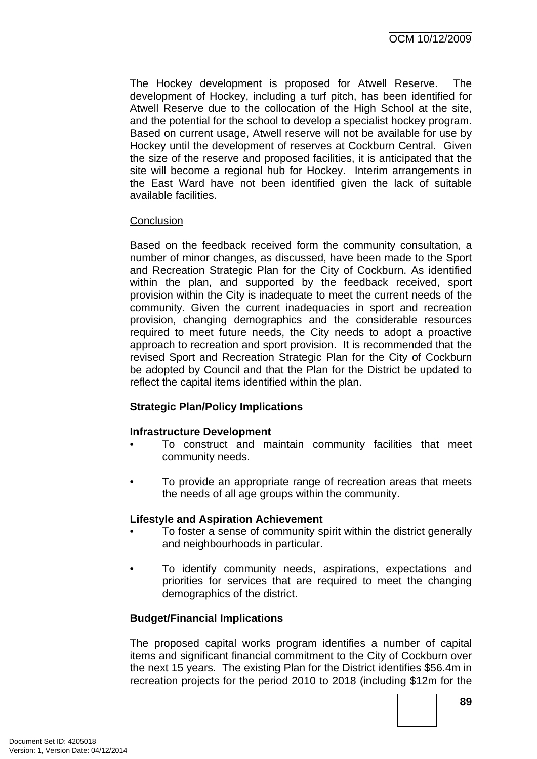The Hockey development is proposed for Atwell Reserve. The development of Hockey, including a turf pitch, has been identified for Atwell Reserve due to the collocation of the High School at the site, and the potential for the school to develop a specialist hockey program. Based on current usage, Atwell reserve will not be available for use by Hockey until the development of reserves at Cockburn Central. Given the size of the reserve and proposed facilities, it is anticipated that the site will become a regional hub for Hockey. Interim arrangements in the East Ward have not been identified given the lack of suitable available facilities.

#### **Conclusion**

Based on the feedback received form the community consultation, a number of minor changes, as discussed, have been made to the Sport and Recreation Strategic Plan for the City of Cockburn. As identified within the plan, and supported by the feedback received, sport provision within the City is inadequate to meet the current needs of the community. Given the current inadequacies in sport and recreation provision, changing demographics and the considerable resources required to meet future needs, the City needs to adopt a proactive approach to recreation and sport provision. It is recommended that the revised Sport and Recreation Strategic Plan for the City of Cockburn be adopted by Council and that the Plan for the District be updated to reflect the capital items identified within the plan.

# **Strategic Plan/Policy Implications**

# **Infrastructure Development**

- To construct and maintain community facilities that meet community needs.
- To provide an appropriate range of recreation areas that meets the needs of all age groups within the community.

#### **Lifestyle and Aspiration Achievement**

- To foster a sense of community spirit within the district generally and neighbourhoods in particular.
- To identify community needs, aspirations, expectations and priorities for services that are required to meet the changing demographics of the district.

# **Budget/Financial Implications**

The proposed capital works program identifies a number of capital items and significant financial commitment to the City of Cockburn over the next 15 years. The existing Plan for the District identifies \$56.4m in recreation projects for the period 2010 to 2018 (including \$12m for the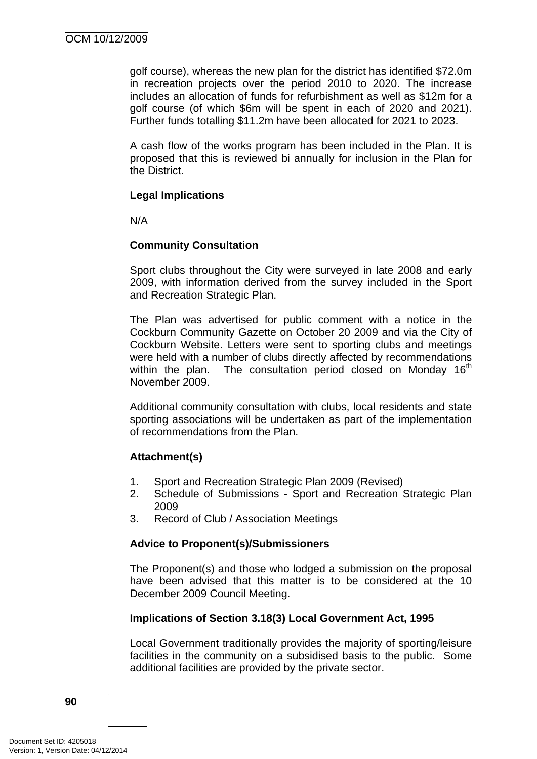golf course), whereas the new plan for the district has identified \$72.0m in recreation projects over the period 2010 to 2020. The increase includes an allocation of funds for refurbishment as well as \$12m for a golf course (of which \$6m will be spent in each of 2020 and 2021). Further funds totalling \$11.2m have been allocated for 2021 to 2023.

A cash flow of the works program has been included in the Plan. It is proposed that this is reviewed bi annually for inclusion in the Plan for the District.

#### **Legal Implications**

N/A

#### **Community Consultation**

Sport clubs throughout the City were surveyed in late 2008 and early 2009, with information derived from the survey included in the Sport and Recreation Strategic Plan.

The Plan was advertised for public comment with a notice in the Cockburn Community Gazette on October 20 2009 and via the City of Cockburn Website. Letters were sent to sporting clubs and meetings were held with a number of clubs directly affected by recommendations within the plan. The consultation period closed on Monday  $16<sup>th</sup>$ November 2009.

Additional community consultation with clubs, local residents and state sporting associations will be undertaken as part of the implementation of recommendations from the Plan.

#### **Attachment(s)**

- 1. Sport and Recreation Strategic Plan 2009 (Revised)
- 2. Schedule of Submissions Sport and Recreation Strategic Plan 2009
- 3. Record of Club / Association Meetings

#### **Advice to Proponent(s)/Submissioners**

The Proponent(s) and those who lodged a submission on the proposal have been advised that this matter is to be considered at the 10 December 2009 Council Meeting.

#### **Implications of Section 3.18(3) Local Government Act, 1995**

Local Government traditionally provides the majority of sporting/leisure facilities in the community on a subsidised basis to the public. Some additional facilities are provided by the private sector.

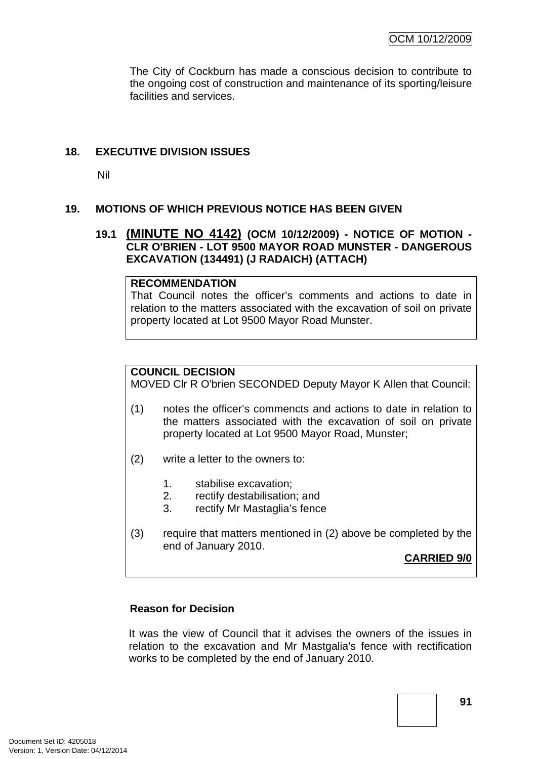The City of Cockburn has made a conscious decision to contribute to the ongoing cost of construction and maintenance of its sporting/leisure facilities and services.

## **18. EXECUTIVE DIVISION ISSUES**

Nil

## **19. MOTIONS OF WHICH PREVIOUS NOTICE HAS BEEN GIVEN**

#### **19.1 (MINUTE NO 4142) (OCM 10/12/2009) - NOTICE OF MOTION - CLR O'BRIEN - LOT 9500 MAYOR ROAD MUNSTER - DANGEROUS EXCAVATION (134491) (J RADAICH) (ATTACH)**

#### **RECOMMENDATION**

That Council notes the officer's comments and actions to date in relation to the matters associated with the excavation of soil on private property located at Lot 9500 Mayor Road Munster.

## **COUNCIL DECISION**

MOVED Clr R O'brien SECONDED Deputy Mayor K Allen that Council:

- (1) notes the officer's commencts and actions to date in relation to the matters associated with the excavation of soil on private property located at Lot 9500 Mayor Road, Munster;
- (2) write a letter to the owners to:
	- 1. stabilise excavation;
	- 2. rectify destabilisation; and
	- 3. rectify Mr Mastaglia's fence
- (3) require that matters mentioned in (2) above be completed by the end of January 2010.

#### **CARRIED 9/0**

#### **Reason for Decision**

It was the view of Council that it advises the owners of the issues in relation to the excavation and Mr Mastgalia's fence with rectification works to be completed by the end of January 2010.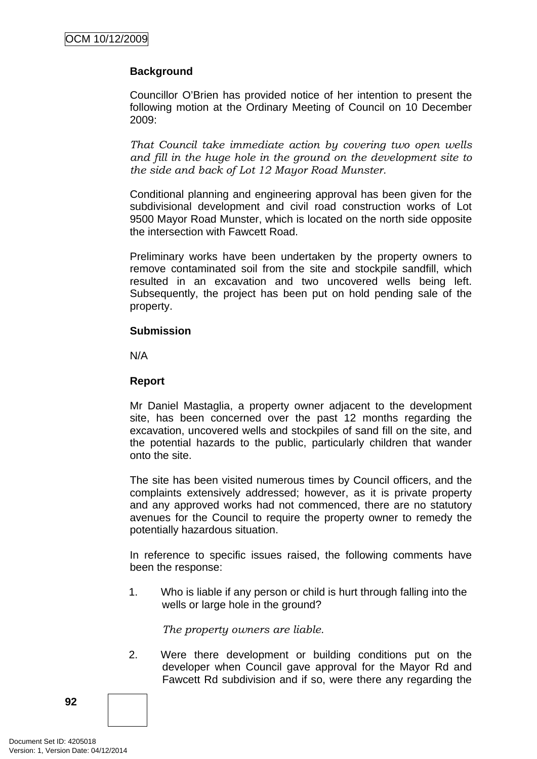# **Background**

Councillor O'Brien has provided notice of her intention to present the following motion at the Ordinary Meeting of Council on 10 December 2009:

*That Council take immediate action by covering two open wells and fill in the huge hole in the ground on the development site to the side and back of Lot 12 Mayor Road Munster.* 

Conditional planning and engineering approval has been given for the subdivisional development and civil road construction works of Lot 9500 Mayor Road Munster, which is located on the north side opposite the intersection with Fawcett Road.

Preliminary works have been undertaken by the property owners to remove contaminated soil from the site and stockpile sandfill, which resulted in an excavation and two uncovered wells being left. Subsequently, the project has been put on hold pending sale of the property.

#### **Submission**

N/A

## **Report**

Mr Daniel Mastaglia, a property owner adjacent to the development site, has been concerned over the past 12 months regarding the excavation, uncovered wells and stockpiles of sand fill on the site, and the potential hazards to the public, particularly children that wander onto the site.

The site has been visited numerous times by Council officers, and the complaints extensively addressed; however, as it is private property and any approved works had not commenced, there are no statutory avenues for the Council to require the property owner to remedy the potentially hazardous situation.

In reference to specific issues raised, the following comments have been the response:

1. Who is liable if any person or child is hurt through falling into the wells or large hole in the ground?

*The property owners are liable.* 

2. Were there development or building conditions put on the developer when Council gave approval for the Mayor Rd and Fawcett Rd subdivision and if so, were there any regarding the

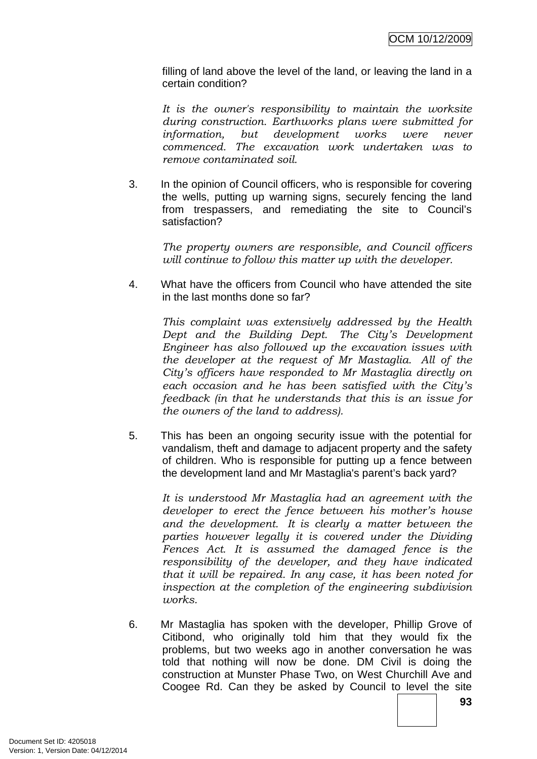filling of land above the level of the land, or leaving the land in a certain condition?

*It is the owner's responsibility to maintain the worksite during construction. Earthworks plans were submitted for information, but development works were never commenced. The excavation work undertaken was to remove contaminated soil.* 

3. In the opinion of Council officers, who is responsible for covering the wells, putting up warning signs, securely fencing the land from trespassers, and remediating the site to Council's satisfaction?

*The property owners are responsible, and Council officers will continue to follow this matter up with the developer.* 

4. What have the officers from Council who have attended the site in the last months done so far?

*This complaint was extensively addressed by the Health Dept and the Building Dept. The City's Development Engineer has also followed up the excavation issues with the developer at the request of Mr Mastaglia. All of the City's officers have responded to Mr Mastaglia directly on each occasion and he has been satisfied with the City's feedback (in that he understands that this is an issue for the owners of the land to address).* 

5. This has been an ongoing security issue with the potential for vandalism, theft and damage to adjacent property and the safety of children. Who is responsible for putting up a fence between the development land and Mr Mastaglia's parent's back yard?

*It is understood Mr Mastaglia had an agreement with the developer to erect the fence between his mother's house and the development. It is clearly a matter between the parties however legally it is covered under the Dividing Fences Act. It is assumed the damaged fence is the responsibility of the developer, and they have indicated that it will be repaired. In any case, it has been noted for inspection at the completion of the engineering subdivision works.* 

6. Mr Mastaglia has spoken with the developer, Phillip Grove of Citibond, who originally told him that they would fix the problems, but two weeks ago in another conversation he was told that nothing will now be done. DM Civil is doing the construction at Munster Phase Two, on West Churchill Ave and Coogee Rd. Can they be asked by Council to level the site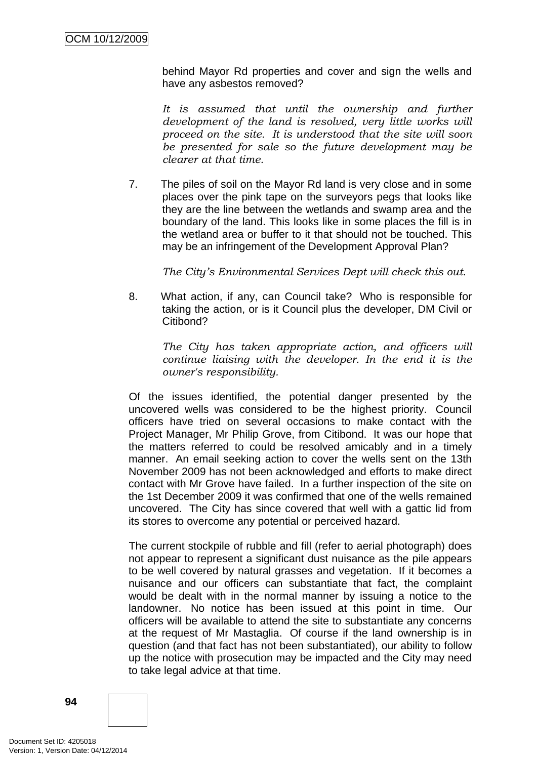behind Mayor Rd properties and cover and sign the wells and have any asbestos removed?

It is assumed that until the ownership and further *development of the land is resolved, very little works will proceed on the site. It is understood that the site will soon be presented for sale so the future development may be clearer at that time.* 

7. The piles of soil on the Mayor Rd land is very close and in some places over the pink tape on the surveyors pegs that looks like they are the line between the wetlands and swamp area and the boundary of the land. This looks like in some places the fill is in the wetland area or buffer to it that should not be touched. This may be an infringement of the Development Approval Plan?

*The City's Environmental Services Dept will check this out.* 

8. What action, if any, can Council take? Who is responsible for taking the action, or is it Council plus the developer, DM Civil or Citibond?

*The City has taken appropriate action, and officers will continue liaising with the developer. In the end it is the owner's responsibility.* 

Of the issues identified, the potential danger presented by the uncovered wells was considered to be the highest priority. Council officers have tried on several occasions to make contact with the Project Manager, Mr Philip Grove, from Citibond. It was our hope that the matters referred to could be resolved amicably and in a timely manner. An email seeking action to cover the wells sent on the 13th November 2009 has not been acknowledged and efforts to make direct contact with Mr Grove have failed. In a further inspection of the site on the 1st December 2009 it was confirmed that one of the wells remained uncovered. The City has since covered that well with a gattic lid from its stores to overcome any potential or perceived hazard.

The current stockpile of rubble and fill (refer to aerial photograph) does not appear to represent a significant dust nuisance as the pile appears to be well covered by natural grasses and vegetation. If it becomes a nuisance and our officers can substantiate that fact, the complaint would be dealt with in the normal manner by issuing a notice to the landowner. No notice has been issued at this point in time. Our officers will be available to attend the site to substantiate any concerns at the request of Mr Mastaglia. Of course if the land ownership is in question (and that fact has not been substantiated), our ability to follow up the notice with prosecution may be impacted and the City may need to take legal advice at that time.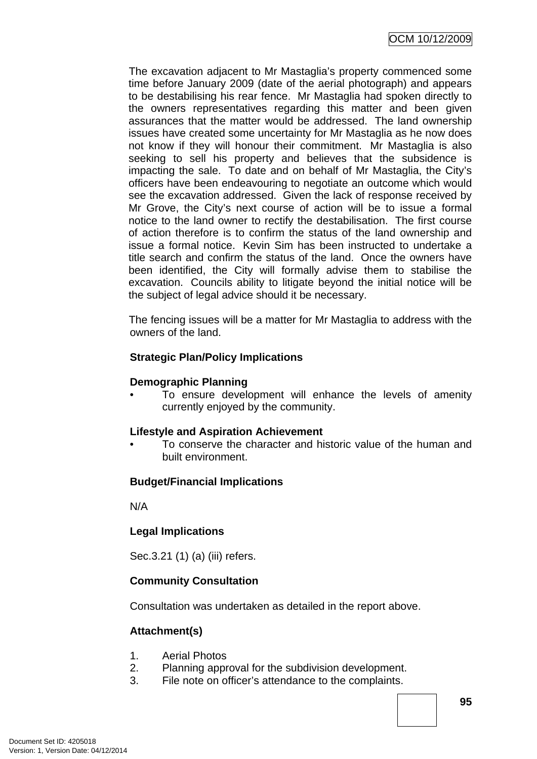The excavation adjacent to Mr Mastaglia's property commenced some time before January 2009 (date of the aerial photograph) and appears to be destabilising his rear fence. Mr Mastaglia had spoken directly to the owners representatives regarding this matter and been given assurances that the matter would be addressed. The land ownership issues have created some uncertainty for Mr Mastaglia as he now does not know if they will honour their commitment. Mr Mastaglia is also seeking to sell his property and believes that the subsidence is impacting the sale. To date and on behalf of Mr Mastaglia, the City's officers have been endeavouring to negotiate an outcome which would see the excavation addressed. Given the lack of response received by Mr Grove, the City's next course of action will be to issue a formal notice to the land owner to rectify the destabilisation. The first course of action therefore is to confirm the status of the land ownership and issue a formal notice. Kevin Sim has been instructed to undertake a title search and confirm the status of the land. Once the owners have been identified, the City will formally advise them to stabilise the excavation. Councils ability to litigate beyond the initial notice will be the subject of legal advice should it be necessary.

The fencing issues will be a matter for Mr Mastaglia to address with the owners of the land.

## **Strategic Plan/Policy Implications**

#### **Demographic Planning**

• To ensure development will enhance the levels of amenity currently enjoyed by the community.

#### **Lifestyle and Aspiration Achievement**

• To conserve the character and historic value of the human and built environment.

#### **Budget/Financial Implications**

N/A

#### **Legal Implications**

Sec.3.21 (1) (a) (iii) refers.

#### **Community Consultation**

Consultation was undertaken as detailed in the report above.

#### **Attachment(s)**

- 1. Aerial Photos
- 2. Planning approval for the subdivision development.
- 3. File note on officer's attendance to the complaints.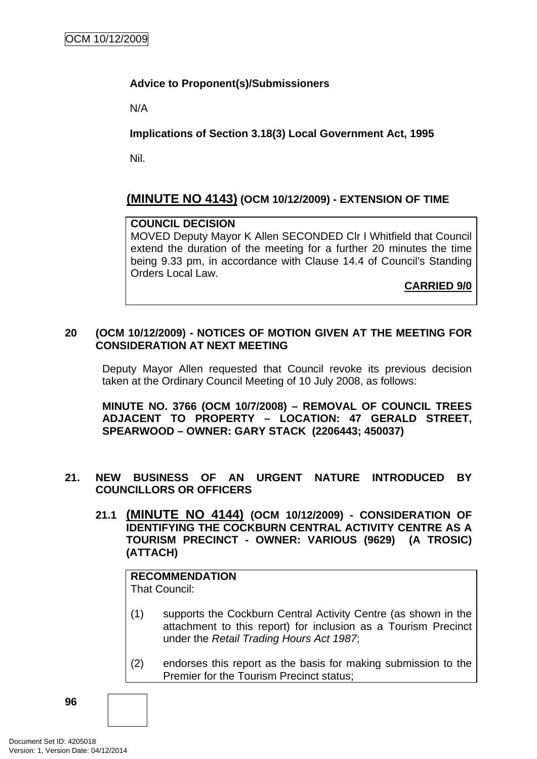# **Advice to Proponent(s)/Submissioners**

N/A

# **Implications of Section 3.18(3) Local Government Act, 1995**

Nil.

# **(MINUTE NO 4143) (OCM 10/12/2009) - EXTENSION OF TIME**

#### **COUNCIL DECISION**

MOVED Deputy Mayor K Allen SECONDED Clr I Whitfield that Council extend the duration of the meeting for a further 20 minutes the time being 9.33 pm, in accordance with Clause 14.4 of Council's Standing Orders Local Law.

**CARRIED 9/0**

### **20 (OCM 10/12/2009) - NOTICES OF MOTION GIVEN AT THE MEETING FOR CONSIDERATION AT NEXT MEETING**

Deputy Mayor Allen requested that Council revoke its previous decision taken at the Ordinary Council Meeting of 10 July 2008, as follows:

**MINUTE NO. 3766 (OCM 10/7/2008) – REMOVAL OF COUNCIL TREES ADJACENT TO PROPERTY – LOCATION: 47 GERALD STREET, SPEARWOOD – OWNER: GARY STACK (2206443; 450037)** 

#### **21. NEW BUSINESS OF AN URGENT NATURE INTRODUCED BY COUNCILLORS OR OFFICERS**

**21.1 (MINUTE NO 4144) (OCM 10/12/2009) - CONSIDERATION OF IDENTIFYING THE COCKBURN CENTRAL ACTIVITY CENTRE AS A TOURISM PRECINCT - OWNER: VARIOUS (9629) (A TROSIC) (ATTACH)** 

# **RECOMMENDATION**

That Council:

- (1) supports the Cockburn Central Activity Centre (as shown in the attachment to this report) for inclusion as a Tourism Precinct under the *Retail Trading Hours Act 1987*;
- (2) endorses this report as the basis for making submission to the Premier for the Tourism Precinct status;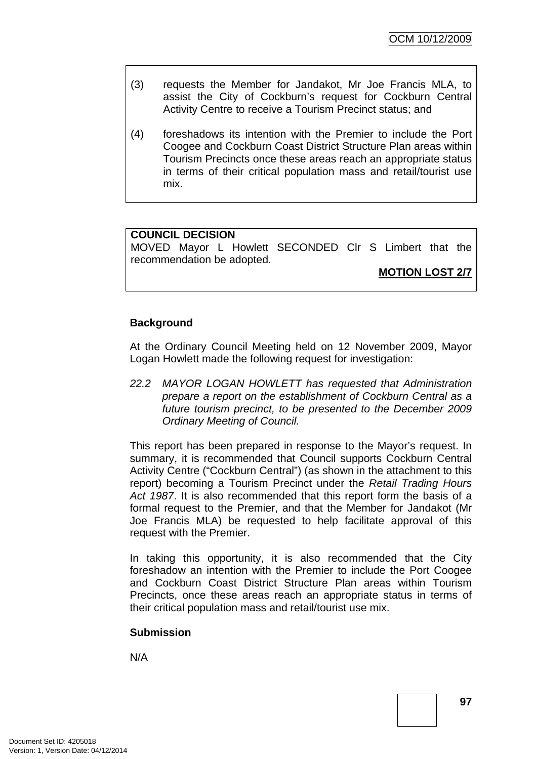- (3) requests the Member for Jandakot, Mr Joe Francis MLA, to assist the City of Cockburn's request for Cockburn Central Activity Centre to receive a Tourism Precinct status; and
- (4) foreshadows its intention with the Premier to include the Port Coogee and Cockburn Coast District Structure Plan areas within Tourism Precincts once these areas reach an appropriate status in terms of their critical population mass and retail/tourist use mix.

# **COUNCIL DECISION**

MOVED Mayor L Howlett SECONDED Clr S Limbert that the recommendation be adopted.

**MOTION LOST 2/7**

## **Background**

At the Ordinary Council Meeting held on 12 November 2009, Mayor Logan Howlett made the following request for investigation:

*22.2 MAYOR LOGAN HOWLETT has requested that Administration prepare a report on the establishment of Cockburn Central as a future tourism precinct, to be presented to the December 2009 Ordinary Meeting of Council.* 

This report has been prepared in response to the Mayor's request. In summary, it is recommended that Council supports Cockburn Central Activity Centre ("Cockburn Central") (as shown in the attachment to this report) becoming a Tourism Precinct under the *Retail Trading Hours Act 1987*. It is also recommended that this report form the basis of a formal request to the Premier, and that the Member for Jandakot (Mr Joe Francis MLA) be requested to help facilitate approval of this request with the Premier.

In taking this opportunity, it is also recommended that the City foreshadow an intention with the Premier to include the Port Coogee and Cockburn Coast District Structure Plan areas within Tourism Precincts, once these areas reach an appropriate status in terms of their critical population mass and retail/tourist use mix.

#### **Submission**

N/A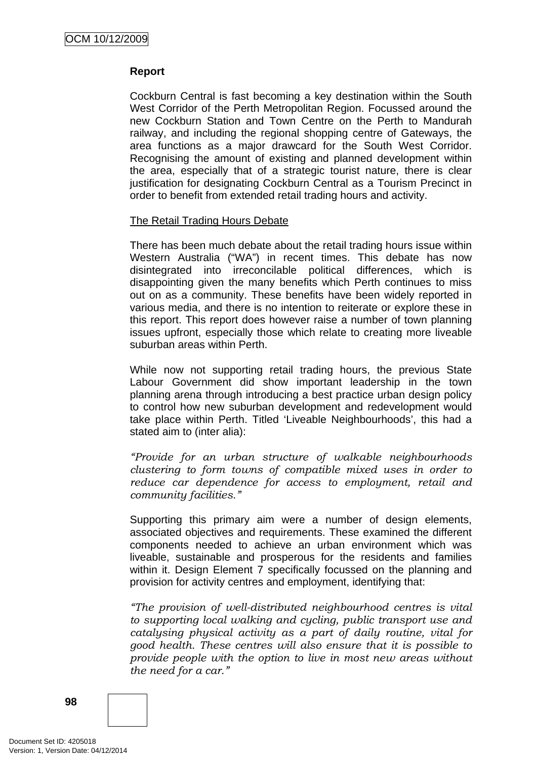## **Report**

Cockburn Central is fast becoming a key destination within the South West Corridor of the Perth Metropolitan Region. Focussed around the new Cockburn Station and Town Centre on the Perth to Mandurah railway, and including the regional shopping centre of Gateways, the area functions as a major drawcard for the South West Corridor. Recognising the amount of existing and planned development within the area, especially that of a strategic tourist nature, there is clear justification for designating Cockburn Central as a Tourism Precinct in order to benefit from extended retail trading hours and activity.

## The Retail Trading Hours Debate

There has been much debate about the retail trading hours issue within Western Australia ("WA") in recent times. This debate has now disintegrated into irreconcilable political differences, which is disappointing given the many benefits which Perth continues to miss out on as a community. These benefits have been widely reported in various media, and there is no intention to reiterate or explore these in this report. This report does however raise a number of town planning issues upfront, especially those which relate to creating more liveable suburban areas within Perth.

While now not supporting retail trading hours, the previous State Labour Government did show important leadership in the town planning arena through introducing a best practice urban design policy to control how new suburban development and redevelopment would take place within Perth. Titled 'Liveable Neighbourhoods', this had a stated aim to (inter alia):

*"Provide for an urban structure of walkable neighbourhoods clustering to form towns of compatible mixed uses in order to reduce car dependence for access to employment, retail and community facilities."* 

Supporting this primary aim were a number of design elements, associated objectives and requirements. These examined the different components needed to achieve an urban environment which was liveable, sustainable and prosperous for the residents and families within it. Design Element 7 specifically focussed on the planning and provision for activity centres and employment, identifying that:

*"The provision of well-distributed neighbourhood centres is vital to supporting local walking and cycling, public transport use and catalysing physical activity as a part of daily routine, vital for good health. These centres will also ensure that it is possible to provide people with the option to live in most new areas without the need for a car."* 

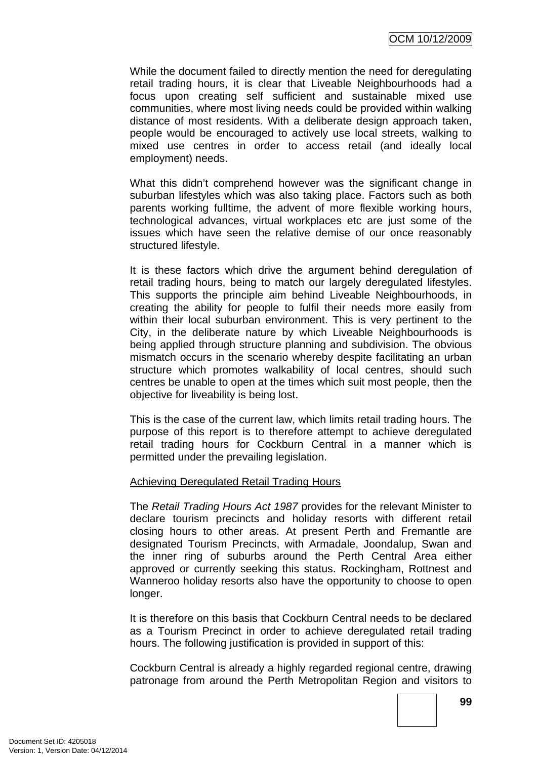While the document failed to directly mention the need for deregulating retail trading hours, it is clear that Liveable Neighbourhoods had a focus upon creating self sufficient and sustainable mixed use communities, where most living needs could be provided within walking distance of most residents. With a deliberate design approach taken, people would be encouraged to actively use local streets, walking to mixed use centres in order to access retail (and ideally local employment) needs.

What this didn't comprehend however was the significant change in suburban lifestyles which was also taking place. Factors such as both parents working fulltime, the advent of more flexible working hours, technological advances, virtual workplaces etc are just some of the issues which have seen the relative demise of our once reasonably structured lifestyle.

It is these factors which drive the argument behind deregulation of retail trading hours, being to match our largely deregulated lifestyles. This supports the principle aim behind Liveable Neighbourhoods, in creating the ability for people to fulfil their needs more easily from within their local suburban environment. This is very pertinent to the City, in the deliberate nature by which Liveable Neighbourhoods is being applied through structure planning and subdivision. The obvious mismatch occurs in the scenario whereby despite facilitating an urban structure which promotes walkability of local centres, should such centres be unable to open at the times which suit most people, then the objective for liveability is being lost.

This is the case of the current law, which limits retail trading hours. The purpose of this report is to therefore attempt to achieve deregulated retail trading hours for Cockburn Central in a manner which is permitted under the prevailing legislation.

#### Achieving Deregulated Retail Trading Hours

The *Retail Trading Hours Act 1987* provides for the relevant Minister to declare tourism precincts and holiday resorts with different retail closing hours to other areas. At present Perth and Fremantle are designated Tourism Precincts, with Armadale, Joondalup, Swan and the inner ring of suburbs around the Perth Central Area either approved or currently seeking this status. Rockingham, Rottnest and Wanneroo holiday resorts also have the opportunity to choose to open longer.

It is therefore on this basis that Cockburn Central needs to be declared as a Tourism Precinct in order to achieve deregulated retail trading hours. The following justification is provided in support of this:

Cockburn Central is already a highly regarded regional centre, drawing patronage from around the Perth Metropolitan Region and visitors to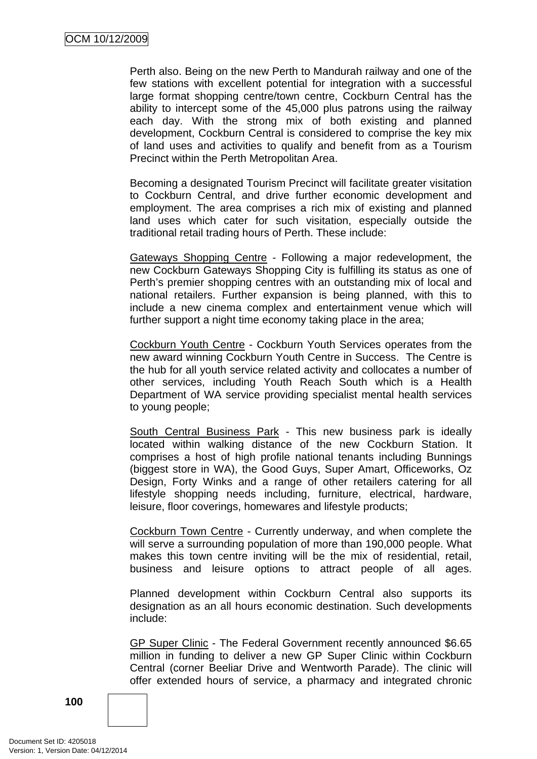Perth also. Being on the new Perth to Mandurah railway and one of the few stations with excellent potential for integration with a successful large format shopping centre/town centre, Cockburn Central has the ability to intercept some of the 45,000 plus patrons using the railway each day. With the strong mix of both existing and planned development, Cockburn Central is considered to comprise the key mix of land uses and activities to qualify and benefit from as a Tourism Precinct within the Perth Metropolitan Area.

Becoming a designated Tourism Precinct will facilitate greater visitation to Cockburn Central, and drive further economic development and employment. The area comprises a rich mix of existing and planned land uses which cater for such visitation, especially outside the traditional retail trading hours of Perth. These include:

Gateways Shopping Centre - Following a major redevelopment, the new Cockburn Gateways Shopping City is fulfilling its status as one of Perth's premier shopping centres with an outstanding mix of local and national retailers. Further expansion is being planned, with this to include a new cinema complex and entertainment venue which will further support a night time economy taking place in the area;

Cockburn Youth Centre - Cockburn Youth Services operates from the new award winning [Cockburn Youth Centre](http://www.cockburn.wa.gov.au/Community_Services/Youth_Services/Youth_Centre/default.asp) in Success. The Centre is the hub for all youth service related activity and collocates a number of other services, including Youth Reach South which is a Health Department of WA service providing specialist mental health services to young people;

South Central Business Park - This new business park is ideally located within walking distance of the new Cockburn Station. It comprises a host of high profile national tenants including Bunnings (biggest store in WA), the Good Guys, Super Amart, Officeworks, Oz Design, Forty Winks and a range of other retailers catering for all lifestyle shopping needs including, furniture, electrical, hardware, leisure, floor coverings, homewares and lifestyle products;

Cockburn Town Centre - Currently underway, and when complete the will serve a surrounding population of more than 190,000 people. What makes this town centre inviting will be the mix of residential, retail, business and leisure options to attract people of all ages.

Planned development within Cockburn Central also supports its designation as an all hours economic destination. Such developments include:

GP Super Clinic - The Federal Government recently announced \$6.65 million in funding to deliver a new GP Super Clinic within Cockburn Central (corner Beeliar Drive and Wentworth Parade). The clinic will offer extended hours of service, a pharmacy and integrated chronic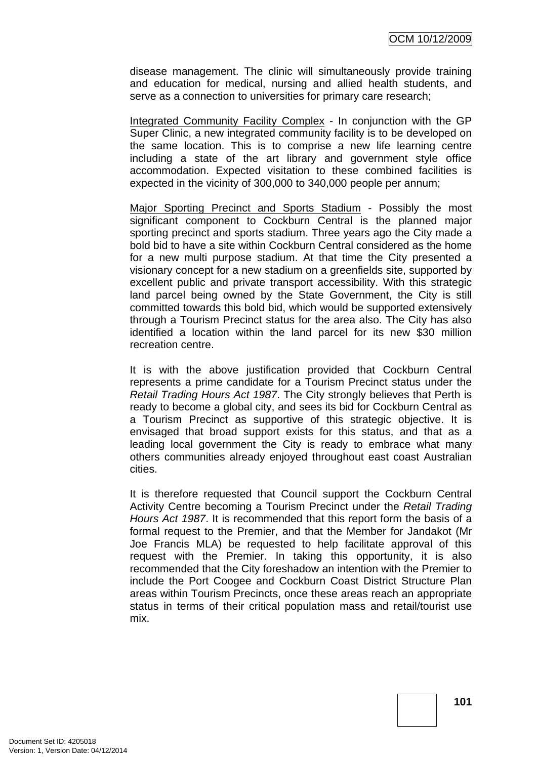disease management. The clinic will simultaneously provide training and education for medical, nursing and allied health students, and serve as a connection to universities for primary care research;

Integrated Community Facility Complex - In conjunction with the GP Super Clinic, a new integrated community facility is to be developed on the same location. This is to comprise a new life learning centre including a state of the art library and government style office accommodation. Expected visitation to these combined facilities is expected in the vicinity of 300,000 to 340,000 people per annum;

Major Sporting Precinct and Sports Stadium - Possibly the most significant component to Cockburn Central is the planned major sporting precinct and sports stadium. Three years ago the City made a bold bid to have a site within Cockburn Central considered as the home for a new multi purpose stadium. At that time the City presented a visionary concept for a new stadium on a greenfields site, supported by excellent public and private transport accessibility. With this strategic land parcel being owned by the State Government, the City is still committed towards this bold bid, which would be supported extensively through a Tourism Precinct status for the area also. The City has also identified a location within the land parcel for its new \$30 million recreation centre.

It is with the above justification provided that Cockburn Central represents a prime candidate for a Tourism Precinct status under the *Retail Trading Hours Act 1987*. The City strongly believes that Perth is ready to become a global city, and sees its bid for Cockburn Central as a Tourism Precinct as supportive of this strategic objective. It is envisaged that broad support exists for this status, and that as a leading local government the City is ready to embrace what many others communities already enjoyed throughout east coast Australian cities.

It is therefore requested that Council support the Cockburn Central Activity Centre becoming a Tourism Precinct under the *Retail Trading Hours Act 1987*. It is recommended that this report form the basis of a formal request to the Premier, and that the Member for Jandakot (Mr Joe Francis MLA) be requested to help facilitate approval of this request with the Premier. In taking this opportunity, it is also recommended that the City foreshadow an intention with the Premier to include the Port Coogee and Cockburn Coast District Structure Plan areas within Tourism Precincts, once these areas reach an appropriate status in terms of their critical population mass and retail/tourist use mix.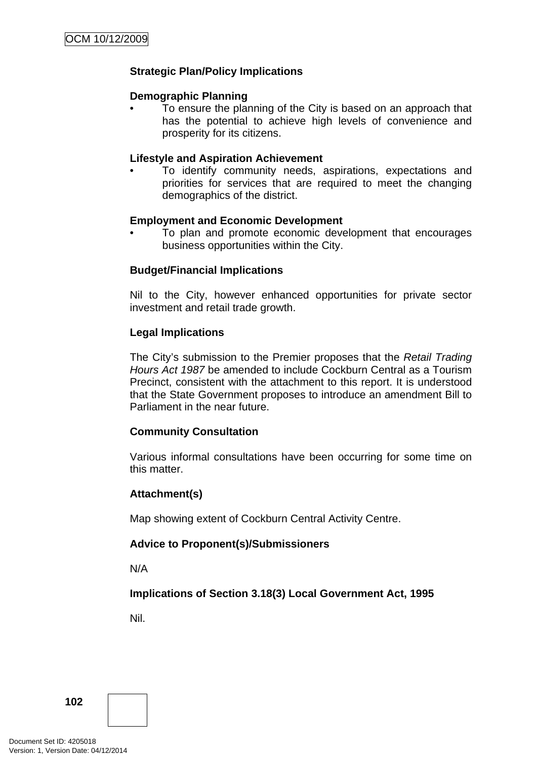# **Strategic Plan/Policy Implications**

### **Demographic Planning**

• To ensure the planning of the City is based on an approach that has the potential to achieve high levels of convenience and prosperity for its citizens.

### **Lifestyle and Aspiration Achievement**

• To identify community needs, aspirations, expectations and priorities for services that are required to meet the changing demographics of the district.

## **Employment and Economic Development**

• To plan and promote economic development that encourages business opportunities within the City.

## **Budget/Financial Implications**

Nil to the City, however enhanced opportunities for private sector investment and retail trade growth.

## **Legal Implications**

The City's submission to the Premier proposes that the *Retail Trading Hours Act 1987* be amended to include Cockburn Central as a Tourism Precinct, consistent with the attachment to this report. It is understood that the State Government proposes to introduce an amendment Bill to Parliament in the near future.

# **Community Consultation**

Various informal consultations have been occurring for some time on this matter.

# **Attachment(s)**

Map showing extent of Cockburn Central Activity Centre.

# **Advice to Proponent(s)/Submissioners**

N/A

# **Implications of Section 3.18(3) Local Government Act, 1995**

Nil.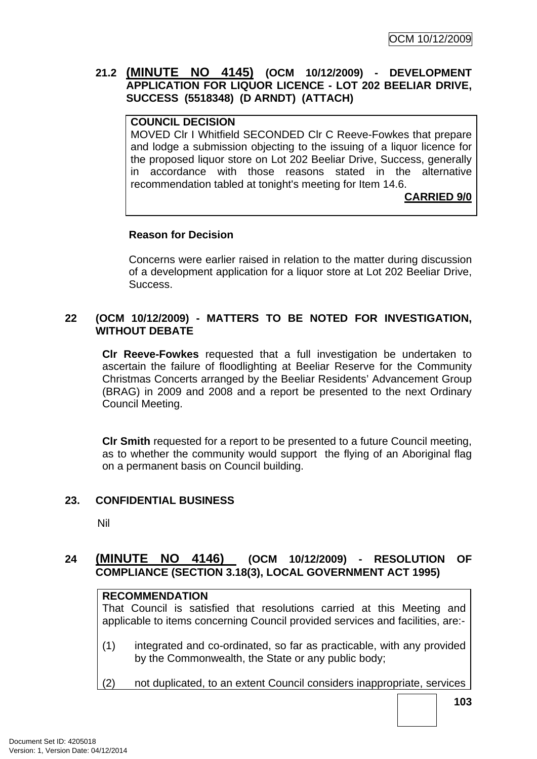# **21.2 (MINUTE NO 4145) (OCM 10/12/2009) - DEVELOPMENT APPLICATION FOR LIQUOR LICENCE - LOT 202 BEELIAR DRIVE, SUCCESS (5518348) (D ARNDT) (ATTACH)**

### **COUNCIL DECISION**

MOVED Clr I Whitfield SECONDED Clr C Reeve-Fowkes that prepare and lodge a submission objecting to the issuing of a liquor licence for the proposed liquor store on Lot 202 Beeliar Drive, Success, generally in accordance with those reasons stated in the alternative recommendation tabled at tonight's meeting for Item 14.6.

**CARRIED 9/0**

#### **Reason for Decision**

Concerns were earlier raised in relation to the matter during discussion of a development application for a liquor store at Lot 202 Beeliar Drive, **Success** 

### **22 (OCM 10/12/2009) - MATTERS TO BE NOTED FOR INVESTIGATION, WITHOUT DEBATE**

**Clr Reeve-Fowkes** requested that a full investigation be undertaken to ascertain the failure of floodlighting at Beeliar Reserve for the Community Christmas Concerts arranged by the Beeliar Residents' Advancement Group (BRAG) in 2009 and 2008 and a report be presented to the next Ordinary Council Meeting.

**Clr Smith** requested for a report to be presented to a future Council meeting, as to whether the community would support the flying of an Aboriginal flag on a permanent basis on Council building.

#### **23. CONFIDENTIAL BUSINESS**

Nil

# **24 (MINUTE NO 4146) (OCM 10/12/2009) - RESOLUTION OF COMPLIANCE (SECTION 3.18(3), LOCAL GOVERNMENT ACT 1995)**

# **RECOMMENDATION**

That Council is satisfied that resolutions carried at this Meeting and applicable to items concerning Council provided services and facilities, are:-

- (1) integrated and co-ordinated, so far as practicable, with any provided by the Commonwealth, the State or any public body;
- (2) not duplicated, to an extent Council considers inappropriate, services